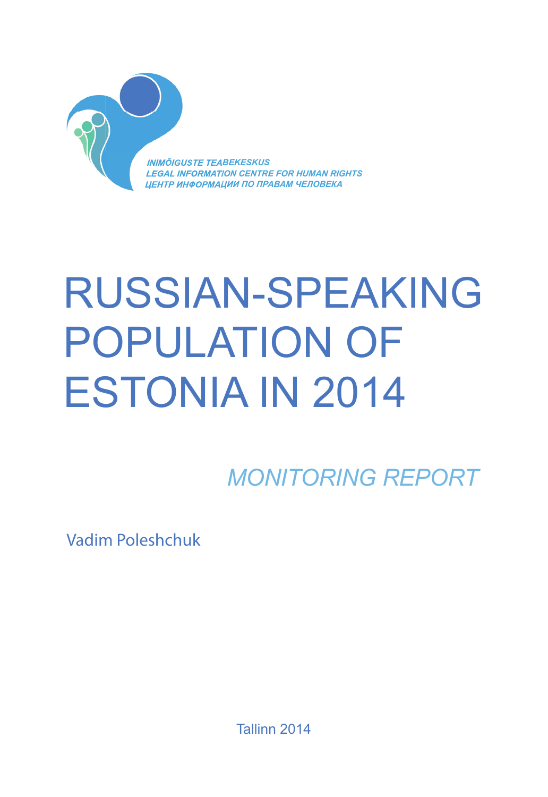

# RUSSIAN-SPEAKING POPULATION OF ESTONIA IN 2014

*MONITORING REPORT* 

Vadim Poleshchuk

Tallinn 2014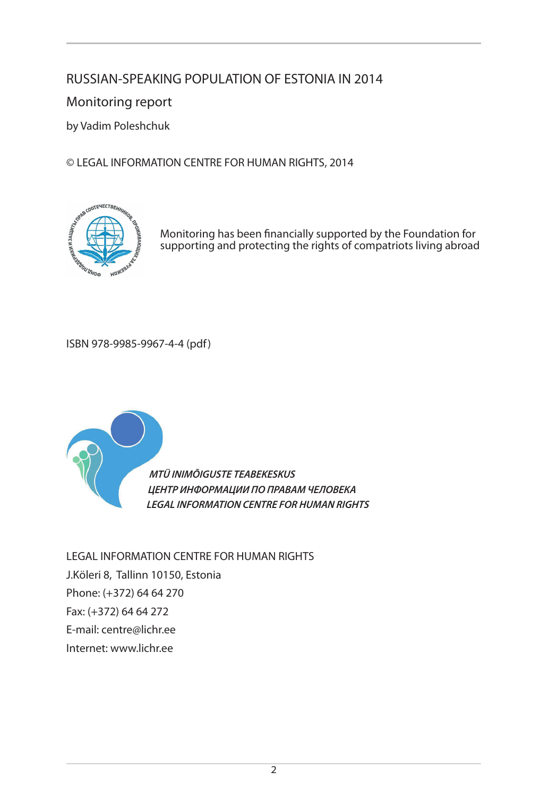#### RUSSIAN-SPEAKING POPULATION OF ESTONIA IN 2014

Monitoring report

by Vadim Poleshchuk

© LEGAL INFORMATION CENTRE FOR HUMAN RIGHTS, 2014



Monitoring has been financially supported by the Foundation for supporting and protecting the rights of compatriots living abroad

ISBN 978-9985-9967-4-4 (pdf)



LEGAL INFORMATION CENTRE FOR HUMAN RIGHTS J.Köleri 8, Tallinn 10150, Estonia Phone: (+372) 64 64 270 Fax: (+372) 64 64 272 E-mail: centre@lichr.ee Internet: www.lichr.ee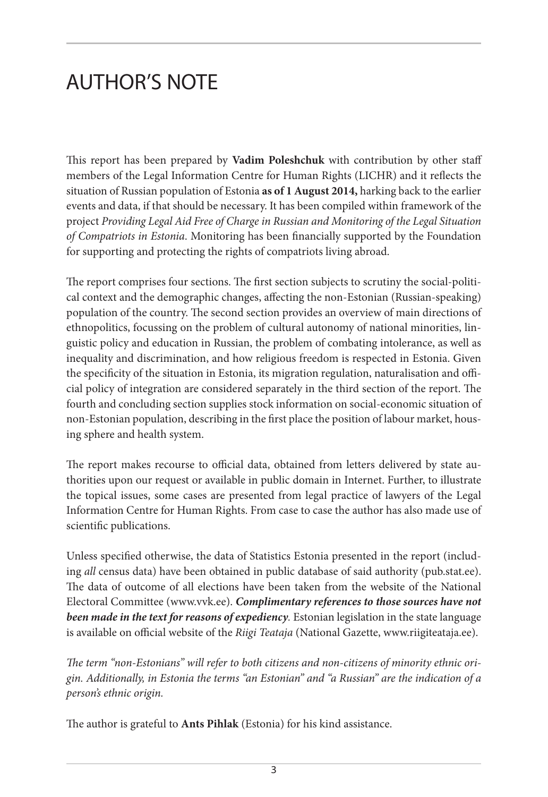# AUTHOR'S NOTE

This report has been prepared by **Vadim Poleshchuk** with contribution by other staff members of the Legal Information Centre for Human Rights (LICHR) and it reflects the situation of Russian population of Estonia **as of 1 August 2014,** harking back to the earlier events and data, if that should be necessary. It has been compiled within framework of the project *Providing Legal Aid Free of Charge in Russian and Monitoring of the Legal Situation of Compatriots in Estonia*. Monitoring has been financially supported by the Foundation for supporting and protecting the rights of compatriots living abroad.

The report comprises four sections. The first section subjects to scrutiny the social-political context and the demographic changes, affecting the non-Estonian (Russian-speaking) population of the country. The second section provides an overview of main directions of ethnopolitics, focussing on the problem of cultural autonomy of national minorities, linguistic policy and education in Russian, the problem of combating intolerance, as well as inequality and discrimination, and how religious freedom is respected in Estonia. Given the specificity of the situation in Estonia, its migration regulation, naturalisation and official policy of integration are considered separately in the third section of the report. The fourth and concluding section supplies stock information on social-economic situation of non-Estonian population, describing in the first place the position of labour market, housing sphere and health system.

The report makes recourse to official data, obtained from letters delivered by state authorities upon our request or available in public domain in Internet. Further, to illustrate the topical issues, some cases are presented from legal practice of lawyers of the Legal Information Centre for Human Rights. From case to case the author has also made use of scientific publications.

Unless specified otherwise, the data of Statistics Estonia presented in the report (including *all* census data) have been obtained in public database of said authority (pub.stat.ee). The data of outcome of all elections have been taken from the website of the National Electoral Committee (www.vvk.ee). *Complimentary references to those sources have not been made in the text for reasons of expediency.* Estonian legislation in the state language is available on official website of the *Riigi Teataja* (National Gazette, www.riigiteataja.ee).

*The term "non-Estonians" will refer to both citizens and non-citizens of minority ethnic origin. Additionally, in Estonia the terms "an Estonian" and "a Russian" are the indication of a person's ethnic origin.*

The author is grateful to **Ants Pihlak** (Estonia) for his kind assistance.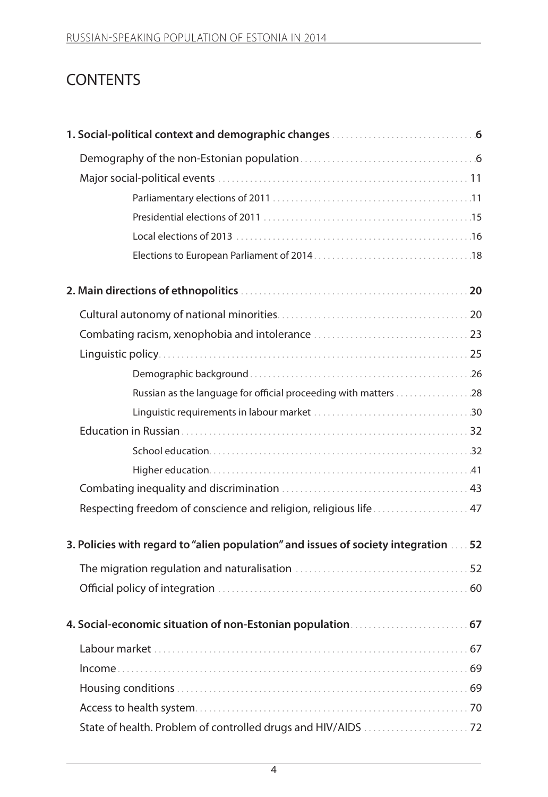## **CONTENTS**

| Respecting freedom of conscience and religion, religious life 47                    |  |
|-------------------------------------------------------------------------------------|--|
| 3. Policies with regard to "alien population" and issues of society integration  52 |  |
|                                                                                     |  |
|                                                                                     |  |
|                                                                                     |  |
|                                                                                     |  |
|                                                                                     |  |
|                                                                                     |  |
|                                                                                     |  |
|                                                                                     |  |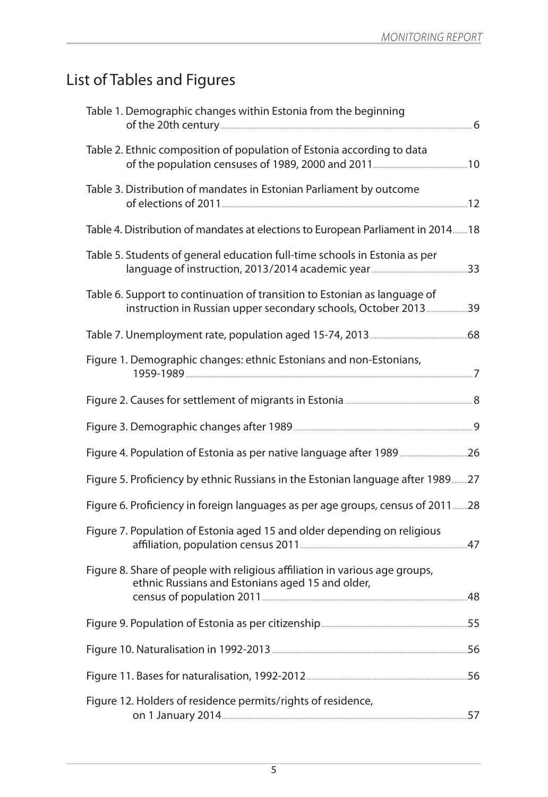## List of Tables and Figures

| Table 1. Demographic changes within Estonia from the beginning                                                                              |  |
|---------------------------------------------------------------------------------------------------------------------------------------------|--|
| Table 2. Ethnic composition of population of Estonia according to data                                                                      |  |
| Table 3. Distribution of mandates in Estonian Parliament by outcome                                                                         |  |
| Table 4. Distribution of mandates at elections to European Parliament in 201418                                                             |  |
| Table 5. Students of general education full-time schools in Estonia as per                                                                  |  |
| Table 6. Support to continuation of transition to Estonian as language of<br>instruction in Russian upper secondary schools, October 201339 |  |
|                                                                                                                                             |  |
| Figure 1. Demographic changes: ethnic Estonians and non-Estonians,                                                                          |  |
|                                                                                                                                             |  |
|                                                                                                                                             |  |
|                                                                                                                                             |  |
| Figure 5. Proficiency by ethnic Russians in the Estonian language after 1989 27                                                             |  |
| Figure 6. Proficiency in foreign languages as per age groups, census of 201128                                                              |  |
| Figure 7. Population of Estonia aged 15 and older depending on religious                                                                    |  |
| Figure 8. Share of people with religious affiliation in various age groups,<br>ethnic Russians and Estonians aged 15 and older,             |  |
|                                                                                                                                             |  |
|                                                                                                                                             |  |
|                                                                                                                                             |  |
| Figure 12. Holders of residence permits/rights of residence,                                                                                |  |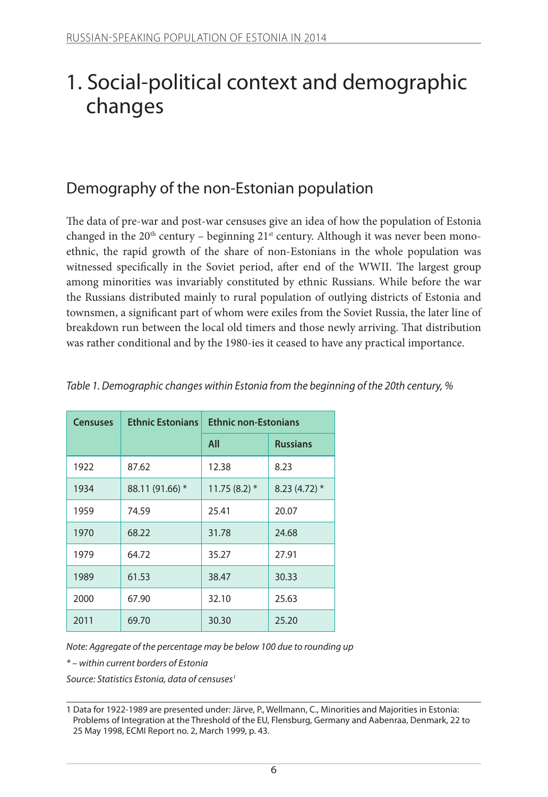## 1. Social-political context and demographic changes

#### Demography of the non-Estonian population

The data of pre-war and post-war censuses give an idea of how the population of Estonia changed in the  $20<sup>th</sup>$  century – beginning  $21<sup>st</sup>$  century. Although it was never been monoethnic, the rapid growth of the share of non-Estonians in the whole population was witnessed specifically in the Soviet period, after end of the WWII. The largest group among minorities was invariably constituted by ethnic Russians. While before the war the Russians distributed mainly to rural population of outlying districts of Estonia and townsmen, a significant part of whom were exiles from the Soviet Russia, the later line of breakdown run between the local old timers and those newly arriving. That distribution was rather conditional and by the 1980-ies it ceased to have any practical importance.

| <b>Censuses</b> | <b>Ethnic Estonians</b> | <b>Ethnic non-Estonians</b> |                 |  |
|-----------------|-------------------------|-----------------------------|-----------------|--|
|                 |                         | All                         | <b>Russians</b> |  |
| 1922            | 87.62                   | 12.38                       | 8.23            |  |
| 1934            | 88.11 (91.66) *         | $11.75(8.2)$ *              | $8.23(4.72)$ *  |  |
| 1959            | 74.59                   | 25.41                       | 20.07           |  |
| 1970            | 68.22                   | 31.78                       | 24.68           |  |
| 1979            | 64.72                   | 35.27                       | 27.91           |  |
| 1989            | 61.53                   | 38.47                       | 30.33           |  |
| 2000            | 67.90                   | 32.10                       | 25.63           |  |
| 2011            | 69.70                   | 30.30                       | 25.20           |  |

*Table 1. Demographic changes within Estonia from the beginning of the 20th century, %*

*Note: Aggregate of the percentage may be below 100 due to rounding up*

*\* – within current borders of Estonia*

*Source: Statistics Estonia, data of censuses1*

<sup>1</sup> Data for 1922-1989 are presented under: Järve, P., Wellmann, C., Minorities and Majorities in Estonia: Problems of Integration at the Threshold of the EU, Flensburg, Germany and Aabenraa, Denmark, 22 to 25 May 1998, ECMI Report no. 2, March 1999, p. 43.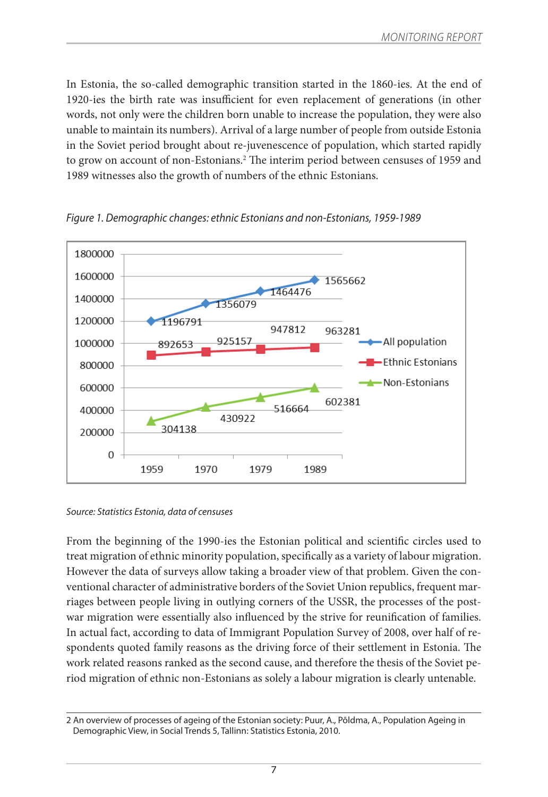In Estonia, the so-called demographic transition started in the 1860-ies. At the end of 1920-ies the birth rate was insufficient for even replacement of generations (in other words, not only were the children born unable to increase the population, they were also unable to maintain its numbers). Arrival of a large number of people from outside Estonia in the Soviet period brought about re-juvenescence of population, which started rapidly to grow on account of non-Estonians.<sup>2</sup> The interim period between censuses of 1959 and 1989 witnesses also the growth of numbers of the ethnic Estonians.



*Figure 1. Demographic changes: ethnic Estonians and non-Estonians, 1959-1989*

#### *Source: Statistics Estonia, data of censuses*

From the beginning of the 1990-ies the Estonian political and scientific circles used to treat migration of ethnic minority population, specifically as a variety of labour migration. However the data of surveys allow taking a broader view of that problem. Given the conventional character of administrative borders of the Soviet Union republics, frequent marriages between people living in outlying corners of the USSR, the processes of the postwar migration were essentially also influenced by the strive for reunification of families. In actual fact, according to data of Immigrant Population Survey of 2008, over half of respondents quoted family reasons as the driving force of their settlement in Estonia. The work related reasons ranked as the second cause, and therefore the thesis of the Soviet period migration of ethnic non-Estonians as solely a labour migration is clearly untenable.

<sup>2</sup> An overview of processes of ageing of the Estonian society: Puur, A., Põldma, A., Population Ageing in Demographic View, in Social Trends 5, Tallinn: Statistics Estonia, 2010.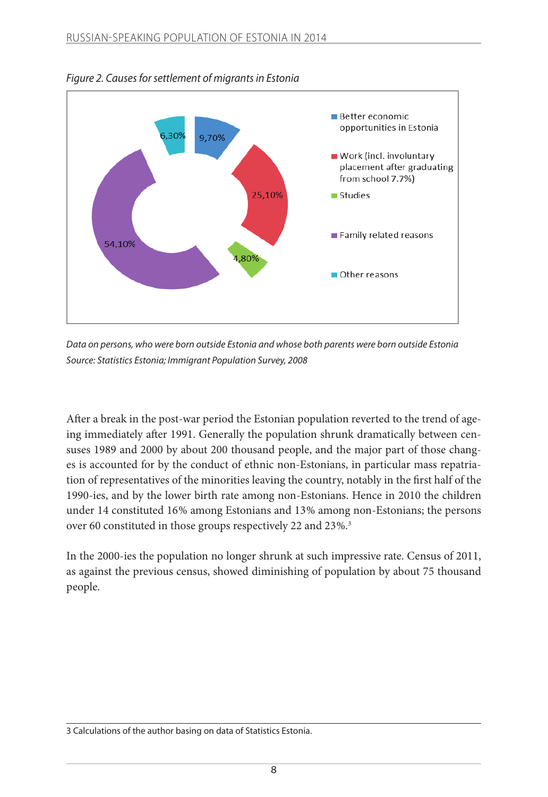

*Figure 2. Causes for settlement of migrants in Estonia*

*Data on persons, who were born outside Estonia and whose both parents were born outside Estonia Source: Statistics Estonia; Immigrant Population Survey, 2008*

After a break in the post-war period the Estonian population reverted to the trend of ageing immediately after 1991. Generally the population shrunk dramatically between censuses 1989 and 2000 by about 200 thousand people, and the major part of those changes is accounted for by the conduct of ethnic non-Estonians, in particular mass repatriation of representatives of the minorities leaving the country, notably in the first half of the 1990-ies, and by the lower birth rate among non-Estonians. Hence in 2010 the children under 14 constituted 16 % among Estonians and 13 % among non-Estonians; the persons over 60 constituted in those groups respectively 22 and 23%.<sup>3</sup>

In the 2000-ies the population no longer shrunk at such impressive rate. Census of 2011, as against the previous census, showed diminishing of population by about 75 thousand people.

<sup>3</sup> Calculations of the author basing on data of Statistics Estonia.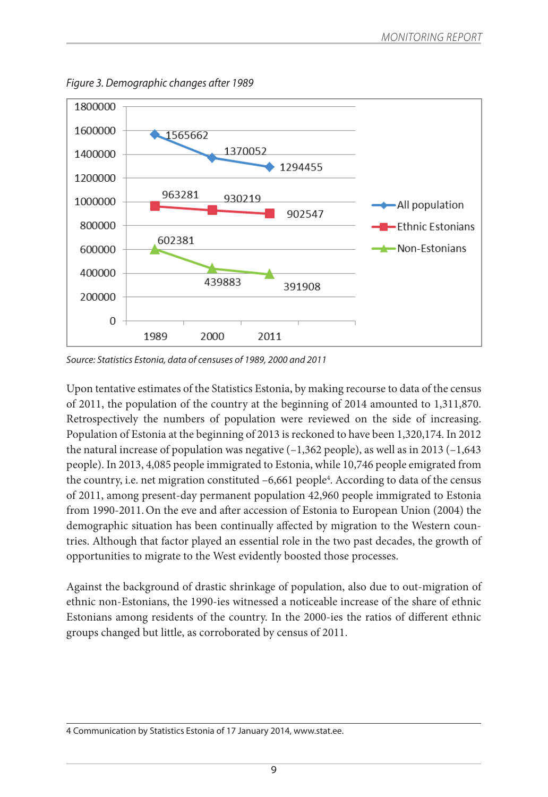

*Figure 3. Demographic changes after 1989*

*Source: Statistics Estonia, data of censuses of 1989, 2000 and 2011*

Upon tentative estimates of the Statistics Estonia, by making recourse to data of the census of 2011, the population of the country at the beginning of 2014 amounted to 1,311,870. Retrospectively the numbers of population were reviewed on the side of increasing. Population of Estonia at the beginning of 2013 is reckoned to have been 1,320,174. In 2012 the natural increase of population was negative (–1,362 people), as well as in 2013 (–1,643 people). In 2013, 4,085 people immigrated to Estonia, while 10,746 people emigrated from the country, i.e. net migration constituted -6,661 people<sup>4</sup>. According to data of the census of 2011, among present-day permanent population 42,960 people immigrated to Estonia from 1990-2011. On the eve and after accession of Estonia to European Union (2004) the demographic situation has been continually affected by migration to the Western countries. Although that factor played an essential role in the two past decades, the growth of opportunities to migrate to the West evidently boosted those processes.

Against the background of drastic shrinkage of population, also due to out-migration of ethnic non-Estonians, the 1990-ies witnessed a noticeable increase of the share of ethnic Estonians among residents of the country. In the 2000-ies the ratios of different ethnic groups changed but little, as corroborated by census of 2011.

<sup>4</sup> Communication by Statistics Estonia of 17 January 2014, www.stat.ee.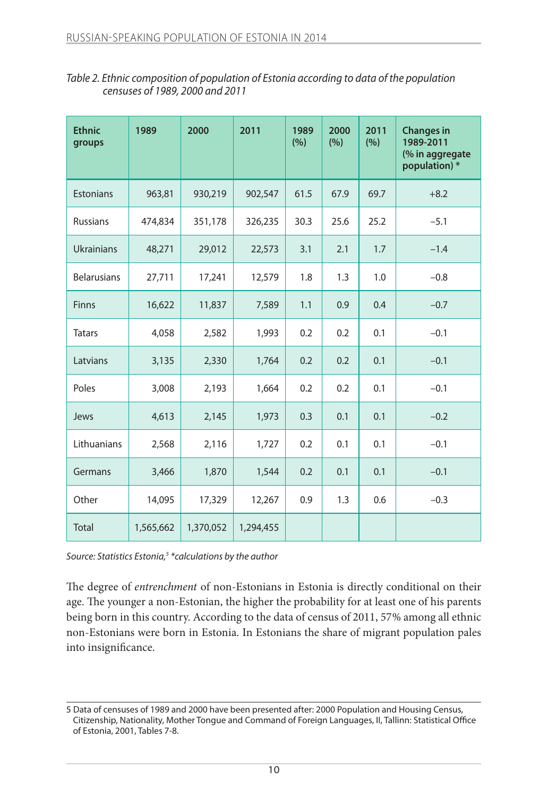| censuses of 1989, 2000 and 2011 |         |         |         |             |             |             |                                                                    |
|---------------------------------|---------|---------|---------|-------------|-------------|-------------|--------------------------------------------------------------------|
| <b>Ethnic</b><br>groups         | 1989    | 2000    | 2011    | 1989<br>(%) | 2000<br>(%) | 2011<br>(%) | <b>Changes in</b><br>1989-2011<br>(% in aggregate<br>population) * |
| <b>Estonians</b>                | 963,81  | 930,219 | 902,547 | 61.5        | 67.9        | 69.7        | $+8.2$                                                             |
| <b>Russians</b>                 | 474,834 | 351,178 | 326,235 | 30.3        | 25.6        | 25.2        | $-5.1$                                                             |
| Ukrainians                      | 48,271  | 29,012  | 22,573  | 3.1         | 2.1         | 1.7         | $-1.4$                                                             |
|                                 |         |         |         |             |             |             |                                                                    |

Belarusians 27,711 17,241 12,579 1.8 1.3 1.0 –0.8

Finns 16,622 11,837 7,589 1.1 0.9 0.4 –0.7

Tatars 4,058 2,582 1,993 0.2 0.2 0.1 –0.1

Latvians 3,135 2,330 1,764 0.2 0.2 0.1 –0.1

Poles | 3,008 | 2,193 | 1,664 | 0.2 | 0.2 | 0.1 | -0.1

Jews 4,613 2,145 1,973 0.3 0.1 0.1 –0.2

Lithuanians | 2,568 | 2,116 | 1,727 | 0.2 | 0.1 | 0.1 | –0.1 |

Germans | 3,466 | 1,870 | 1,544 | 0.2 | 0.1 | 0.1 | -0.1

Other 14,095 17,329 12,267 0.9 1.3 0.6 –0.3

#### *Table 2. Ethnic composition of population of Estonia according to data of the population censuses of 1989, 2000 and 2011*

*Source: Statistics Estonia,5 \*calculations by the author*

Total 1,565,662 1,370,052 1,294,455

The degree of *entrenchment* of non-Estonians in Estonia is directly conditional on their age. The younger a non-Estonian, the higher the probability for at least one of his parents being born in this country. According to the data of census of 2011, 57% among all ethnic non-Estonians were born in Estonia. In Estonians the share of migrant population pales into insignificance.

<sup>5</sup> Data of censuses of 1989 and 2000 have been presented after: 2000 Population and Housing Census, Citizenship, Nationality, Mother Tongue and Command of Foreign Languages, II, Tallinn: Statistical Office of Estonia, 2001, Tables 7-8.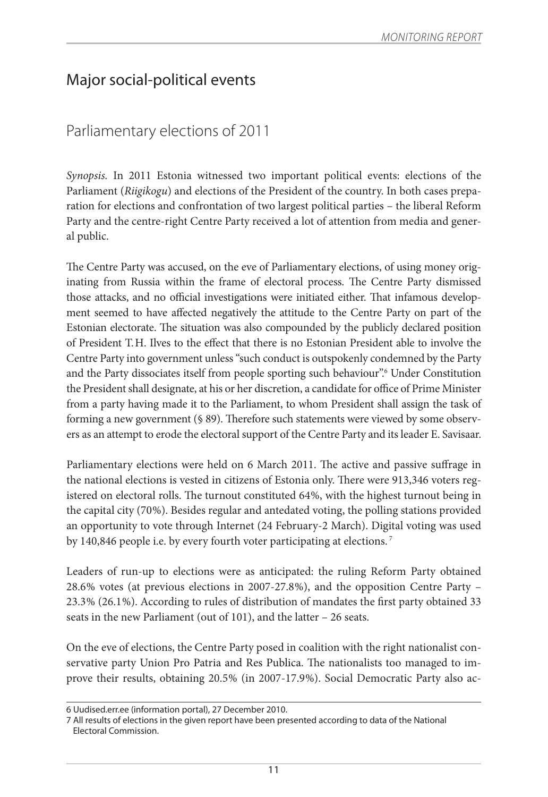#### Major social-political events

#### Parliamentary elections of 2011

*Synopsis.* In 2011 Estonia witnessed two important political events: elections of the Parliament (*Riigikogu*) and elections of the President of the country. In both cases preparation for elections and confrontation of two largest political parties – the liberal Reform Party and the centre-right Centre Party received a lot of attention from media and general public.

The Centre Party was accused, on the eve of Parliamentary elections, of using money originating from Russia within the frame of electoral process. The Centre Party dismissed those attacks, and no official investigations were initiated either. That infamous development seemed to have affected negatively the attitude to the Centre Party on part of the Estonian electorate. The situation was also compounded by the publicly declared position of President T.H. Ilves to the effect that there is no Estonian President able to involve the Centre Party into government unless "such conduct is outspokenly condemned by the Party and the Party dissociates itself from people sporting such behaviour".<sup>6</sup> Under Constitution the President shall designate, at his or her discretion, a candidate for office of Prime Minister from a party having made it to the Parliament, to whom President shall assign the task of forming a new government (§ 89). Therefore such statements were viewed by some observers as an attempt to erode the electoral support of the Centre Party and its leader E. Savisaar.

Parliamentary elections were held on 6 March 2011. The active and passive suffrage in the national elections is vested in citizens of Estonia only. There were 913,346 voters registered on electoral rolls. The turnout constituted 64%, with the highest turnout being in the capital city (70%). Besides regular and antedated voting, the polling stations provided an opportunity to vote through Internet (24 February-2 March). Digital voting was used by 140,846 people i.e. by every fourth voter participating at elections.<sup>7</sup>

Leaders of run-up to elections were as anticipated: the ruling Reform Party obtained 28.6% votes (at previous elections in 2007-27.8%), and the opposition Centre Party – 23.3% (26.1%). According to rules of distribution of mandates the first party obtained 33 seats in the new Parliament (out of 101), and the latter – 26 seats.

On the eve of elections, the Centre Party posed in coalition with the right nationalist conservative party Union Pro Patria and Res Publica. The nationalists too managed to improve their results, obtaining 20.5% (in 2007-17.9%). Social Democratic Party also ac-

<sup>6</sup> Uudised.err.ee (information portal), 27 December 2010.

<sup>7</sup> All results of elections in the given report have been presented according to data of the National Electoral Commission.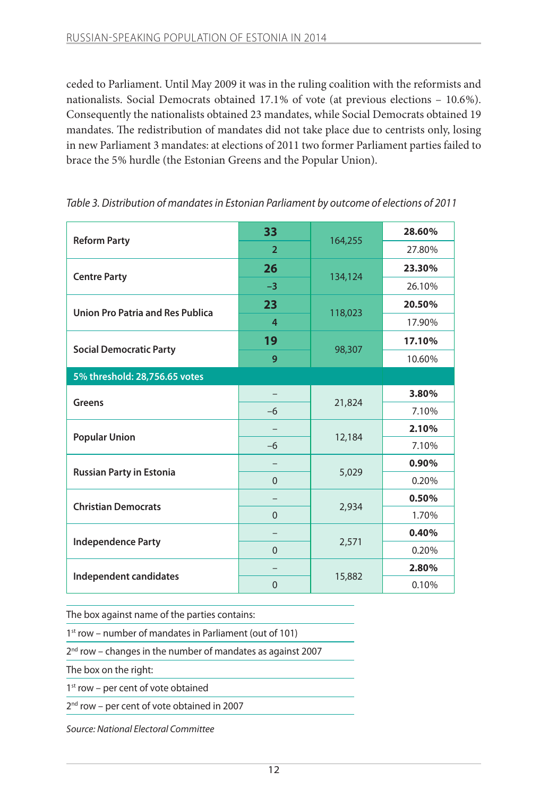ceded to Parliament. Until May 2009 it was in the ruling coalition with the reformists and nationalists. Social Democrats obtained 17.1% of vote (at previous elections – 10.6%). Consequently the nationalists obtained 23 mandates, while Social Democrats obtained 19 mandates. The redistribution of mandates did not take place due to centrists only, losing in new Parliament 3 mandates: at elections of 2011 two former Parliament parties failed to brace the 5% hurdle (the Estonian Greens and the Popular Union).

|                                         | 33             |         | 28.60% |  |  |
|-----------------------------------------|----------------|---------|--------|--|--|
| <b>Reform Party</b>                     | $\overline{2}$ | 164,255 | 27.80% |  |  |
|                                         | 26             |         | 23.30% |  |  |
| <b>Centre Party</b>                     | $-3$           | 134,124 | 26.10% |  |  |
| <b>Union Pro Patria and Res Publica</b> | 23             | 118,023 | 20.50% |  |  |
|                                         | $\overline{4}$ |         | 17.90% |  |  |
| <b>Social Democratic Party</b>          | 19             |         | 17.10% |  |  |
|                                         | 9              | 98,307  | 10.60% |  |  |
| 5% threshold: 28,756.65 votes           |                |         |        |  |  |
| Greens                                  |                | 21,824  | 3.80%  |  |  |
|                                         | $-6$           |         | 7.10%  |  |  |
|                                         |                | 12,184  | 2.10%  |  |  |
| <b>Popular Union</b>                    | $-6$           |         | 7.10%  |  |  |
| <b>Russian Party in Estonia</b>         |                | 5,029   | 0.90%  |  |  |
|                                         | $\Omega$       |         | 0.20%  |  |  |
| <b>Christian Democrats</b>              |                | 2,934   | 0.50%  |  |  |
|                                         | $\Omega$       |         | 1.70%  |  |  |
| <b>Independence Party</b>               |                | 2,571   | 0.40%  |  |  |
|                                         | $\Omega$       |         | 0.20%  |  |  |
|                                         |                | 15,882  | 2.80%  |  |  |
| Independent candidates                  | $\mathbf 0$    |         | 0.10%  |  |  |

*Table 3. Distribution of mandates in Estonian Parliament by outcome of elections of 2011*

The box against name of the parties contains:

1<sup>st</sup> row – number of mandates in Parliament (out of 101)

2<sup>nd</sup> row - changes in the number of mandates as against 2007

The box on the right:

1<sup>st</sup> row – per cent of vote obtained

2<sup>nd</sup> row – per cent of vote obtained in 2007

*Source: National Electoral Committee*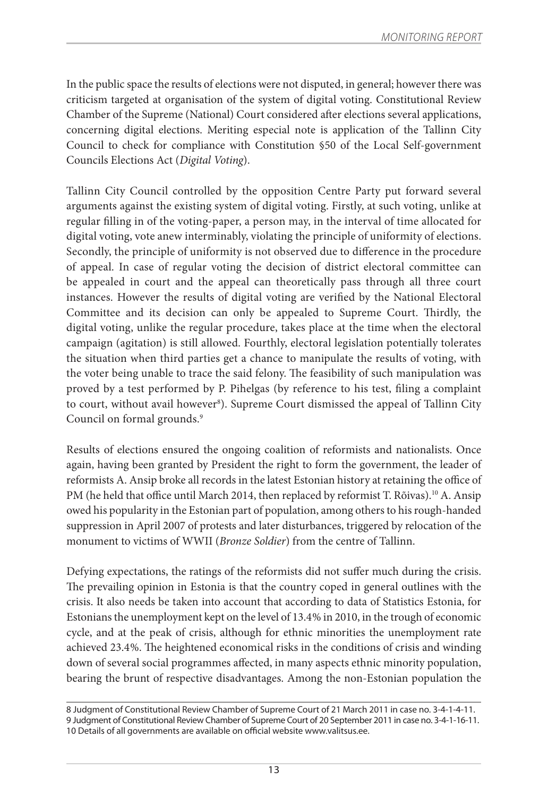In the public space the results of elections were not disputed, in general; however there was criticism targeted at organisation of the system of digital voting. Constitutional Review Chamber of the Supreme (National) Court considered after elections several applications, concerning digital elections. Meriting especial note is application of the Tallinn City Council to check for compliance with Constitution §50 of the Local Self-government Councils Elections Act (*Digital Voting*).

Tallinn City Council controlled by the opposition Centre Party put forward several arguments against the existing system of digital voting. Firstly, at such voting, unlike at regular filling in of the voting-paper, a person may, in the interval of time allocated for digital voting, vote anew interminably, violating the principle of uniformity of elections. Secondly, the principle of uniformity is not observed due to difference in the procedure of appeal. In case of regular voting the decision of district electoral committee can be appealed in court and the appeal can theoretically pass through all three court instances. However the results of digital voting are verified by the National Electoral Committee and its decision can only be appealed to Supreme Court. Thirdly, the digital voting, unlike the regular procedure, takes place at the time when the electoral campaign (agitation) is still allowed. Fourthly, electoral legislation potentially tolerates the situation when third parties get a chance to manipulate the results of voting, with the voter being unable to trace the said felony. The feasibility of such manipulation was proved by a test performed by P. Pihelgas (by reference to his test, filing a complaint to court, without avail however<sup>8</sup>). Supreme Court dismissed the appeal of Tallinn City Council on formal grounds.<sup>9</sup>

Results of elections ensured the ongoing coalition of reformists and nationalists. Once again, having been granted by President the right to form the government, the leader of reformists A. Ansip broke all records in the latest Estonian history at retaining the office of PM (he held that office until March 2014, then replaced by reformist T. Rõivas).<sup>10</sup> A. Ansip owed his popularity in the Estonian part of population, among others to his rough-handed suppression in April 2007 of protests and later disturbances, triggered by relocation of the monument to victims of WWII (*Bronze Soldier*) from the centre of Tallinn.

Defying expectations, the ratings of the reformists did not suffer much during the crisis. The prevailing opinion in Estonia is that the country coped in general outlines with the crisis. It also needs be taken into account that according to data of Statistics Estonia, for Estonians the unemployment kept on the level of 13.4% in 2010, in the trough of economic cycle, and at the peak of crisis, although for ethnic minorities the unemployment rate achieved 23.4%. The heightened economical risks in the conditions of crisis and winding down of several social programmes affected, in many aspects ethnic minority population, bearing the brunt of respective disadvantages. Among the non-Estonian population the

<sup>8</sup> Judgment of Constitutional Review Chamber of Supreme Court of 21 March 2011 in case no. 3-4-1-4-11. 9 Judgment of Constitutional Review Chamber of Supreme Court of 20 September 2011 in case no. 3-4-1-16-11. 10 Details of all governments are available on official website www.valitsus.ee.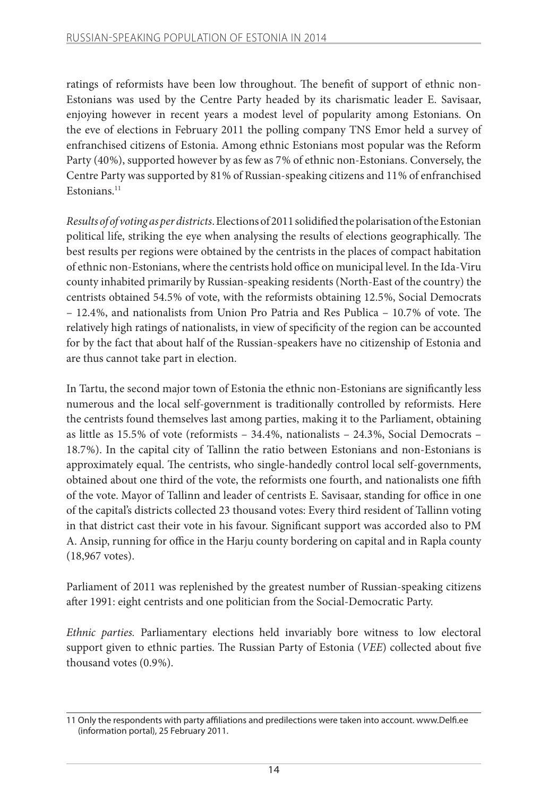ratings of reformists have been low throughout. The benefit of support of ethnic non-Estonians was used by the Centre Party headed by its charismatic leader E. Savisaar, enjoying however in recent years a modest level of popularity among Estonians. On the eve of elections in February 2011 the polling company TNS Emor held a survey of enfranchised citizens of Estonia. Among ethnic Estonians most popular was the Reform Party (40%), supported however by as few as 7% of ethnic non-Estonians. Conversely, the Centre Party was supported by 81% of Russian-speaking citizens and 11% of enfranchised Estonians.<sup>11</sup>

*Results of of voting as per districts*. Elections of 2011 solidified the polarisation of the Estonian political life, striking the eye when analysing the results of elections geographically. The best results per regions were obtained by the centrists in the places of compact habitation of ethnic non-Estonians, where the centrists hold office on municipal level. In the Ida-Viru county inhabited primarily by Russian-speaking residents (North-East of the country) the centrists obtained 54.5% of vote, with the reformists obtaining 12.5%, Social Democrats – 12.4%, and nationalists from Union Pro Patria and Res Publica – 10.7% of vote. The relatively high ratings of nationalists, in view of specificity of the region can be accounted for by the fact that about half of the Russian-speakers have no citizenship of Estonia and are thus cannot take part in election.

In Tartu, the second major town of Estonia the ethnic non-Estonians are significantly less numerous and the local self-government is traditionally controlled by reformists. Here the centrists found themselves last among parties, making it to the Parliament, obtaining as little as 15.5% of vote (reformists – 34.4%, nationalists – 24.3%, Social Democrats – 18.7%). In the capital city of Tallinn the ratio between Estonians and non-Estonians is approximately equal. The centrists, who single-handedly control local self-governments, obtained about one third of the vote, the reformists one fourth, and nationalists one fifth of the vote. Mayor of Tallinn and leader of centrists E. Savisaar, standing for office in one of the capital's districts collected 23 thousand votes: Every third resident of Tallinn voting in that district cast their vote in his favour. Significant support was accorded also to PM A. Ansip, running for office in the Harju county bordering on capital and in Rapla county (18,967 votes).

Parliament of 2011 was replenished by the greatest number of Russian-speaking citizens after 1991: eight centrists and one politician from the Social-Democratic Party.

*Ethnic parties.* Parliamentary elections held invariably bore witness to low electoral support given to ethnic parties. The Russian Party of Estonia (*VEE*) collected about five thousand votes (0.9%).

<sup>11</sup> Only the respondents with party affiliations and predilections were taken into account. www.Delfi.ee (information portal), 25 February 2011.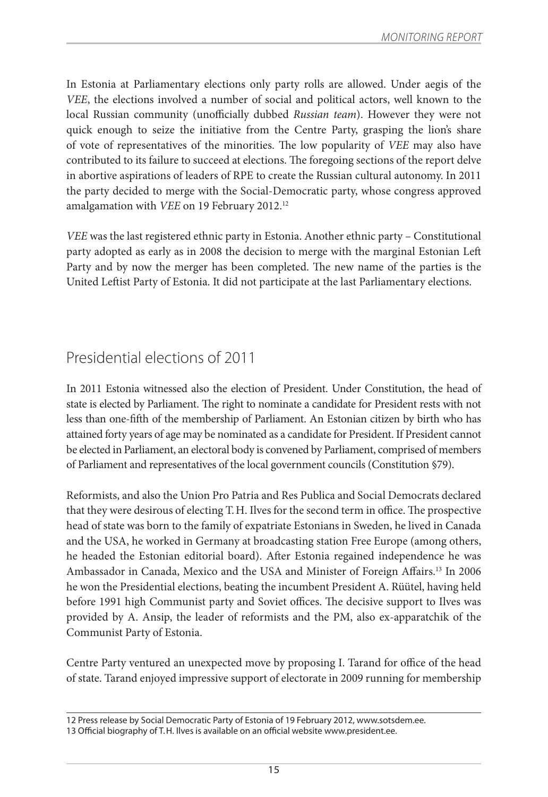In Estonia at Parliamentary elections only party rolls are allowed. Under aegis of the *VEE*, the elections involved a number of social and political actors, well known to the local Russian community (unofficially dubbed *Russian team*). However they were not quick enough to seize the initiative from the Centre Party, grasping the lion's share of vote of representatives of the minorities. The low popularity of *VEE* may also have contributed to its failure to succeed at elections. The foregoing sections of the report delve in abortive aspirations of leaders of RPE to create the Russian cultural autonomy. In 2011 the party decided to merge with the Social-Democratic party, whose congress approved amalgamation with *VEE* on 19 February 2012.12

*VEE* was the last registered ethnic party in Estonia. Another ethnic party – Constitutional party adopted as early as in 2008 the decision to merge with the marginal Estonian Left Party and by now the merger has been completed. The new name of the parties is the United Leftist Party of Estonia. It did not participate at the last Parliamentary elections.

#### Presidential elections of 2011

In 2011 Estonia witnessed also the election of President. Under Constitution, the head of state is elected by Parliament. The right to nominate a candidate for President rests with not less than one-fifth of the membership of Parliament. An Estonian citizen by birth who has attained forty years of age may be nominated as a candidate for President. If President cannot be elected in Parliament, an electoral body is convened by Parliament, comprised of members of Parliament and representatives of the local government councils (Constitution §79).

Reformists, and also the Union Pro Patria and Res Publica and Social Democrats declared that they were desirous of electing T.H. Ilves for the second term in office. The prospective head of state was born to the family of expatriate Estonians in Sweden, he lived in Canada and the USA, he worked in Germany at broadcasting station Free Europe (among others, he headed the Estonian editorial board). After Estonia regained independence he was Ambassador in Canada, Mexico and the USA and Minister of Foreign Affairs.13 In 2006 he won the Presidential elections, beating the incumbent President A. Rüütel, having held before 1991 high Communist party and Soviet offices. The decisive support to Ilves was provided by A. Ansip, the leader of reformists and the PM, also ex-apparatchik of the Communist Party of Estonia.

Centre Party ventured an unexpected move by proposing I. Tarand for office of the head of state. Tarand enjoyed impressive support of electorate in 2009 running for membership

<sup>12</sup> Press release by Social Democratic Party of Estonia of 19 February 2012, www.sotsdem.ee.

<sup>13</sup> Official biography of T.H. Ilves is available on an official website www.president.ee.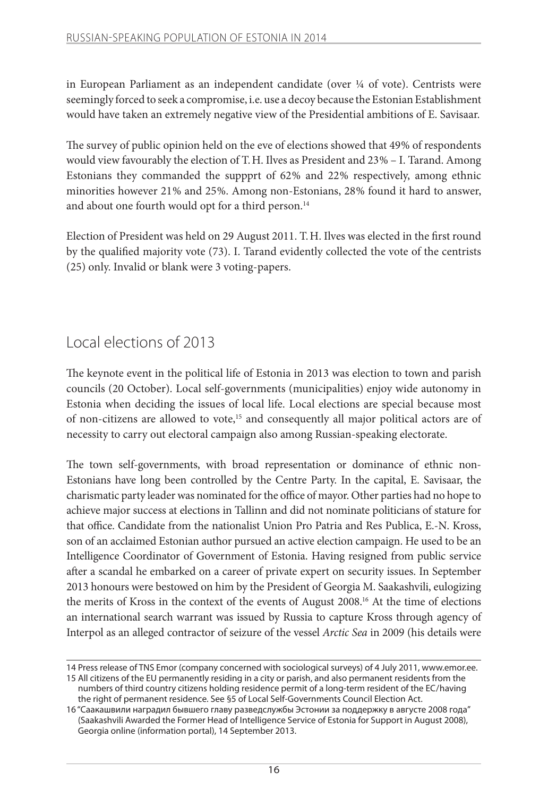in European Parliament as an independent candidate (over  $\frac{1}{4}$  of vote). Centrists were seemingly forced to seek a compromise, i.e. use a decoy because the Estonian Establishment would have taken an extremely negative view of the Presidential ambitions of E. Savisaar.

The survey of public opinion held on the eve of elections showed that 49% of respondents would view favourably the election of T.H. Ilves as President and 23% – I. Tarand. Among Estonians they commanded the suppprt of 62% and 22% respectively, among ethnic minorities however 21% and 25%. Among non-Estonians, 28% found it hard to answer, and about one fourth would opt for a third person.<sup>14</sup>

Election of President was held on 29 August 2011. T.H. Ilves was elected in the first round by the qualified majority vote (73). I. Tarand evidently collected the vote of the centrists (25) only. Invalid or blank were 3 voting-papers.

#### Local elections of 2013

The keynote event in the political life of Estonia in 2013 was election to town and parish councils (20 October). Local self-governments (municipalities) enjoy wide autonomy in Estonia when deciding the issues of local life. Local elections are special because most of non-citizens are allowed to vote,<sup>15</sup> and consequently all major political actors are of necessity to carry out electoral campaign also among Russian-speaking electorate.

The town self-governments, with broad representation or dominance of ethnic non-Estonians have long been controlled by the Centre Party. In the capital, E. Savisaar, the charismatic party leader was nominated for the office of mayor. Other parties had no hope to achieve major success at elections in Tallinn and did not nominate politicians of stature for that office. Candidate from the nationalist Union Pro Patria and Res Publica, E.-N. Kross, son of an acclaimed Estonian author pursued an active election campaign. He used to be an Intelligence Coordinator of Government of Estonia. Having resigned from public service after a scandal he embarked on a career of private expert on security issues. In September 2013 honours were bestowed on him by the President of Georgia M. Saakashvili, eulogizing the merits of Kross in the context of the events of August 2008.16 At the time of elections an international search warrant was issued by Russia to capture Kross through agency of Interpol as an alleged contractor of seizure of the vessel *Arctic Sea* in 2009 (his details were

<sup>14</sup> Press release of TNS Emor (company concerned with sociological surveys) of 4 July 2011, www.emor.ee.

<sup>15</sup> All citizens of the EU permanently residing in a city or parish, and also permanent residents from the numbers of third country citizens holding residence permit of a long-term resident of the EC/having the right of permanent residence. See §5 of Local Self-Governments Council Election Act.

<sup>16 &</sup>quot;Саакашвили наградил бывшего главу разведслужбы Эстонии за поддержку в августе 2008 года" (Saakashvili Awarded the Former Head of Intelligence Service of Estonia for Support in August 2008), Georgia online (information portal), 14 September 2013.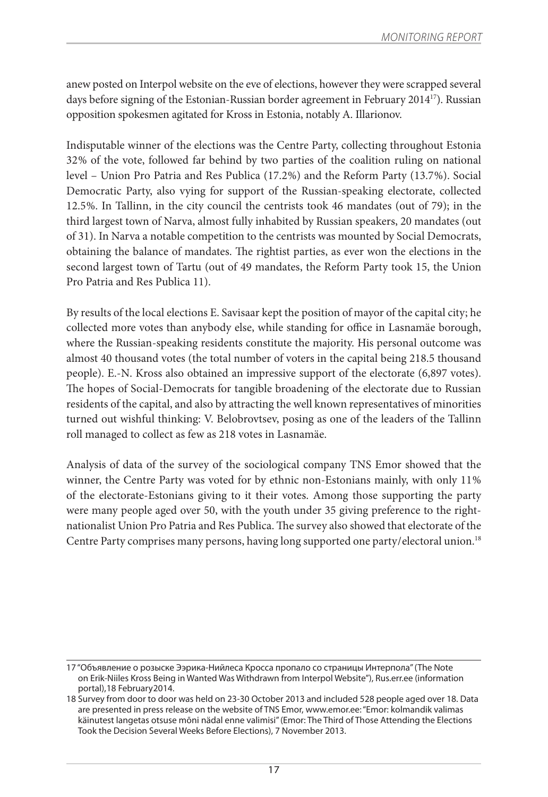anew posted on Interpol website on the eve of elections, however they were scrapped several days before signing of the Estonian-Russian border agreement in February 201417). Russian opposition spokesmen agitated for Kross in Estonia, notably A. Illarionov.

Indisputable winner of the elections was the Centre Party, collecting throughout Estonia 32% of the vote, followed far behind by two parties of the coalition ruling on national level – Union Pro Patria and Res Publica (17.2%) and the Reform Party (13.7%). Social Democratic Party, also vying for support of the Russian-speaking electorate, collected 12.5%. In Tallinn, in the city council the centrists took 46 mandates (out of 79); in the third largest town of Narva, almost fully inhabited by Russian speakers, 20 mandates (out of 31). In Narva a notable competition to the centrists was mounted by Social Democrats, obtaining the balance of mandates. The rightist parties, as ever won the elections in the second largest town of Tartu (out of 49 mandates, the Reform Party took 15, the Union Pro Patria and Res Publica 11).

By results of the local elections E. Savisaar kept the position of mayor of the capital city; he collected more votes than anybody else, while standing for office in Lasnamäe borough, where the Russian-speaking residents constitute the majority. His personal outcome was almost 40 thousand votes (the total number of voters in the capital being 218.5 thousand people). E.-N. Kross also obtained an impressive support of the electorate (6,897 votes). The hopes of Social-Democrats for tangible broadening of the electorate due to Russian residents of the capital, and also by attracting the well known representatives of minorities turned out wishful thinking: V. Belobrovtsev, posing as one of the leaders of the Tallinn roll managed to collect as few as 218 votes in Lasnamäe.

Analysis of data of the survey of the sociological company TNS Emor showed that the winner, the Centre Party was voted for by ethnic non-Estonians mainly, with only 11% of the electorate-Estonians giving to it their votes. Among those supporting the party were many people aged over 50, with the youth under 35 giving preference to the rightnationalist Union Pro Patria and Res Publica. The survey also showed that electorate of the Centre Party comprises many persons, having long supported one party/electoral union.18

<sup>17 &</sup>quot;Объявление о розыске Ээрика-Нийлеса Кросса пропало со страницы Интерпола" (The Note on Erik-Niiles Kross Being in Wanted Was Withdrawn from Interpol Website"), Rus.err.ee (information portal),18 February2014.

<sup>18</sup> Survey from door to door was held on 23-30 October 2013 and included 528 people aged over 18. Data are presented in press release on the website of TNS Emor, www.emor.ee: "Emor: kolmandik valimas käinutest langetas otsuse mõni nädal enne valimisi" (Emor: The Third of Those Attending the Elections Took the Decision Several Weeks Before Elections), 7 November 2013.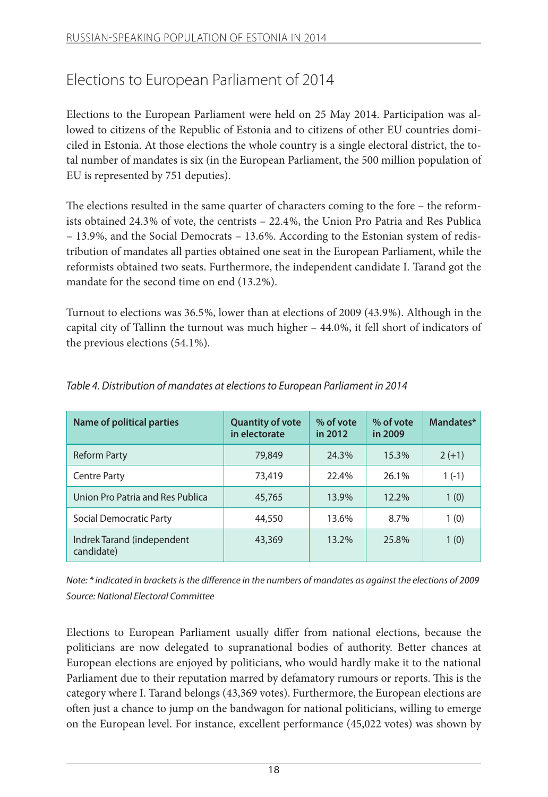#### Elections to European Parliament of 2014

Elections to the European Parliament were held on 25 May 2014. Participation was allowed to citizens of the Republic of Estonia and to citizens of other EU countries domiciled in Estonia. At those elections the whole country is a single electoral district, the total number of mandates is six (in the European Parliament, the 500 million population of EU is represented by 751 deputies).

The elections resulted in the same quarter of characters coming to the fore – the reformists obtained 24.3% of vote, the centrists – 22.4%, the Union Pro Patria and Res Publica – 13.9%, and the Social Democrats – 13.6%. According to the Estonian system of redistribution of mandates all parties obtained one seat in the European Parliament, while the reformists obtained two seats. Furthermore, the independent candidate I. Tarand got the mandate for the second time on end (13.2%).

Turnout to elections was 36.5%, lower than at elections of 2009 (43.9%). Although in the capital city of Tallinn the turnout was much higher – 44.0%, it fell short of indicators of the previous elections (54.1%).

| Name of political parties                | <b>Quantity of vote</b><br>in electorate | % of vote<br>in 2012 | % of vote<br>in 2009 | Mandates* |
|------------------------------------------|------------------------------------------|----------------------|----------------------|-----------|
| <b>Reform Party</b>                      | 79,849                                   | 24.3%                | 15.3%                | $2 (+1)$  |
| Centre Party                             | 73,419                                   | 22.4%                | 26.1%                | $1(-1)$   |
| Union Pro Patria and Res Publica         | 45,765                                   | 13.9%                | 12.2%                | 1(0)      |
| Social Democratic Party                  | 44,550                                   | 13.6%                | 8.7%                 | 1(0)      |
| Indrek Tarand (independent<br>candidate) | 43,369                                   | 13.2%                | 25.8%                | 1(0)      |

*Table 4. Distribution of mandates at elections to European Parliament in 2014*

*Note: \* indicated in brackets is the difference in the numbers of mandates as against the elections of 2009 Source: National Electoral Committee*

Elections to European Parliament usually differ from national elections, because the politicians are now delegated to supranational bodies of authority. Better chances at European elections are enjoyed by politicians, who would hardly make it to the national Parliament due to their reputation marred by defamatory rumours or reports. This is the category where I. Tarand belongs (43,369 votes). Furthermore, the European elections are often just a chance to jump on the bandwagon for national politicians, willing to emerge on the European level. For instance, excellent performance (45,022 votes) was shown by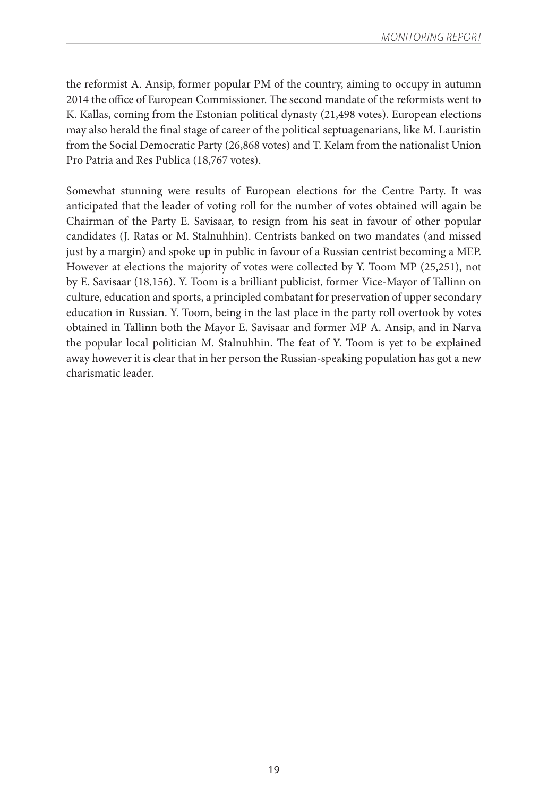the reformist А. Ansip, former popular PM of the country, aiming to occupy in autumn 2014 the office of European Commissioner. The second mandate of the reformists went to K. Kallas, coming from the Estonian political dynasty (21,498 votes). European elections may also herald the final stage of career of the political septuagenarians, like M. Lauristin from the Social Democratic Party (26,868 votes) and T. Kelam from the nationalist Union Pro Patria and Res Publica (18,767 votes).

Somewhat stunning were results of European elections for the Centre Party. It was anticipated that the leader of voting roll for the number of votes obtained will again be Chairman of the Party E. Savisaar, to resign from his seat in favour of other popular candidates (J. Ratas or M. Stalnuhhin). Centrists banked on two mandates (and missed just by a margin) and spoke up in public in favour of a Russian centrist becoming a MEP. However at elections the majority of votes were collected by Y. Toom MP (25,251), not by E. Savisaar (18,156). Y. Toom is a brilliant publicist, former Vice-Mayor of Tallinn on culture, education and sports, a principled combatant for preservation of upper secondary education in Russian. Y. Toom, being in the last place in the party roll overtook by votes obtained in Tallinn both the Mayor E. Savisaar and former MP A. Ansip, and in Narva the popular local politician M. Stalnuhhin. The feat of Y. Toom is yet to be explained away however it is clear that in her person the Russian-speaking population has got a new charismatic leader.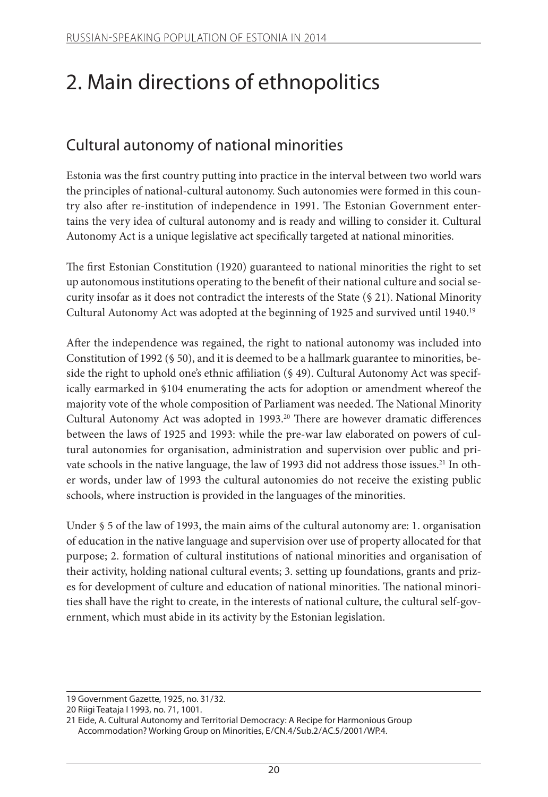# 2. Main directions of ethnopolitics

## Cultural autonomy of national minorities

Estonia was the first country putting into practice in the interval between two world wars the principles of national-cultural autonomy. Such autonomies were formed in this country also after re-institution of independence in 1991. The Estonian Government entertains the very idea of cultural autonomy and is ready and willing to consider it. Cultural Autonomy Act is a unique legislative act specifically targeted at national minorities.

The first Estonian Constitution (1920) guaranteed to national minorities the right to set up autonomous institutions operating to the benefit of their national culture and social security insofar as it does not contradict the interests of the State (§ 21). National Minority Cultural Autonomy Act was adopted at the beginning of 1925 and survived until 1940.19

After the independence was regained, the right to national autonomy was included into Constitution of 1992 (§ 50), and it is deemed to be a hallmark guarantee to minorities, beside the right to uphold one's ethnic affiliation (§ 49). Cultural Autonomy Act was specifically earmarked in §104 enumerating the acts for adoption or amendment whereof the majority vote of the whole composition of Parliament was needed. The National Minority Cultural Autonomy Act was adopted in 1993.<sup>20</sup> There are however dramatic differences between the laws of 1925 and 1993: while the pre-war law elaborated on powers of cultural autonomies for organisation, administration and supervision over public and private schools in the native language, the law of 1993 did not address those issues.<sup>21</sup> In other words, under law of 1993 the cultural autonomies do not receive the existing public schools, where instruction is provided in the languages of the minorities.

Under § 5 of the law of 1993, the main aims of the cultural autonomy are: 1. organisation of education in the native language and supervision over use of property allocated for that purpose; 2. formation of cultural institutions of national minorities and organisation of their activity, holding national cultural events; 3. setting up foundations, grants and prizes for development of culture and education of national minorities. The national minorities shall have the right to create, in the interests of national culture, the cultural self-government, which must abide in its activity by the Estonian legislation.

19 Government Gazette, 1925, no. 31/32.

20 Riigi Teataja I 1993, no. 71, 1001.

21 Eide, A. Cultural Autonomy and Territorial Democracy: A Recipe for Harmonious Group Accommodation? Working Group on Minorities, E/CN.4/Sub.2/AC.5/2001/WP.4.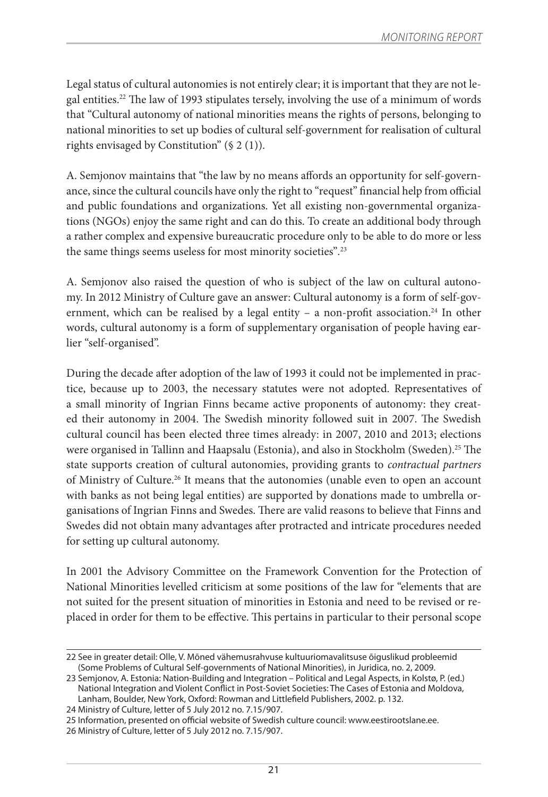Legal status of cultural autonomies is not entirely clear; it is important that they are not legal entities.22 The law of 1993 stipulates tersely, involving the use of a minimum of words that "Cultural autonomy of national minorities means the rights of persons, belonging to national minorities to set up bodies of cultural self-government for realisation of cultural rights envisaged by Constitution" (§ 2 (1)).

A. Semjonov maintains that "the law by no means affords an opportunity for self-governance, since the cultural councils have only the right to "request" financial help from official and public foundations and organizations. Yet all existing non-governmental organizations (NGOs) enjoy the same right and can do this. To create an additional body through a rather complex and expensive bureaucratic procedure only to be able to do more or less the same things seems useless for most minority societies"*.* 23

A. Semjonov also raised the question of who is subject of the law on cultural autonomy. In 2012 Ministry of Culture gave an answer: Cultural autonomy is a form of self-government, which can be realised by a legal entity – a non-profit association.<sup>24</sup> In other words, cultural autonomy is a form of supplementary organisation of people having earlier "self-organised".

During the decade after adoption of the law of 1993 it could not be implemented in practice, because up to 2003, the necessary statutes were not adopted. Representatives of a small minority of Ingrian Finns became active proponents of autonomy: they created their autonomy in 2004. The Swedish minority followed suit in 2007. The Swedish cultural council has been elected three times already: in 2007, 2010 and 2013; elections were organised in Tallinn and Haapsalu (Estonia), and also in Stockholm (Sweden).25 The state supports creation of cultural autonomies, providing grants to *contractual partners* of Ministry of Culture.26 It means that the autonomies (unable even to open an account with banks as not being legal entities) are supported by donations made to umbrella organisations of Ingrian Finns and Swedes. There are valid reasons to believe that Finns and Swedes did not obtain many advantages after protracted and intricate procedures needed for setting up cultural autonomy.

In 2001 the Advisory Committee on the Framework Convention for the Protection of National Minorities levelled criticism at some positions of the law for "elements that are not suited for the present situation of minorities in Estonia and need to be revised or replaced in order for them to be effective. This pertains in particular to their personal scope

24 Ministry of Culture, letter of 5 July 2012 no. 7.15/907.

<sup>22</sup> See in greater detail: Olle, V. Mõned vähemusrahvuse kultuuriomavalitsuse õiguslikud probleemid (Some Problems of Cultural Self-governments of National Minorities), in Juridica, no. 2, 2009.

<sup>23</sup> Semjonov, A. Estonia: Nation-Building and Integration – Political and Legal Aspects, in Kolstø, P. (ed.) National Integration and Violent Conflict in Post-Soviet Societies: The Cases of Estonia and Moldova, Lanham, Boulder, New York, Oxford: Rowman and Littlefield Publishers, 2002. p. 132.

<sup>25</sup> Information, presented on official website of Swedish culture council: www.eestirootslane.ee. 26 Ministry of Culture, letter of 5 July 2012 no. 7.15/907.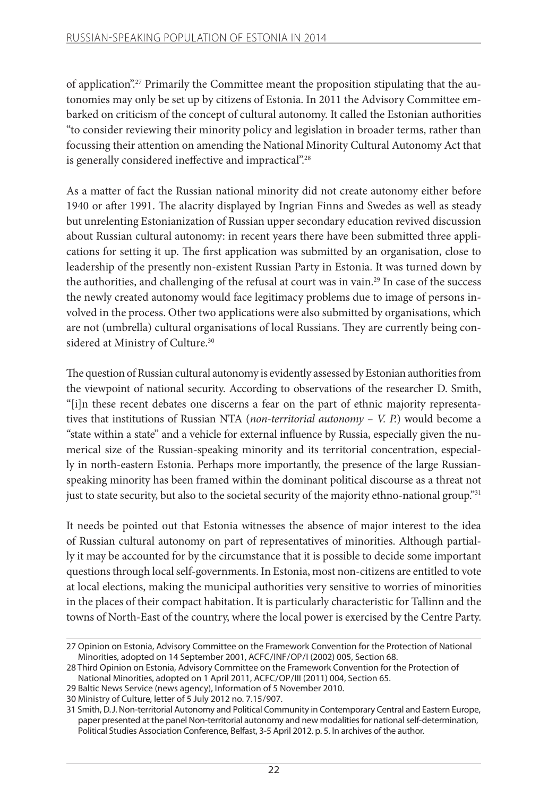of application".27 Primarily the Committee meant the proposition stipulating that the autonomies may only be set up by citizens of Estonia. In 2011 the Advisory Committee embarked on criticism of the concept of cultural autonomy. It called the Estonian authorities "to consider reviewing their minority policy and legislation in broader terms, rather than focussing their attention on amending the National Minority Cultural Autonomy Act that is generally considered ineffective and impractical".28

As a matter of fact the Russian national minority did not create autonomy either before 1940 or after 1991. The alacrity displayed by Ingrian Finns and Swedes as well as steady but unrelenting Estonianization of Russian upper secondary education revived discussion about Russian cultural autonomy: in recent years there have been submitted three applications for setting it up. The first application was submitted by an organisation, close to leadership of the presently non-existent Russian Party in Estonia. It was turned down by the authorities, and challenging of the refusal at court was in vain.<sup>29</sup> In case of the success the newly created autonomy would face legitimacy problems due to image of persons involved in the process. Other two applications were also submitted by organisations, which are not (umbrella) cultural organisations of local Russians. They are currently being considered at Ministry of Culture.<sup>30</sup>

The question of Russian cultural autonomy is evidently assessed by Estonian authorities from the viewpoint of national security. According to observations of the researcher D. Smith, "[i]n these recent debates one discerns a fear on the part of ethnic majority representatives that institutions of Russian NTA (*non-territorial autonomy – V. P.*) would become a "state within a state" and a vehicle for external influence by Russia, especially given the numerical size of the Russian-speaking minority and its territorial concentration, especially in north-eastern Estonia. Perhaps more importantly, the presence of the large Russianspeaking minority has been framed within the dominant political discourse as a threat not just to state security, but also to the societal security of the majority ethno-national group."<sup>31</sup>

It needs be pointed out that Estonia witnesses the absence of major interest to the idea of Russian cultural autonomy on part of representatives of minorities. Although partially it may be accounted for by the circumstance that it is possible to decide some important questions through local self-governments. In Estonia, most non-citizens are entitled to vote at local elections, making the municipal authorities very sensitive to worries of minorities in the places of their compact habitation. It is particularly characteristic for Tallinn and the towns of North-East of the country, where the local power is exercised by the Centre Party.

29 Baltic News Service (news agency), Information of 5 November 2010.

<sup>27</sup> Opinion on Estonia, Advisory Committee on the Framework Convention for the Protection of National Minorities, adopted on 14 September 2001, ACFC/INF/OP/I (2002) 005, Section 68.

<sup>28</sup> Third Opinion on Estonia, Advisory Committee on the Framework Convention for the Protection of National Minorities, adopted on 1 April 2011, ACFC/OP/III (2011) 004, Section 65.

<sup>30</sup> Ministry of Culture, letter of 5 July 2012 no. 7.15/907.

<sup>31</sup> Smith, D.J. Non-territorial Autonomy and Political Community in Contemporary Central and Eastern Europe, paper presented at the panel Non-territorial autonomy and new modalities for national self-determination, Political Studies Association Conference, Belfast, 3-5 April 2012. p. 5. In archives of the author.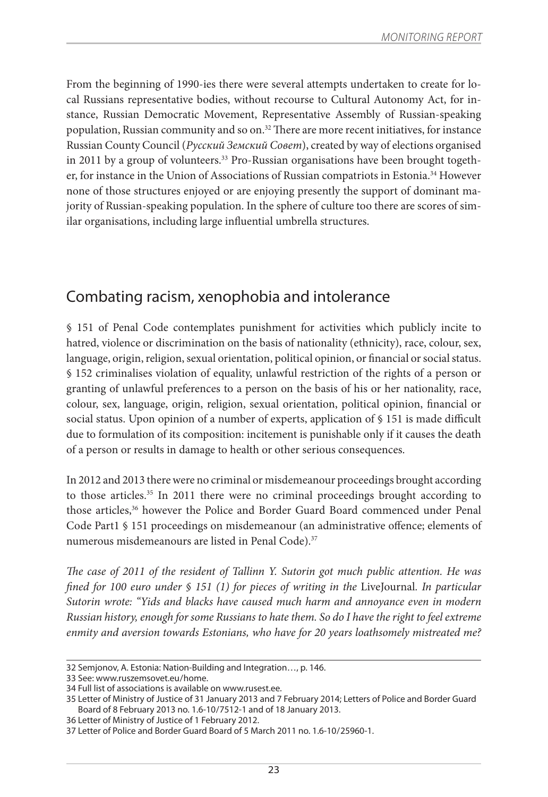From the beginning of 1990-ies there were several attempts undertaken to create for local Russians representative bodies, without recourse to Cultural Autonomy Act, for instance, Russian Democratic Movement, Representative Assembly of Russian-speaking population, Russian community and so on.32 There are more recent initiatives, for instance Russian County Council (*Русский Земский Совет*), created by way of elections organised in 2011 by a group of volunteers.<sup>33</sup> Pro-Russian organisations have been brought together, for instance in the Union of Associations of Russian compatriots in Estonia.34 However none of those structures enjoyed or are enjoying presently the support of dominant majority of Russian-speaking population. In the sphere of culture too there are scores of similar organisations, including large influential umbrella structures.

#### Combating racism, xenophobia and intolerance

§ 151 of Penal Code contemplates punishment for activities which publicly incite to hatred, violence or discrimination on the basis of nationality (ethnicity), race, colour, sex, language, origin, religion, sexual orientation, political opinion, or financial or social status. § 152 criminalises violation of equality, unlawful restriction of the rights of a person or granting of unlawful preferences to a person on the basis of his or her nationality, race, colour, sex, language, origin, religion, sexual orientation, political opinion, financial or social status. Upon opinion of a number of experts, application of § 151 is made difficult due to formulation of its composition: incitement is punishable only if it causes the death of a person or results in damage to health or other serious consequences.

In 2012 and 2013 there were no criminal or misdemeanour proceedings brought according to those articles.35 In 2011 there were no criminal proceedings brought according to those articles,<sup>36</sup> however the Police and Border Guard Board commenced under Penal Code Part1 § 151 proceedings on misdemeanour (an administrative offence; elements of numerous misdemeanours are listed in Penal Code).37

*The case of 2011 of the resident of Tallinn Y. Sutorin got much public attention. He was fined for 100 euro under § 151 (1) for pieces of writing in the* LiveJournal*. In particular Sutorin wrote: "Yids and blacks have caused much harm and annoyance even in modern Russian history, enough for some Russians to hate them. So do I have the right to feel extreme enmity and aversion towards Estonians, who have for 20 years loathsomely mistreated me?* 

<sup>32</sup> Semjonov, A. Estonia: Nation-Building and Integration…, p. 146.

<sup>33</sup> See: www.ruszemsovet.eu/home.

<sup>34</sup> Full list of associations is available on www.rusest.ee.

<sup>35</sup> Letter of Ministry of Justice of 31 January 2013 and 7 February 2014; Letters of Police and Border Guard Board of 8 February 2013 no. 1.6-10/7512-1 and of 18 January 2013.

<sup>36</sup> Letter of Ministry of Justice of 1 February 2012.

<sup>37</sup> Letter of Police and Border Guard Board of 5 March 2011 no. 1.6-10/25960-1.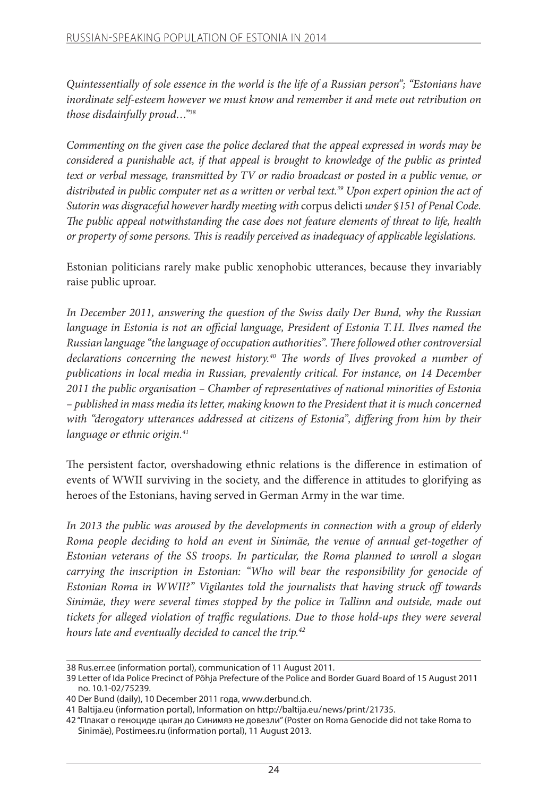*Quintessentially of sole essence in the world is the life of a Russian person"; "Estonians have inordinate self-esteem however we must know and remember it and mete out retribution on those disdainfully proud…"38*

*Commenting on the given case the police declared that the appeal expressed in words may be considered a punishable act, if that appeal is brought to knowledge of the public as printed text or verbal message, transmitted by TV or radio broadcast or posted in a public venue, or distributed in public computer net as a written or verbal text.39 Upon expert opinion the act of Sutorin was disgraceful however hardly meeting with* corpus delicti *under §151 of Penal Code. The public appeal notwithstanding the case does not feature elements of threat to life, health or property of some persons. This is readily perceived as inadequacy of applicable legislations.*

Estonian politicians rarely make public xenophobic utterances, because they invariably raise public uproar.

*In December 2011, answering the question of the Swiss daily Der Bund, why the Russian*  language in Estonia is not an official language, President of Estonia T.H. Ilves named the *Russian language "the language of occupation authorities". There followed other controversial declarations concerning the newest history.40 The words of Ilves provoked a number of publications in local media in Russian, prevalently critical. For instance, on 14 December 2011 the public organisation – Chamber of representatives of national minorities of Estonia – published in mass media its letter, making known to the President that it is much concerned with "derogatory utterances addressed at citizens of Estonia", differing from him by their language or ethnic origin.41*

The persistent factor, overshadowing ethnic relations is the difference in estimation of events of WWII surviving in the society, and the difference in attitudes to glorifying as heroes of the Estonians, having served in German Army in the war time.

*In 2013 the public was aroused by the developments in connection with a group of elderly Roma people deciding to hold an event in Sinimäe, the venue of annual get-together of Estonian veterans of the SS troops. In particular, the Roma planned to unroll a slogan carrying the inscription in Estonian: "Who will bear the responsibility for genocide of Estonian Roma in WWII?" Vigilantes told the journalists that having struck off towards Sinimäe, they were several times stopped by the police in Tallinn and outside, made out tickets for alleged violation of traffic regulations. Due to those hold-ups they were several hours late and eventually decided to cancel the trip.42*

<sup>38</sup> Rus.err.ee (information portal), communication of 11 August 2011.

<sup>39</sup> Letter of Ida Police Precinct of Põhja Prefecture of the Police and Border Guard Board of 15 August 2011 no. 10.1-02/75239.

<sup>40</sup> Der Bund (daily), 10 December 2011 года, www.derbund.ch.

<sup>41</sup> Baltija.eu (information portal), Information on http://baltija.eu/news/print/21735.

<sup>42 &</sup>quot;Плакат о геноциде цыган до Синимяэ не довезли" (Poster on Roma Genocide did not take Roma to Sinimäe), Postimees.ru (information portal), 11 August 2013.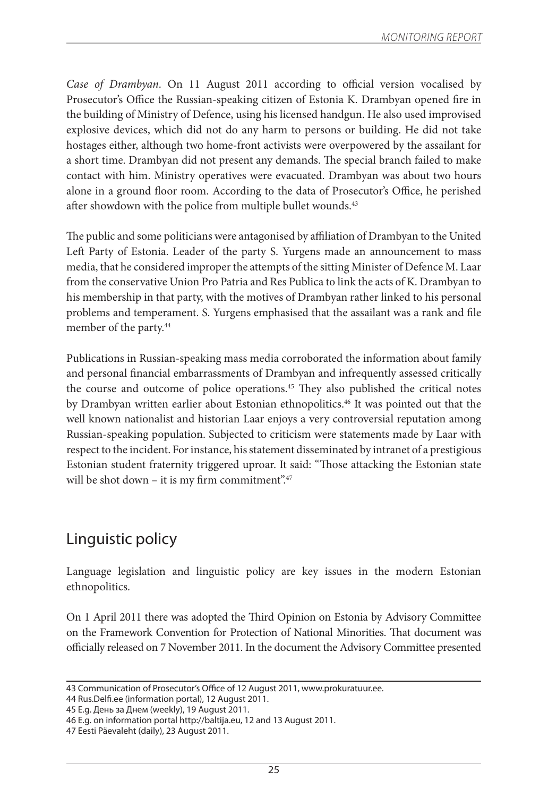*Case of Drambyan*. On 11 August 2011 according to official version vocalised by Prosecutor's Office the Russian-speaking citizen of Estonia K. Drambyan opened fire in the building of Ministry of Defence, using his licensed handgun. He also used improvised explosive devices, which did not do any harm to persons or building. He did not take hostages either, although two home-front activists were overpowered by the assailant for a short time. Drambyan did not present any demands. The special branch failed to make contact with him. Ministry operatives were evacuated. Drambyan was about two hours alone in a ground floor room. According to the data of Prosecutor's Office, he perished after showdown with the police from multiple bullet wounds.<sup>43</sup>

The public and some politicians were antagonised by affiliation of Drambyan to the United Left Party of Estonia. Leader of the party S. Yurgens made an announcement to mass media, that he considered improper the attempts of the sitting Minister of Defence M. Laar from the conservative Union Pro Patria and Res Publica to link the acts of K. Drambyan to his membership in that party, with the motives of Drambyan rather linked to his personal problems and temperament. S. Yurgens emphasised that the assailant was a rank and file member of the party.<sup>44</sup>

Publications in Russian-speaking mass media corroborated the information about family and personal financial embarrassments of Drambyan and infrequently assessed critically the course and outcome of police operations.45 They also published the critical notes by Drambyan written earlier about Estonian ethnopolitics.46 It was pointed out that the well known nationalist and historian Laar enjoys a very controversial reputation among Russian-speaking population. Subjected to criticism were statements made by Laar with respect to the incident. For instance, his statement disseminated by intranet of a prestigious Estonian student fraternity triggered uproar. It said: "Those attacking the Estonian state will be shot down – it is my firm commitment". $47$ 

#### Linguistic policy

Language legislation and linguistic policy are key issues in the modern Estonian ethnopolitics.

On 1 April 2011 there was adopted the Third Opinion on Estonia by Advisory Committee on the Framework Convention for Protection of National Minorities. That document was officially released on 7 November 2011. In the document the Advisory Committee presented

44 Rus.Delfi.ee (information portal), 12 August 2011.

45 E.g. День за Днем (weekly), 19 August 2011.

<sup>43</sup> Communication of Prosecutor's Office of 12 August 2011, www.prokuratuur.ee.

<sup>46</sup> E.g. on information portal http://baltija.eu, 12 and 13 August 2011.

<sup>47</sup> Eesti Päevaleht (daily), 23 August 2011.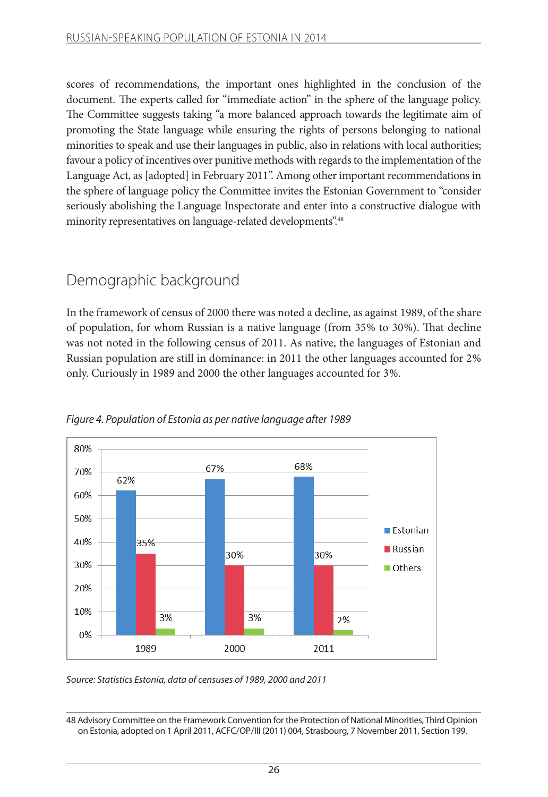scores of recommendations, the important ones highlighted in the conclusion of the document. The experts called for "immediate action" in the sphere of the language policy. The Committee suggests taking "a more balanced approach towards the legitimate aim of promoting the State language while ensuring the rights of persons belonging to national minorities to speak and use their languages in public, also in relations with local authorities; favour a policy of incentives over punitive methods with regards to the implementation of the Language Act, as [adopted] in February 2011". Among other important recommendations in the sphere of language policy the Committee invites the Estonian Government to "consider seriously abolishing the Language Inspectorate and enter into a constructive dialogue with minority representatives on language-related developments".<sup>48</sup>

#### Demographic background

In the framework of census of 2000 there was noted a decline, as against 1989, of the share of population, for whom Russian is a native language (from  $35\%$  to  $30\%$ ). That decline was not noted in the following census of 2011. As native, the languages of Estonian and Russian population are still in dominance: in 2011 the other languages accounted for 2 % only. Curiously in 1989 and 2000 the other languages accounted for 3%.



*Figure 4. Population of Estonia as per native language after 1989*

*Source: Statistics Estonia, data of censuses of 1989, 2000 and 2011*

<sup>48</sup> Advisory Committee on the Framework Convention for the Protection of National Minorities, Third Opinion on Estonia, adopted on 1 April 2011, ACFC/OP/III (2011) 004, Strasbourg, 7 November 2011, Section 199.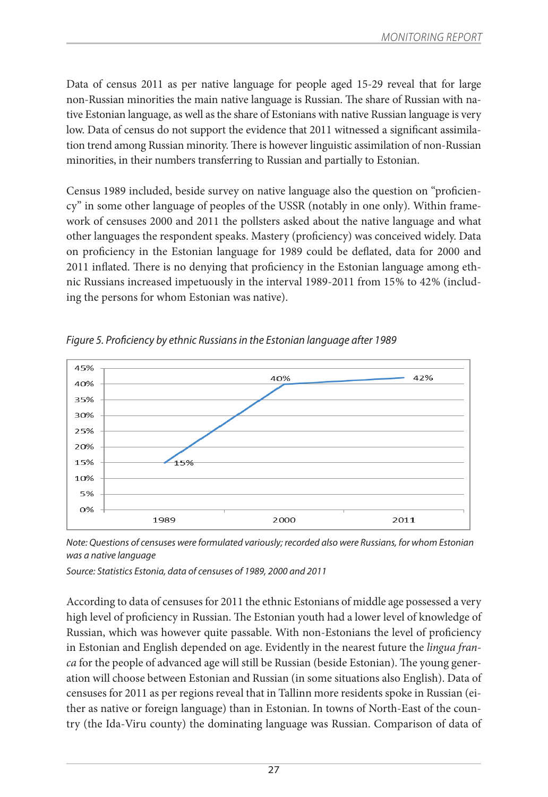Data of census 2011 as per native language for people aged 15-29 reveal that for large non-Russian minorities the main native language is Russian. The share of Russian with native Estonian language, as well as the share of Estonians with native Russian language is very low. Data of census do not support the evidence that 2011 witnessed a significant assimilation trend among Russian minority. There is however linguistic assimilation of non-Russian minorities, in their numbers transferring to Russian and partially to Estonian.

Census 1989 included, beside survey on native language also the question on "proficiency" in some other language of peoples of the USSR (notably in one only). Within framework of censuses 2000 and 2011 the pollsters asked about the native language and what other languages the respondent speaks. Mastery (proficiency) was conceived widely. Data on proficiency in the Estonian language for 1989 could be deflated, data for 2000 and 2011 inflated. There is no denying that proficiency in the Estonian language among ethnic Russians increased impetuously in the interval 1989-2011 from 15 % to 42 % (including the persons for whom Estonian was native).



Figure 5. Proficiency by ethnic Russians in the Estonian language after 1989

*Note: Questions of censuses were formulated variously; recorded also were Russians, for whom Estonian was a native language*

*Source: Statistics Estonia, data of censuses of 1989, 2000 and 2011*

According to data of censuses for 2011 the ethnic Estonians of middle age possessed a very high level of proficiency in Russian. The Estonian youth had a lower level of knowledge of Russian, which was however quite passable. With non-Estonians the level of proficiency in Estonian and English depended on age. Evidently in the nearest future the *lingua franca* for the people of advanced age will still be Russian (beside Estonian). The young generation will choose between Estonian and Russian (in some situations also English). Data of censuses for 2011 as per regions reveal that in Tallinn more residents spoke in Russian (either as native or foreign language) than in Estonian. In towns of North-East of the country (the Ida-Viru county) the dominating language was Russian. Comparison of data of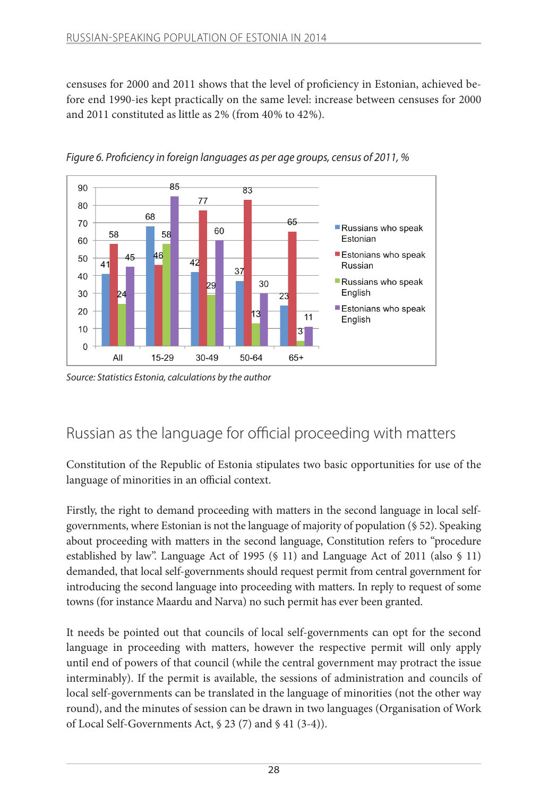censuses for 2000 and 2011 shows that the level of proficiency in Estonian, achieved before end 1990-ies kept practically on the same level: increase between censuses for 2000 and 2011 constituted as little as 2% (from 40% to 42%).



*Figure 6. Proficiency in foreign languages as per age groups, census of 2011, %* 

*Source: Statistics Estonia, calculations by the author*

#### Russian as the language for official proceeding with matters

Constitution of the Republic of Estonia stipulates two basic opportunities for use of the language of minorities in an official context.

Firstly, the right to demand proceeding with matters in the second language in local selfgovernments, where Estonian is not the language of majority of population (§ 52). Speaking about proceeding with matters in the second language, Constitution refers to "procedure established by law". Language Act of 1995 (§ 11) and Language Act of 2011 (also § 11) demanded, that local self-governments should request permit from central government for introducing the second language into proceeding with matters. In reply to request of some towns (for instance Maardu and Narva) no such permit has ever been granted.

It needs be pointed out that councils of local self-governments can opt for the second language in proceeding with matters, however the respective permit will only apply until end of powers of that council (while the central government may protract the issue interminably). If the permit is available, the sessions of administration and councils of local self-governments can be translated in the language of minorities (not the other way round), and the minutes of session can be drawn in two languages (Organisation of Work of Local Self-Governments Act, § 23 (7) and § 41 (3-4)).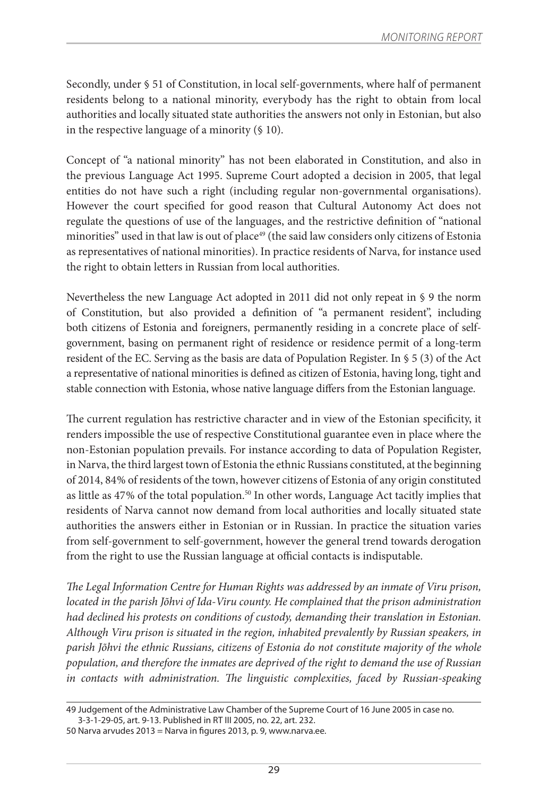Secondly, under § 51 of Constitution, in local self-governments, where half of permanent residents belong to a national minority, everybody has the right to obtain from local authorities and locally situated state authorities the answers not only in Estonian, but also in the respective language of a minority  $(§ 10)$ .

Concept of "a national minority" has not been elaborated in Constitution, and also in the previous Language Act 1995. Supreme Court adopted a decision in 2005, that legal entities do not have such a right (including regular non-governmental organisations). However the court specified for good reason that Cultural Autonomy Act does not regulate the questions of use of the languages, and the restrictive definition of "national minorities" used in that law is out of place<sup>49</sup> (the said law considers only citizens of Estonia as representatives of national minorities). In practice residents of Narva, for instance used the right to obtain letters in Russian from local authorities.

Nevertheless the new Language Act adopted in 2011 did not only repeat in § 9 the norm of Constitution, but also provided a definition of "a permanent resident", including both citizens of Estonia and foreigners, permanently residing in a concrete place of selfgovernment, basing on permanent right of residence or residence permit of a long-term resident of the EC. Serving as the basis are data of Population Register. In § 5 (3) of the Act a representative of national minorities is defined as citizen of Estonia, having long, tight and stable connection with Estonia, whose native language differs from the Estonian language.

The current regulation has restrictive character and in view of the Estonian specificity, it renders impossible the use of respective Constitutional guarantee even in place where the non-Estonian population prevails. For instance according to data of Population Register, in Narva, the third largest town of Estonia the ethnic Russians constituted, at the beginning of 2014, 84% of residents of the town, however citizens of Estonia of any origin constituted as little as  $47\%$  of the total population.<sup>50</sup> In other words, Language Act tacitly implies that residents of Narva cannot now demand from local authorities and locally situated state authorities the answers either in Estonian or in Russian. In practice the situation varies from self-government to self-government, however the general trend towards derogation from the right to use the Russian language at official contacts is indisputable.

*The Legal Information Centre for Human Rights was addressed by an inmate of Viru prison, located in the parish Jõhvi of Ida-Viru county. He complained that the prison administration had declined his protests on conditions of custody, demanding their translation in Estonian. Although Viru prison is situated in the region, inhabited prevalently by Russian speakers, in parish Jõhvi the ethnic Russians, citizens of Estonia do not constitute majority of the whole population, and therefore the inmates are deprived of the right to demand the use of Russian in contacts with administration. The linguistic complexities, faced by Russian-speaking* 

3-3-1-29-05, art. 9-13. Published in RT III 2005, no. 22, art. 232.

<sup>49</sup> Judgement of the Administrative Law Chamber of the Supreme Court of 16 June 2005 in case no.

<sup>50</sup> Narva arvudes 2013 = Narva in figures 2013, p. 9, www.narva.ee.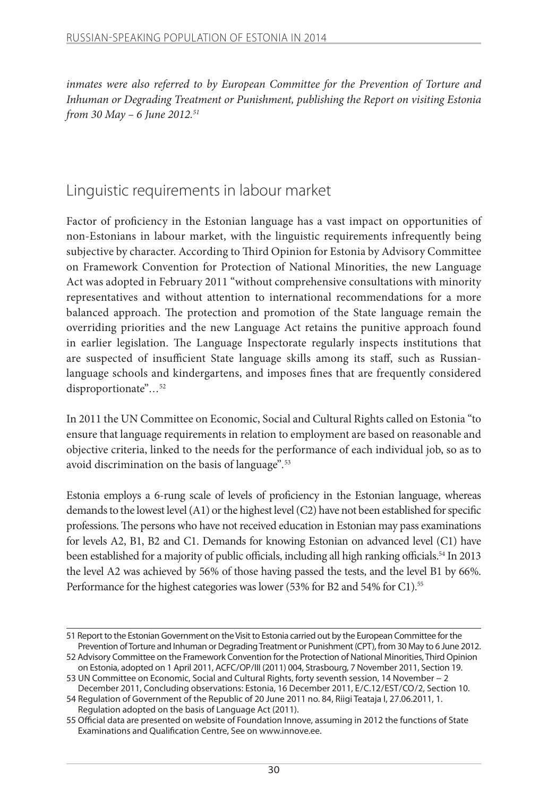*inmates were also referred to by European Committee for the Prevention of Torture and Inhuman or Degrading Treatment or Punishment, publishing the Report on visiting Estonia from 30 May – 6 June 2012.51*

#### Linguistic requirements in labour market

Factor of proficiency in the Estonian language has a vast impact on opportunities of non-Estonians in labour market, with the linguistic requirements infrequently being subjective by character. According to Third Opinion for Estonia by Advisory Committee on Framework Convention for Protection of National Minorities, the new Language Act was adopted in February 2011 "without comprehensive consultations with minority representatives and without attention to international recommendations for a more balanced approach. The protection and promotion of the State language remain the overriding priorities and the new Language Act retains the punitive approach found in earlier legislation. The Language Inspectorate regularly inspects institutions that are suspected of insufficient State language skills among its staff, such as Russianlanguage schools and kindergartens, and imposes fines that are frequently considered disproportionate"*…*<sup>52</sup>

In 2011 the UN Committee on Economic, Social and Cultural Rights called on Estonia "to ensure that language requirements in relation to employment are based on reasonable and objective criteria, linked to the needs for the performance of each individual job, so as to avoid discrimination on the basis of language"*.* 53

Estonia employs a 6-rung scale of levels of proficiency in the Estonian language, whereas demands to the lowest level (A1) or the highest level (C2) have not been established for specific professions. The persons who have not received education in Estonian may pass examinations for levels А2, B1, B2 and С1. Demands for knowing Estonian on advanced level (С1) have been established for a majority of public officials, including all high ranking officials.<sup>54</sup> In 2013 the level А2 was achieved by 56% of those having passed the tests, and the level B1 by 66%. Performance for the highest categories was lower (53% for B2 and 54% for C1).<sup>55</sup>

<sup>51</sup> Report to the Estonian Government on the Visit to Estonia carried out by the European Committee for the Prevention of Torture and Inhuman or Degrading Treatment or Punishment (CPT), from 30 May to 6 June 2012.

<sup>52</sup> Advisory Committee on the Framework Convention for the Protection of National Minorities, Third Opinion on Estonia, adopted on 1 April 2011, ACFC/OP/III (2011) 004, Strasbourg, 7 November 2011, Section 19.

<sup>53</sup> UN Committee on Economic, Social and Cultural Rights, forty seventh session, 14 November − 2 December 2011, Concluding observations: Estonia, 16 December 2011, E/C.12/EST/CO/2, Section 10.

<sup>54</sup> Regulation of Government of the Republic of 20 June 2011 no. 84, Riigi Teataja I, 27.06.2011, 1. Regulation adopted on the basis of Language Act (2011).

<sup>55</sup> Official data are presented on website of Foundation Innove, assuming in 2012 the functions of State Examinations and Qualification Centre, See on www.innove.ee.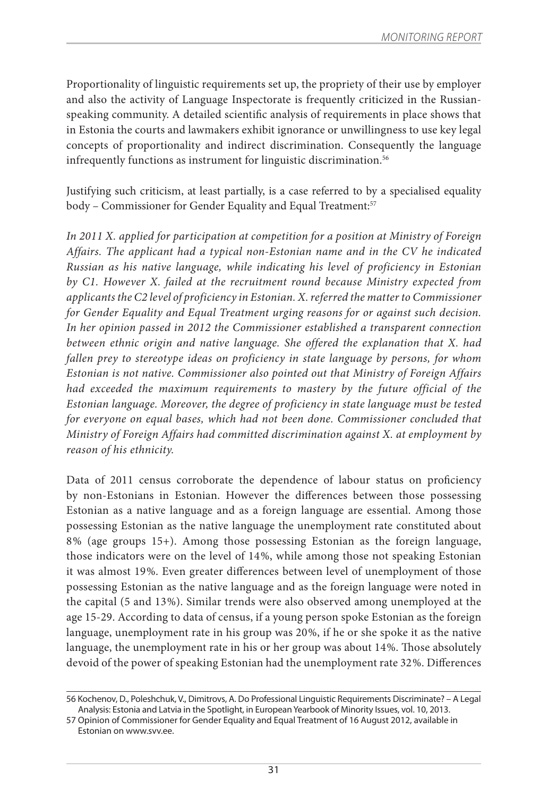Proportionality of linguistic requirements set up, the propriety of their use by employer and also the activity of Language Inspectorate is frequently criticized in the Russianspeaking community. A detailed scientific analysis of requirements in place shows that in Estonia the courts and lawmakers exhibit ignorance or unwillingness to use key legal concepts of proportionality and indirect discrimination. Consequently the language infrequently functions as instrument for linguistic discrimination.<sup>56</sup>

Justifying such criticism, at least partially, is a case referred to by a specialised equality body – Commissioner for Gender Equality and Equal Treatment:<sup>57</sup>

*In 2011 Х. applied for participation at competition for a position at Ministry of Foreign Affairs. The applicant had a typical non-Estonian name and in the CV he indicated Russian as his native language, while indicating his level of proficiency in Estonian by С1. However Х. failed at the recruitment round because Ministry expected from applicants the С2 level of proficiency in Estonian. Х. referred the matter to Commissioner for Gender Equality and Equal Treatment urging reasons for or against such decision. In her opinion passed in 2012 the Commissioner established a transparent connection between ethnic origin and native language. She offered the explanation that Х. had fallen prey to stereotype ideas on proficiency in state language by persons, for whom Estonian is not native. Commissioner also pointed out that Ministry of Foreign Affairs had exceeded the maximum requirements to mastery by the future official of the Estonian language. Moreover, the degree of proficiency in state language must be tested for everyone on equal bases, which had not been done. Commissioner concluded that Ministry of Foreign Affairs had committed discrimination against Х. at employment by reason of his ethnicity.*

Data of 2011 census corroborate the dependence of labour status on proficiency by non-Estonians in Estonian. However the differences between those possessing Estonian as a native language and as a foreign language are essential. Among those possessing Estonian as the native language the unemployment rate constituted about 8% (age groups 15+). Among those possessing Estonian as the foreign language, those indicators were on the level of 14%, while among those not speaking Estonian it was almost 19%. Even greater differences between level of unemployment of those possessing Estonian as the native language and as the foreign language were noted in the capital (5 and 13%). Similar trends were also observed among unemployed at the age 15-29. According to data of census, if a young person spoke Estonian as the foreign language, unemployment rate in his group was 20%, if he or she spoke it as the native language, the unemployment rate in his or her group was about 14%. Those absolutely devoid of the power of speaking Estonian had the unemployment rate 32%. Differences

<sup>56</sup> Kochenov, D., Poleshchuk, V., Dimitrovs, A. Do Professional Linguistic Requirements Discriminate? – A Legal Analysis: Estonia and Latvia in the Spotlight, in European Yearbook of Minority Issues, vol. 10, 2013.

<sup>57</sup> Opinion of Commissioner for Gender Equality and Equal Treatment of 16 August 2012, available in Estonian on www.svv.ee.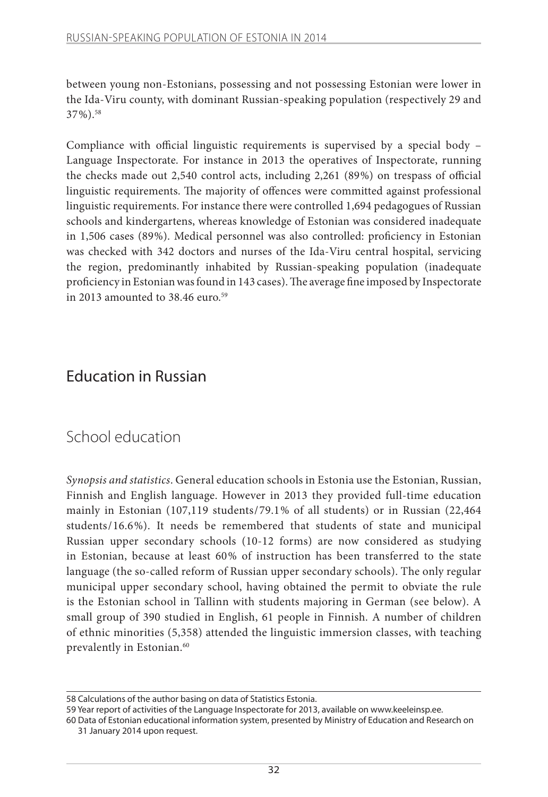between young non-Estonians, possessing and not possessing Estonian were lower in the Ida-Viru county, with dominant Russian-speaking population (respectively 29 and 37%).58

Compliance with official linguistic requirements is supervised by a special body – Language Inspectorate. For instance in 2013 the operatives of Inspectorate, running the checks made out 2,540 control acts, including 2,261 (89%) on trespass of official linguistic requirements. The majority of offences were committed against professional linguistic requirements. For instance there were controlled 1,694 pedagogues of Russian schools and kindergartens, whereas knowledge of Estonian was considered inadequate in 1,506 cases (89%). Medical personnel was also controlled: proficiency in Estonian was checked with 342 doctors and nurses of the Ida-Viru central hospital, servicing the region, predominantly inhabited by Russian-speaking population (inadequate proficiency in Estonian was found in 143 cases). The average fine imposed by Inspectorate in 2013 amounted to  $38.46$  euro.<sup>59</sup>

#### Education in Russian

#### School education

*Synopsis and statistics*. General education schools in Estonia use the Estonian, Russian, Finnish and English language. However in 2013 they provided full-time education mainly in Estonian (107,119 students/79.1% of all students) or in Russian (22,464 students/16.6%). It needs be remembered that students of state and municipal Russian upper secondary schools (10-12 forms) are now considered as studying in Estonian, because at least 60% of instruction has been transferred to the state language (the so-called reform of Russian upper secondary schools). The only regular municipal upper secondary school, having obtained the permit to obviate the rule is the Estonian school in Tallinn with students majoring in German (see below). A small group of 390 studied in English, 61 people in Finnish. A number of children of ethnic minorities (5,358) attended the linguistic immersion classes, with teaching prevalently in Estonian.<sup>60</sup>

58 Calculations of the author basing on data of Statistics Estonia.

59 Year report of activities of the Language Inspectorate for 2013, available on www.keeleinsp.ee.

60 Data of Estonian educational information system, presented by Ministry of Education and Research on 31 January 2014 upon request.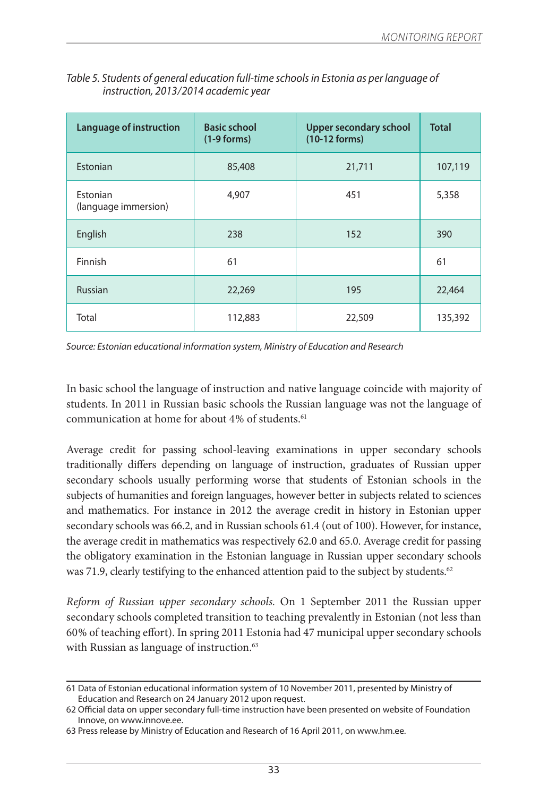| Language of instruction          | <b>Basic school</b><br>$(1-9$ forms) | <b>Upper secondary school</b><br>$(10-12 \text{ forms})$ | <b>Total</b> |
|----------------------------------|--------------------------------------|----------------------------------------------------------|--------------|
| Estonian                         | 85,408                               | 21,711                                                   | 107,119      |
| Estonian<br>(language immersion) | 4,907                                | 451                                                      | 5,358        |
| English                          | 238                                  | 152                                                      | 390          |
| Finnish                          | 61                                   |                                                          | 61           |
| Russian                          | 22,269                               | 195                                                      | 22,464       |
| Total                            | 112,883                              | 22,509                                                   | 135,392      |

#### *Table 5. Students of general education full-time schools in Estonia as per language of instruction, 2013/2014 academic year*

*Source: Estonian educational information system, Ministry of Education and Research*

In basic school the language of instruction and native language coincide with majority of students. In 2011 in Russian basic schools the Russian language was not the language of communication at home for about 4% of students.61

Average credit for passing school-leaving examinations in upper secondary schools traditionally differs depending on language of instruction, graduates of Russian upper secondary schools usually performing worse that students of Estonian schools in the subjects of humanities and foreign languages, however better in subjects related to sciences and mathematics. For instance in 2012 the average credit in history in Estonian upper secondary schools was 66.2, and in Russian schools 61.4 (out of 100). However, for instance, the average credit in mathematics was respectively 62.0 and 65.0. Average credit for passing the obligatory examination in the Estonian language in Russian upper secondary schools was 71.9, clearly testifying to the enhanced attention paid to the subject by students.<sup>62</sup>

*Reform of Russian upper secondary schools.* On 1 September 2011 the Russian upper secondary schools completed transition to teaching prevalently in Estonian (not less than 60% of teaching effort). In spring 2011 Estonia had 47 municipal upper secondary schools with Russian as language of instruction.<sup>63</sup>

<sup>61</sup> Data of Estonian educational information system of 10 November 2011, presented by Ministry of Education and Research on 24 January 2012 upon request.

<sup>62</sup> Official data on upper secondary full-time instruction have been presented on website of Foundation Innove, on www.innove.ee.

<sup>63</sup> Press release by Ministry of Education and Research of 16 April 2011, on www.hm.ee.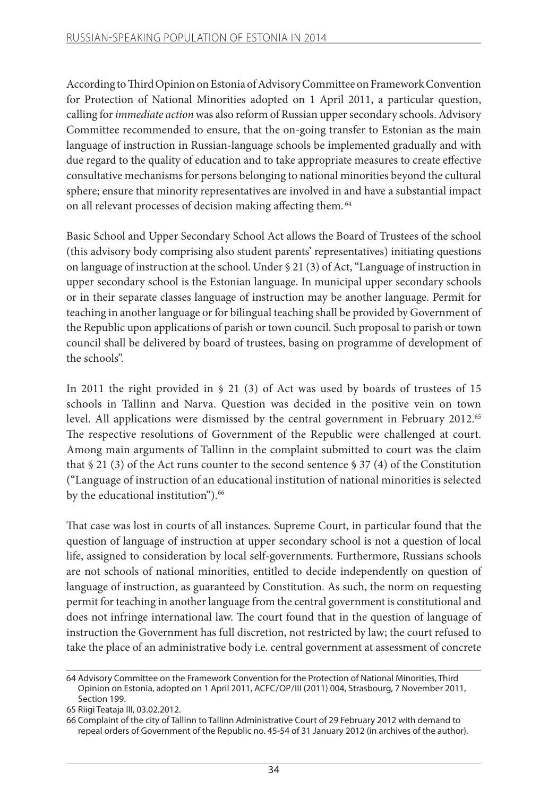According to Third Opinion on Estonia of Advisory Committee on Framework Convention for Protection of National Minorities adopted on 1 April 2011, a particular question, calling for *immediate action* was also reform of Russian upper secondary schools. Advisory Committee recommended to ensure, that the on-going transfer to Estonian as the main language of instruction in Russian-language schools be implemented gradually and with due regard to the quality of education and to take appropriate measures to create effective consultative mechanisms for persons belonging to national minorities beyond the cultural sphere; ensure that minority representatives are involved in and have a substantial impact on all relevant processes of decision making affecting them. 64

Basic School and Upper Secondary School Act allows the Board of Trustees of the school (this advisory body comprising also student parents' representatives) initiating questions on language of instruction at the school. Under § 21 (3) of Act, "Language of instruction in upper secondary school is the Estonian language. In municipal upper secondary schools or in their separate classes language of instruction may be another language. Permit for teaching in another language or for bilingual teaching shall be provided by Government of the Republic upon applications of parish or town council. Such proposal to parish or town council shall be delivered by board of trustees, basing on programme of development of the schools".

In 2011 the right provided in § 21 (3) of Act was used by boards of trustees of 15 schools in Tallinn and Narva. Question was decided in the positive vein on town level. All applications were dismissed by the central government in February 2012.65 The respective resolutions of Government of the Republic were challenged at court. Among main arguments of Tallinn in the complaint submitted to court was the claim that § 21 (3) of the Act runs counter to the second sentence § 37 (4) of the Constitution ("Language of instruction of an educational institution of national minorities is selected by the educational institution").<sup>66</sup>

That case was lost in courts of all instances. Supreme Court, in particular found that the question оf language of instruction at upper secondary school is not a question of local life, assigned to consideration by local self-governments. Furthermore, Russians schools are not schools of national minorities, entitled to decide independently on question of language of instruction, as guaranteed by Constitution. As such, the norm on requesting permit for teaching in another language from the central government is constitutional and does not infringe international law. The court found that in the question of language of instruction the Government has full discretion, not restricted by law; the court refused to take the place of an administrative body i.e. central government at assessment of concrete

<sup>64</sup> Advisory Committee on the Framework Convention for the Protection of National Minorities, Third Opinion on Estonia, adopted on 1 April 2011, ACFC/OP/III (2011) 004, Strasbourg, 7 November 2011, Section 199.

<sup>65</sup> Riigi Teataja III, 03.02.2012.

<sup>66</sup> Complaint of the city of Tallinn to Tallinn Administrative Court of 29 February 2012 with demand to repeal orders of Government of the Republic no. 45-54 of 31 January 2012 (in archives of the author).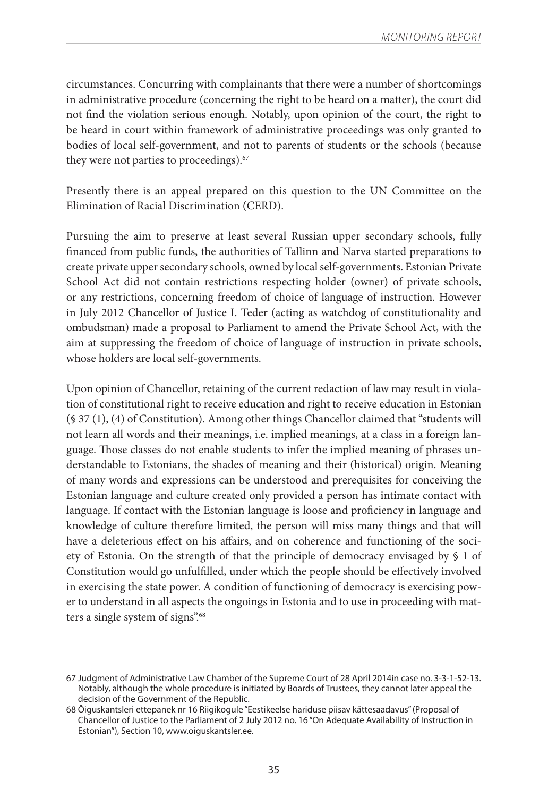circumstances. Concurring with complainants that there were a number of shortcomings in administrative procedure (concerning the right to be heard on a matter), the court did not find the violation serious enough. Notably, upon opinion of the court, the right to be heard in court within framework of administrative proceedings was only granted to bodies of local self-government, and not to parents of students or the schools (because they were not parties to proceedings).<sup>67</sup>

Presently there is an appeal prepared on this question to the UN Committee on the Elimination of Racial Discrimination (CERD).

Pursuing the aim to preserve at least several Russian upper secondary schools, fully financed from public funds, the authorities of Tallinn and Narva started preparations to create private upper secondary schools, owned by local self-governments. Estonian Private School Act did not contain restrictions respecting holder (owner) of private schools, or any restrictions, concerning freedom of choice of language of instruction. However in July 2012 Chancellor of Justice I. Teder (acting as watchdog of constitutionality and ombudsman) made a proposal to Parliament to amend the Private School Act, with the aim at suppressing the freedom of choice of language of instruction in private schools, whose holders are local self-governments.

Upon opinion of Chancellor, retaining of the current redaction of law may result in violation of constitutional right to receive education and right to receive education in Estonian (§ 37 (1), (4) of Constitution). Among other things Chancellor claimed that "students will not learn all words and their meanings, i.e. implied meanings, at a class in a foreign language. Those classes do not enable students to infer the implied meaning of phrases understandable to Estonians, the shades of meaning and their (historical) origin. Meaning of many words and expressions can be understood and prerequisites for conceiving the Estonian language and culture created only provided a person has intimate contact with language. If contact with the Estonian language is loose and proficiency in language and knowledge of culture therefore limited, the person will miss many things and that will have a deleterious effect on his affairs, and on coherence and functioning of the society of Estonia. On the strength of that the principle of democracy envisaged by § 1 of Constitution would go unfulfilled, under which the people should be effectively involved in exercising the state power. A condition of functioning of democracy is exercising power to understand in all aspects the ongoings in Estonia and to use in proceeding with matters a single system of signs".68

<sup>67</sup> Judgment of Administrative Law Chamber of the Supreme Court of 28 April 2014in case no. 3-3-1-52-13. Notably, although the whole procedure is initiated by Boards of Trustees, they cannot later appeal the decision of the Government of the Republic.

<sup>68</sup> Õiguskantsleri ettepanek nr 16 Riigikogule "Eestikeelse hariduse piisav kättesaadavus" (Proposal of Chancellor of Justice to the Parliament of 2 July 2012 no. 16 "On Adequate Availability of Instruction in Estonian"), Section 10, www.oiguskantsler.ee.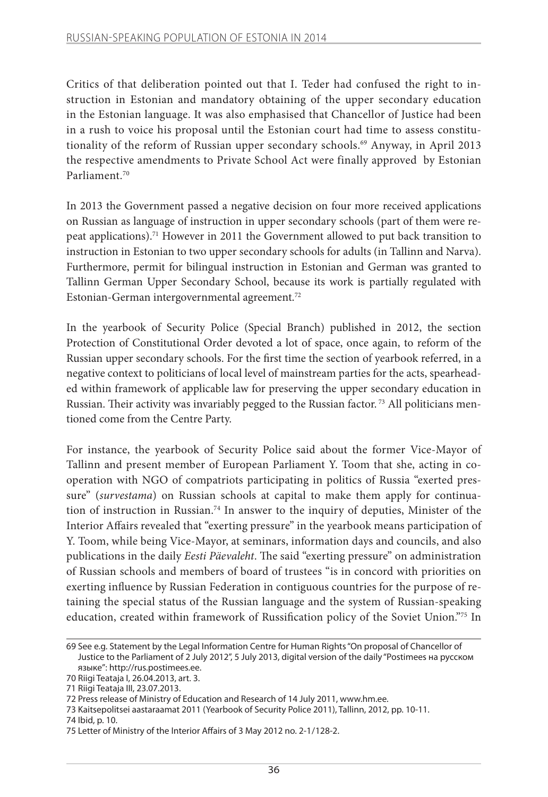Critics of that deliberation pointed out that I. Teder had confused the right to instruction in Estonian and mandatory obtaining of the upper secondary education in the Estonian language. It was also emphasised that Chancellor of Justice had been in a rush to voice his proposal until the Estonian court had time to assess constitutionality of the reform of Russian upper secondary schools.<sup>69</sup> Anyway, in April 2013 the respective amendments to Private School Act were finally approved by Estonian Parliament<sup>70</sup>

In 2013 the Government passed a negative decision on four more received applications on Russian as language of instruction in upper secondary schools (part of them were repeat applications).71 However in 2011 the Government allowed to put back transition to instruction in Estonian to two upper secondary schools for adults (in Tallinn and Narva). Furthermore, permit for bilingual instruction in Estonian and German was granted to Tallinn German Upper Secondary School, because its work is partially regulated with Estonian-German intergovernmental agreement.72

In the yearbook of Security Police (Special Branch) published in 2012, the section Protection of Constitutional Order devoted a lot of space, once again, to reform of the Russian upper secondary schools. For the first time the section of yearbook referred, in a negative context to politicians of local level of mainstream parties for the acts, spearheaded within framework of applicable law for preserving the upper secondary education in Russian. Their activity was invariably pegged to the Russian factor. 73 All politicians mentioned come from the Centre Party.

For instance, the yearbook of Security Police said about the former Vice-Mayor of Tallinn and present member of European Parliament Y. Toom that she, acting in cooperation with NGO of compatriots participating in politics of Russia "exerted pressure" (*survestama*) on Russian schools at capital to make them apply for continuation of instruction in Russian.<sup>74</sup> In answer to the inquiry of deputies, Minister of the Interior Affairs revealed that "exerting pressure" in the yearbook means participation of Y. Toom, while being Vice-Mayor, at seminars, information days and councils, and also publications in the daily *Eesti Päevaleht*. The said "exerting pressure" on administration of Russian schools and members of board of trustees "is in concord with priorities on exerting influence by Russian Federation in contiguous countries for the purpose of retaining the special status of the Russian language and the system of Russian-speaking education, created within framework of Russification policy of the Soviet Union."75 In

<sup>69</sup> See e.g. Statement by the Legal Information Centre for Human Rights "On proposal of Chancellor of Justice to the Parliament of 2 July 2012", 5 July 2013, digital version of the daily "Postimees на русском языке": http://rus.postimees.ee.

<sup>70</sup> Riigi Teataja I, 26.04.2013, art. 3.

<sup>71</sup> Riigi Teataja III, 23.07.2013.

<sup>72</sup> Press release of Ministry of Education and Research of 14 July 2011, www.hm.ee.

<sup>73</sup> Kaitsepolitsei aastaraamat 2011 (Yearbook of Security Police 2011), Tallinn, 2012, pp. 10-11.

<sup>74</sup> Ibid, p. 10.

<sup>75</sup> Letter of Ministry of the Interior Affairs of 3 May 2012 no. 2-1/128-2.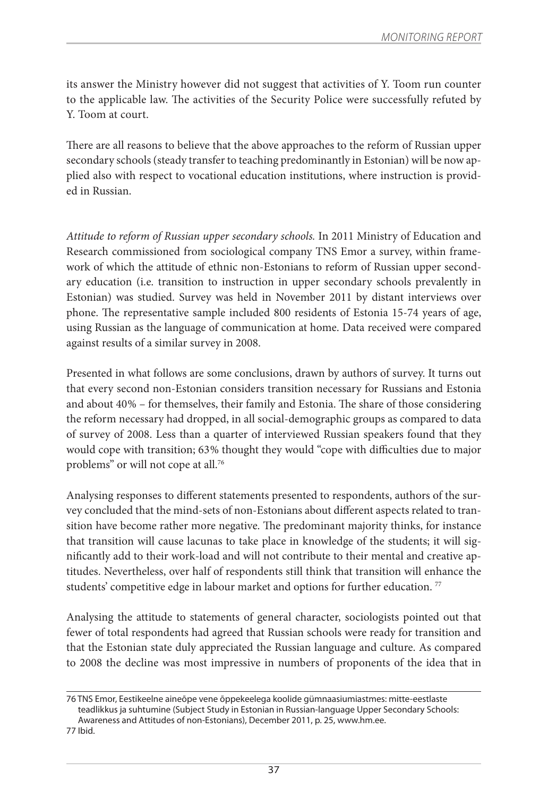its answer the Ministry however did not suggest that activities of Y. Toom run counter to the applicable law. The activities of the Security Police were successfully refuted by Y. Toom at court.

There are all reasons to believe that the above approaches to the reform of Russian upper secondary schools (steady transfer to teaching predominantly in Estonian) will be now applied also with respect to vocational education institutions, where instruction is provided in Russian.

*Attitude to reform of Russian upper secondary schools.* In 2011 Ministry of Education and Research commissioned from sociological company TNS Emor a survey, within framework of which the attitude of ethnic non-Estonians to reform of Russian upper secondary education (i.e. transition to instruction in upper secondary schools prevalently in Estonian) was studied. Survey was held in November 2011 by distant interviews over phone. The representative sample included 800 residents of Estonia 15-74 years of age, using Russian as the language of communication at home. Data received were compared against results of a similar survey in 2008.

Presented in what follows are some conclusions, drawn by authors of survey. It turns out that every second non-Estonian considers transition necessary for Russians and Estonia and about 40% – for themselves, their family and Estonia. The share of those considering the reform necessary had dropped, in all social-demographic groups as compared to data of survey of 2008. Less than a quarter of interviewed Russian speakers found that they would cope with transition; 63% thought they would "cope with difficulties due to major problems" or will not cope at all.76

Analysing responses to different statements presented to respondents, authors of the survey concluded that the mind-sets of non-Estonians about different aspects related to transition have become rather more negative. The predominant majority thinks, for instance that transition will cause lacunas to take place in knowledge of the students; it will significantly add to their work-load and will not contribute to their mental and creative aptitudes. Nevertheless, over half of respondents still think that transition will enhance the students' competitive edge in labour market and options for further education.<sup>77</sup>

Analysing the attitude to statements of general character, sociologists pointed out that fewer of total respondents had agreed that Russian schools were ready for transition and that the Estonian state duly appreciated the Russian language and culture. As compared to 2008 the decline was most impressive in numbers of proponents of the idea that in

<sup>76</sup> TNS Emor, Eestikeelne aineõpe vene õppekeelega koolide gümnaasiumiastmes: mitte-eestlaste teadlikkus ja suhtumine (Subject Study in Estonian in Russian-language Upper Secondary Schools: Awareness and Attitudes of non-Estonians), December 2011, p. 25, www.hm.ee.

<sup>77</sup> Ibid.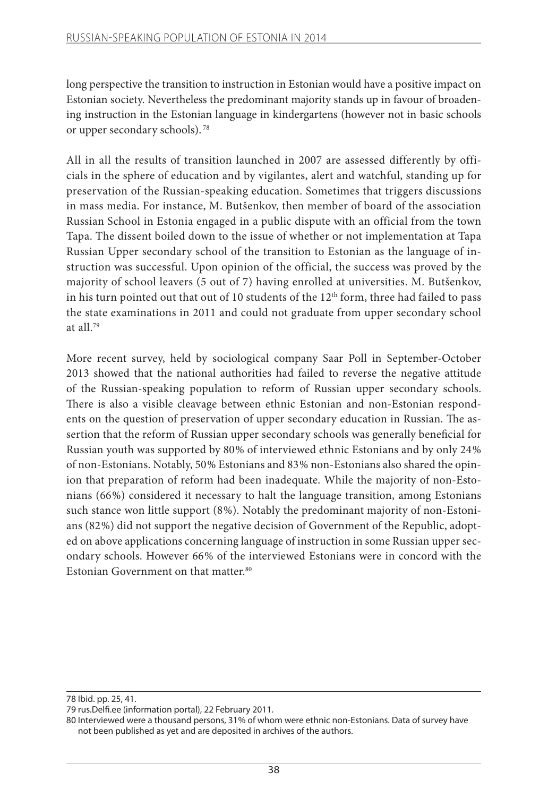long perspective the transition to instruction in Estonian would have a positive impact on Estonian society. Nevertheless the predominant majority stands up in favour of broadening instruction in the Estonian language in kindergartens (however not in basic schools or upper secondary schools). 78

All in all the results of transition launched in 2007 are assessed differently by officials in the sphere of education and by vigilantes, alert and watchful, standing up for preservation of the Russian-speaking education. Sometimes that triggers discussions in mass media. For instance, M. Butšenkov, then member of board of the association Russian School in Estonia engaged in a public dispute with an official from the town Tapa. The dissent boiled down to the issue of whether or not implementation at Tapa Russian Upper secondary school of the transition to Estonian as the language of instruction was successful. Upon opinion of the official, the success was proved by the majority of school leavers (5 out of 7) having enrolled at universities. M. Butšenkov, in his turn pointed out that out of 10 students of the  $12<sup>th</sup>$  form, three had failed to pass the state examinations in 2011 and could not graduate from upper secondary school at all.79

More recent survey, held by sociological company Saar Poll in September-October 2013 showed that the national authorities had failed to reverse the negative attitude of the Russian-speaking population to reform of Russian upper secondary schools. There is also a visible cleavage between ethnic Estonian and non-Estonian respondents on the question of preservation of upper secondary education in Russian. The assertion that the reform of Russian upper secondary schools was generally beneficial for Russian youth was supported by 80% of interviewed ethnic Estonians and by only 24% of non-Estonians. Notably, 50% Estonians and 83% non-Estonians also shared the opinion that preparation of reform had been inadequate. While the majority of non-Estonians (66%) considered it necessary to halt the language transition, among Estonians such stance won little support (8%). Notably the predominant majority of non-Estonians (82%) did not support the negative decision of Government of the Republic, adopted on above applications concerning language of instruction in some Russian upper secondary schools. However 66% of the interviewed Estonians were in concord with the Estonian Government on that matter.<sup>80</sup>

<sup>78</sup> Ibid. pp. 25, 41.

<sup>79</sup> rus.Delfi.ee (information portal), 22 February 2011.

<sup>80</sup> Interviewed were a thousand persons, 31% of whom were ethnic non-Estonians. Data of survey have not been published as yet and are deposited in archives of the authors.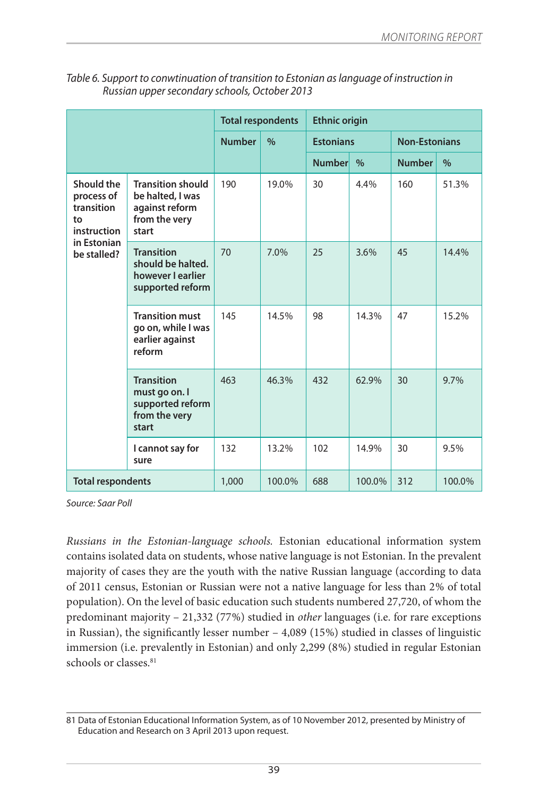|                                                                                           |                                                                                          | <b>Total respondents</b>       |        | <b>Ethnic origin</b> |                      |               |        |
|-------------------------------------------------------------------------------------------|------------------------------------------------------------------------------------------|--------------------------------|--------|----------------------|----------------------|---------------|--------|
|                                                                                           |                                                                                          | <b>Number</b><br>$\frac{0}{0}$ |        | <b>Estonians</b>     | <b>Non-Estonians</b> |               |        |
|                                                                                           |                                                                                          |                                |        | <b>Number</b>        | $\%$                 | <b>Number</b> | $\%$   |
| Should the<br>process of<br>transition<br>to<br>instruction<br>in Estonian<br>be stalled? | <b>Transition should</b><br>be halted, I was<br>against reform<br>from the very<br>start | 190                            | 19.0%  | 30                   | 4.4%                 | 160           | 51.3%  |
|                                                                                           | <b>Transition</b><br>should be halted.<br>however I earlier<br>supported reform          | 70                             | 7.0%   | 25                   | 3.6%                 | 45            | 14.4%  |
|                                                                                           | <b>Transition must</b><br>go on, while I was<br>earlier against<br>reform                | 145                            | 14.5%  | 98                   | 14.3%                | 47            | 15.2%  |
|                                                                                           | <b>Transition</b><br>must go on. I<br>supported reform<br>from the very<br>start         | 463                            | 46.3%  | 432                  | 62.9%                | 30            | 9.7%   |
|                                                                                           | I cannot say for<br>sure                                                                 | 132                            | 13.2%  | 102                  | 14.9%                | 30            | 9.5%   |
| <b>Total respondents</b>                                                                  |                                                                                          | 1,000                          | 100.0% | 688                  | 100.0%               | 312           | 100.0% |

| Table 6. Support to conwtinuation of transition to Estonian as language of instruction in |  |
|-------------------------------------------------------------------------------------------|--|
| Russian upper secondary schools, October 2013                                             |  |

*Source: Saar Poll*

*Russians in the Estonian-language schools.* Estonian educational information system contains isolated data on students, whose native language is not Estonian. In the prevalent majority of cases they are the youth with the native Russian language (according to data of 2011 census, Estonian or Russian were not a native language for less than 2% of total population). On the level of basic education such students numbered 27,720, of whom the predominant majority – 21,332 (77%) studied in *other* languages (i.e. for rare exceptions in Russian), the significantly lesser number – 4,089 (15%) studied in classes of linguistic immersion (i.e. prevalently in Estonian) and only 2,299 (8%) studied in regular Estonian schools or classes<sup>81</sup>

<sup>81</sup> Data of Estonian Educational Information System, as of 10 November 2012, presented by Ministry of Education and Research on 3 April 2013 upon request.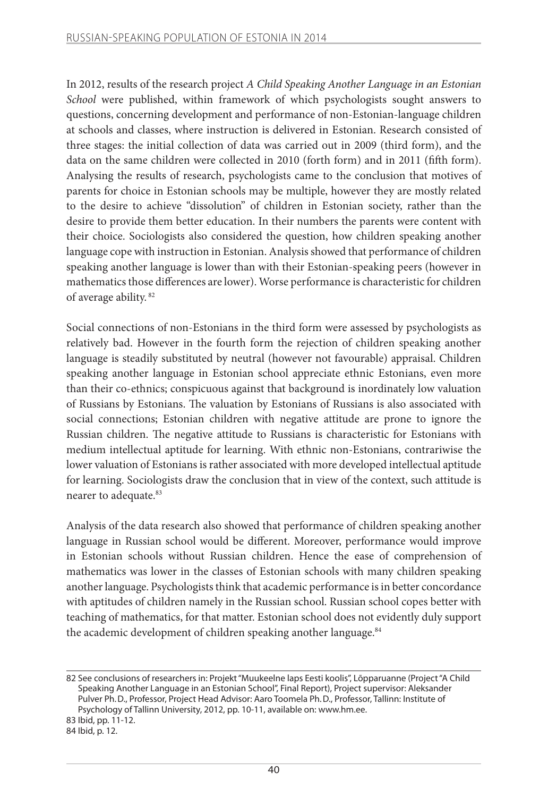In 2012, results of the research project *A Child Speaking Another Language in an Estonian School* were published, within framework of which psychologists sought answers to questions, concerning development and performance of non-Estonian-language children at schools and classes, where instruction is delivered in Estonian. Research consisted of three stages: the initial collection of data was carried out in 2009 (third form), and the data on the same children were collected in 2010 (forth form) and in 2011 (fifth form). Analysing the results of research, psychologists came to the conclusion that motives of parents for choice in Estonian schools may be multiple, however they are mostly related to the desire to achieve "dissolution" of children in Estonian society, rather than the desire to provide them better education. In their numbers the parents were content with their choice. Sociologists also considered the question, how children speaking another language cope with instruction in Estonian. Analysis showed that performance of children speaking another language is lower than with their Estonian-speaking peers (however in mathematics those differences are lower). Worse performance is characteristic for children of average ability. 82

Social connections of non-Estonians in the third form were assessed by psychologists as relatively bad. However in the fourth form the rejection of children speaking another language is steadily substituted by neutral (however not favourable) appraisal. Children speaking another language in Estonian school appreciate ethnic Estonians, even more than their co-ethnics; conspicuous against that background is inordinately low valuation of Russians by Estonians. The valuation by Estonians of Russians is also associated with social connections; Estonian children with negative attitude are prone to ignore the Russian children. The negative attitude to Russians is characteristic for Estonians with medium intellectual aptitude for learning. With ethnic non-Estonians, contrariwise the lower valuation of Estonians is rather associated with more developed intellectual aptitude for learning. Sociologists draw the conclusion that in view of the context, such attitude is nearer to adequate.<sup>83</sup>

Analysis of the data research also showed that performance of children speaking another language in Russian school would be different. Moreover, performance would improve in Estonian schools without Russian children. Hence the ease of comprehension of mathematics was lower in the classes of Estonian schools with many children speaking another language. Psychologists think that academic performance is in better concordance with aptitudes of children namely in the Russian school. Russian school copes better with teaching of mathematics, for that matter. Estonian school does not evidently duly support the academic development of children speaking another language.<sup>84</sup>

82 See conclusions of researchers in: Projekt "Muukeelne laps Eesti koolis", Lõpparuanne (Project "A Child Speaking Another Language in an Estonian School", Final Report), Project supervisor: Aleksander Pulver Ph.D., Professor, Project Head Advisor: Aaro Toomela Ph.D., Professor, Tallinn: Institute of Psychology of Tallinn University, 2012, pp. 10-11, available on: www.hm.ee.

83 Ibid, pp. 11-12.

<sup>84</sup> Ibid, p. 12.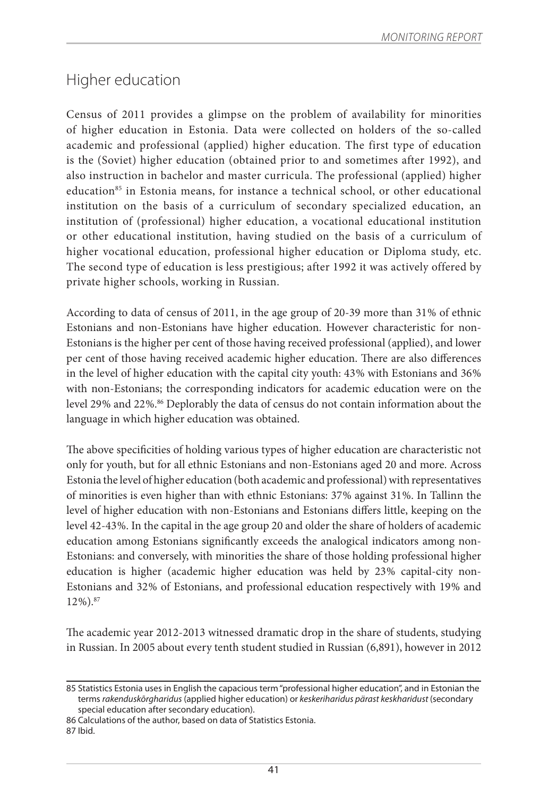# Higher education

Census of 2011 provides a glimpse on the problem of availability for minorities of higher education in Estonia. Data were collected on holders of the so-called academic and professional (applied) higher education. The first type of education is the (Soviet) higher education (obtained prior to and sometimes after 1992), and also instruction in bachelor and master curricula. The professional (applied) higher education<sup>85</sup> in Estonia means, for instance a technical school, or other educational institution on the basis of a curriculum of secondary specialized education, an institution of (professional) higher education, a vocational educational institution or other educational institution, having studied on the basis of a curriculum of higher vocational education, professional higher education or Diploma study, etc. The second type of education is less prestigious; after 1992 it was actively offered by private higher schools, working in Russian.

According to data of census of 2011, in the age group of 20-39 more than 31% of ethnic Estonians and non-Estonians have higher education. However characteristic for non-Estonians is the higher per cent of those having received professional (applied), and lower per cent of those having received academic higher education. There are also differences in the level of higher education with the capital city youth: 43% with Estonians and 36% with non-Estonians; the corresponding indicators for academic education were on the level 29% and 22%.<sup>86</sup> Deplorably the data of census do not contain information about the language in which higher education was obtained.

The above specificities of holding various types of higher education are characteristic not only for youth, but for all ethnic Estonians and non-Estonians aged 20 and more. Across Estonia the level of higher education (both academic and professional) with representatives of minorities is even higher than with ethnic Estonians: 37% against 31%. In Tallinn the level of higher education with non-Estonians and Estonians differs little, keeping on the level 42-43%. In the capital in the age group 20 and older the share of holders of academic education among Estonians significantly exceeds the analogical indicators among non-Estonians: and conversely, with minorities the share of those holding professional higher education is higher (academic higher education was held by 23% capital-city non-Estonians and 32% of Estonians, and professional education respectively with 19% and  $12\%$ ).  $87$ 

The academic year 2012-2013 witnessed dramatic drop in the share of students, studying in Russian. In 2005 about every tenth student studied in Russian (6,891), however in 2012

<sup>85</sup> Statistics Estonia uses in English the capacious term "professional higher education", and in Estonian the terms *rakenduskõrgharidus* (applied higher education) or *keskeriharidus pärast keskharidust* (secondary special education after secondary education).

<sup>86</sup> Calculations of the author, based on data of Statistics Estonia.

<sup>87</sup> Ibid.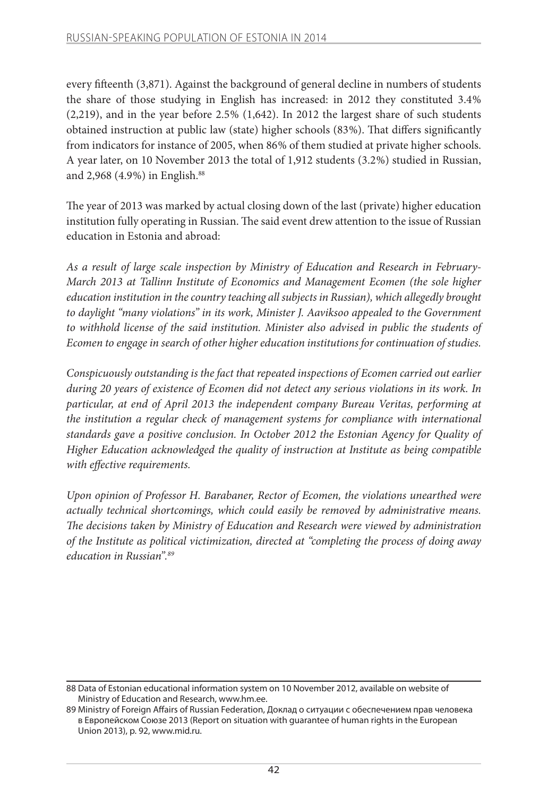every fifteenth (3,871). Against the background of general decline in numbers of students the share of those studying in English has increased: in 2012 they constituted 3.4%  $(2,219)$ , and in the year before  $2.5\%$   $(1,642)$ . In 2012 the largest share of such students obtained instruction at public law (state) higher schools (83%). That differs significantly from indicators for instance of 2005, when 86% of them studied at private higher schools. A year later, on 10 November 2013 the total of 1,912 students (3.2%) studied in Russian, and 2,968 (4.9%) in English.<sup>88</sup>

The year of 2013 was marked by actual closing down of the last (private) higher education institution fully operating in Russian. The said event drew attention to the issue of Russian education in Estonia and abroad:

*As a result of large scale inspection by Ministry of Education and Research in February-March 2013 at Tallinn Institute of Economics and Management Ecomen (the sole higher education institution in the country teaching all subjects in Russian), which allegedly brought to daylight "many violations" in its work, Minister J. Aaviksoo appealed to the Government to withhold license of the said institution. Minister also advised in public the students of Ecomen to engage in search of other higher education institutions for continuation of studies.*

*Conspicuously outstanding is the fact that repeated inspections of Ecomen carried out earlier during 20 years of existence of Ecomen did not detect any serious violations in its work. In particular, at end of April 2013 the independent company Bureau Veritas, performing at the institution a regular check of management systems for compliance with international standards gave a positive conclusion. In October 2012 the Estonian Agency for Quality of Higher Education acknowledged the quality of instruction at Institute as being compatible with effective requirements.*

*Upon opinion of Professor H. Barabaner, Rector of Ecomen, the violations unearthed were actually technical shortcomings, which could easily be removed by administrative means. The decisions taken by Ministry of Education and Research were viewed by administration of the Institute as political victimization, directed at "completing the process of doing away education in Russian".89*

<sup>88</sup> Data of Estonian educational information system on 10 November 2012, available on website of Ministry of Education and Research, www.hm.ee.

<sup>89</sup> Ministry of Foreign Affairs of Russian Federation, Доклад о ситуации с обеспечением прав человека в Европейском Союзе 2013 (Report on situation with guarantee of human rights in the European Union 2013), p. 92, www.mid.ru.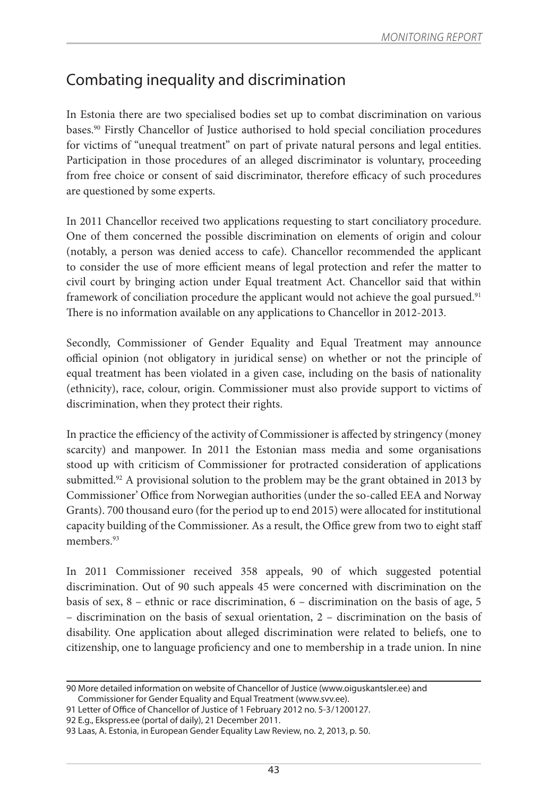# Combating inequality and discrimination

In Estonia there are two specialised bodies set up to combat discrimination on various bases.90 Firstly Chancellor of Justice authorised to hold special conciliation procedures for victims of "unequal treatment" on part of private natural persons and legal entities. Participation in those procedures of an alleged discriminator is voluntary, proceeding from free choice or consent of said discriminator, therefore efficacy of such procedures are questioned by some experts.

In 2011 Chancellor received two applications requesting to start conciliatory procedure. One of them concerned the possible discrimination on elements of origin and colour (notably, a person was denied access to cafe). Chancellor recommended the applicant to consider the use of more efficient means of legal protection and refer the matter to civil court by bringing action under Equal treatment Act. Chancellor said that within framework of conciliation procedure the applicant would not achieve the goal pursued.<sup>91</sup> There is no information available on any applications to Chancellor in 2012-2013.

Secondly, Commissioner of Gender Equality and Equal Treatment may announce official opinion (not obligatory in juridical sense) on whether or not the principle of equal treatment has been violated in a given case, including on the basis of nationality (ethnicity), race, colour, origin. Commissioner must also provide support to victims of discrimination, when they protect their rights.

In practice the efficiency of the activity of Commissioner is affected by stringency (money scarcity) and manpower. In 2011 the Estonian mass media and some organisations stood up with criticism of Commissioner for protracted consideration of applications submitted.<sup>92</sup> A provisional solution to the problem may be the grant obtained in 2013 by Commissioner' Office from Norwegian authorities (under the so-called EEA and Norway Grants). 700 thousand euro (for the period up to end 2015) were allocated for institutional capacity building of the Commissioner. As a result, the Office grew from two to eight staff members.<sup>93</sup>

In 2011 Commissioner received 358 appeals, 90 of which suggested potential discrimination. Out of 90 such appeals 45 were concerned with discrimination on the basis of sex, 8 – ethnic or race discrimination, 6 – discrimination on the basis of age, 5 – discrimination on the basis of sexual orientation, 2 – discrimination on the basis of disability. One application about alleged discrimination were related to beliefs, one to citizenship, one to language proficiency and one to membership in a trade union. In nine

<sup>90</sup> More detailed information on website of Chancellor of Justice (www.oiguskantsler.ee) and Commissioner for Gender Equality and Equal Treatment (www.svv.ee).

<sup>91</sup> Letter of Office of Chancellor of Justice of 1 February 2012 no. 5-3/1200127.

<sup>92</sup> E.g., Ekspress.ee (portal of daily), 21 December 2011.

<sup>93</sup> Laas, A. Estonia, in European Gender Equality Law Review, no. 2, 2013, p. 50.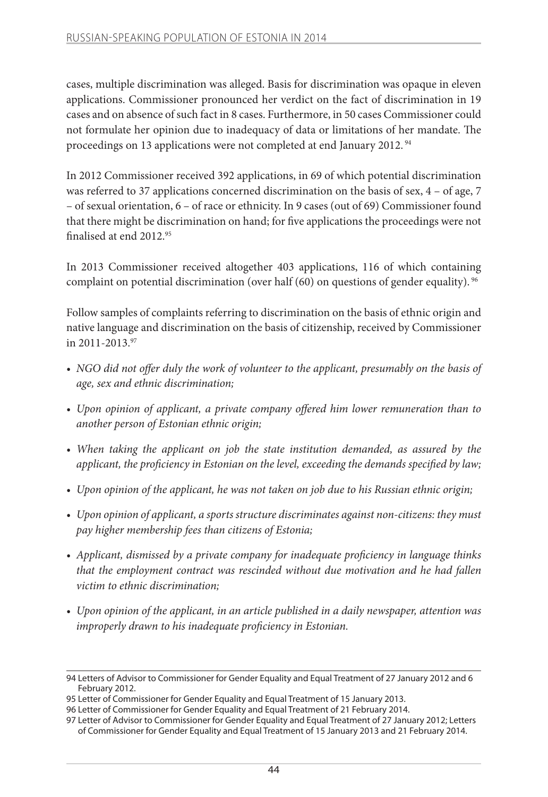cases, multiple discrimination was alleged. Basis for discrimination was opaque in eleven applications. Commissioner pronounced her verdict on the fact of discrimination in 19 cases and on absence of such fact in 8 cases. Furthermore, in 50 cases Commissioner could not formulate her opinion due to inadequacy of data or limitations of her mandate. The proceedings on 13 applications were not completed at end January 2012. 94

In 2012 Commissioner received 392 applications, in 69 of which potential discrimination was referred to 37 applications concerned discrimination on the basis of sex, 4 – of age, 7 – of sexual orientation, 6 – of race or ethnicity. In 9 cases (out of 69) Commissioner found that there might be discrimination on hand; for five applications the proceedings were not finalised at end 2012.95

In 2013 Commissioner received altogether 403 applications, 116 of which containing complaint on potential discrimination (over half  $(60)$  on questions of gender equality). <sup>96</sup>

Follow samples of complaints referring to discrimination on the basis of ethnic origin and native language and discrimination on the basis of citizenship, received by Commissioner in 2011-2013.97

- *• NGO did not offer duly the work of volunteer to the applicant, presumably on the basis of age, sex and ethnic discrimination;*
- *• Upon opinion of applicant, a private company offered him lower remuneration than to another person of Estonian ethnic origin;*
- *• When taking the applicant on job the state institution demanded, as assured by the applicant, the proficiency in Estonian on the level, exceeding the demands specified by law;*
- *• Upon opinion of the applicant, he was not taken on job due to his Russian ethnic origin;*
- *• Upon opinion of applicant, a sports structure discriminates against non-citizens: they must pay higher membership fees than citizens of Estonia;*
- *• Applicant, dismissed by a private company for inadequate proficiency in language thinks that the employment contract was rescinded without due motivation and he had fallen victim to ethnic discrimination;*
- *• Upon opinion of the applicant, in an article published in a daily newspaper, attention was improperly drawn to his inadequate proficiency in Estonian.*

<sup>94</sup> Letters of Advisor to Commissioner for Gender Equality and Equal Treatment of 27 January 2012 and 6 February 2012.

<sup>95</sup> Letter of Commissioner for Gender Equality and Equal Treatment of 15 January 2013.

<sup>96</sup> Letter of Commissioner for Gender Equality and Equal Treatment of 21 February 2014.

<sup>97</sup> Letter of Advisor to Commissioner for Gender Equality and Equal Treatment of 27 January 2012; Letters of Commissioner for Gender Equality and Equal Treatment of 15 January 2013 and 21 February 2014.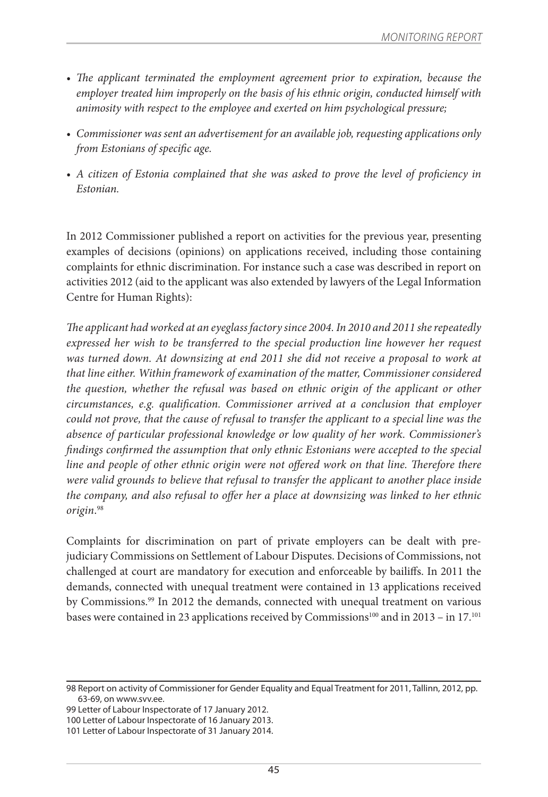- *• The applicant terminated the employment agreement prior to expiration, because the employer treated him improperly on the basis of his ethnic origin, conducted himself with animosity with respect to the employee and exerted on him psychological pressure;*
- *• Commissioner was sent an advertisement for an available job, requesting applications only from Estonians of specific age.*
- *• A citizen of Estonia complained that she was asked to prove the level of proficiency in Estonian.*

In 2012 Commissioner published a report on activities for the previous year, presenting examples of decisions (opinions) on applications received, including those containing complaints for ethnic discrimination. For instance such a case was described in report on activities 2012 (aid to the applicant was also extended by lawyers of the Legal Information Centre for Human Rights):

*The applicant had worked at an eyeglass factory since 2004. In 2010 and 2011 she repeatedly expressed her wish to be transferred to the special production line however her request*  was turned down. At downsizing at end 2011 she did not receive a proposal to work at *that line either. Within framework of examination of the matter, Commissioner considered the question, whether the refusal was based on ethnic origin of the applicant or other circumstances, e.g. qualification. Commissioner arrived at a conclusion that employer could not prove, that the cause of refusal to transfer the applicant to a special line was the absence of particular professional knowledge or low quality of her work. Commissioner's findings confirmed the assumption that only ethnic Estonians were accepted to the special line and people of other ethnic origin were not offered work on that line. Therefore there were valid grounds to believe that refusal to transfer the applicant to another place inside the company, and also refusal to offer her a place at downsizing was linked to her ethnic origin*. 98

Complaints for discrimination on part of private employers can be dealt with prejudiciary Commissions on Settlement of Labour Disputes. Decisions of Commissions, not challenged at court are mandatory for execution and enforceable by bailiffs. In 2011 the demands, connected with unequal treatment were contained in 13 applications received by Commissions.99 In 2012 the demands, connected with unequal treatment on various bases were contained in 23 applications received by Commissions<sup>100</sup> and in 2013 – in 17.<sup>101</sup>

<sup>98</sup> Report on activity of Commissioner for Gender Equality and Equal Treatment for 2011, Tallinn, 2012, pp. 63-69, on www.svv.ee.

<sup>99</sup> Letter of Labour Inspectorate of 17 January 2012.

<sup>100</sup> Letter of Labour Inspectorate of 16 January 2013.

<sup>101</sup> Letter of Labour Inspectorate of 31 January 2014.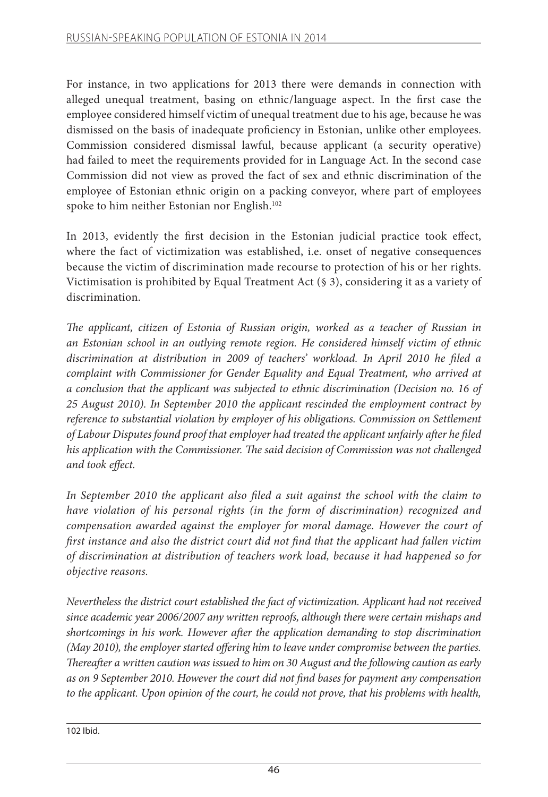For instance, in two applications for 2013 there were demands in connection with alleged unequal treatment, basing on ethnic/language aspect. In the first case the employee considered himself victim of unequal treatment due to his age, because he was dismissed on the basis of inadequate proficiency in Estonian, unlike other employees. Commission considered dismissal lawful, because applicant (a security operative) had failed to meet the requirements provided for in Language Act. In the second case Commission did not view as proved the fact of sex and ethnic discrimination of the employee of Estonian ethnic origin on a packing conveyor, where part of employees spoke to him neither Estonian nor English.<sup>102</sup>

In 2013, evidently the first decision in the Estonian judicial practice took effect, where the fact of victimization was established, i.e. onset of negative consequences because the victim of discrimination made recourse to protection of his or her rights. Victimisation is prohibited by Equal Treatment Act (§ 3), considering it as a variety of discrimination.

*The applicant, citizen of Estonia of Russian origin, worked as a teacher of Russian in an Estonian school in an outlying remote region. He considered himself victim of ethnic discrimination at distribution in 2009 of teachers' workload. In April 2010 he filed a complaint with Commissioner for Gender Equality and Equal Treatment, who arrived at a conclusion that the applicant was subjected to ethnic discrimination (Decision no. 16 of 25 August 2010). In September 2010 the applicant rescinded the employment contract by reference to substantial violation by employer of his obligations. Commission on Settlement of Labour Disputes found proof that employer had treated the applicant unfairly after he filed his application with the Commissioner. The said decision of Commission was not challenged and took effect.*

*In September 2010 the applicant also filed a suit against the school with the claim to have violation of his personal rights (in the form of discrimination) recognized and compensation awarded against the employer for moral damage. However the court of first instance and also the district court did not find that the applicant had fallen victim of discrimination at distribution of teachers work load, because it had happened so for objective reasons.*

*Nevertheless the district court established the fact of victimization. Applicant had not received since academic year 2006/2007 any written reproofs, although there were certain mishaps and shortcomings in his work. However after the application demanding to stop discrimination (May 2010), the employer started offering him to leave under compromise between the parties. Thereafter a written caution was issued to him on 30 August and the following caution as early as on 9 September 2010. However the court did not find bases for payment any compensation to the applicant. Upon opinion of the court, he could not prove, that his problems with health,* 

102 Ibid.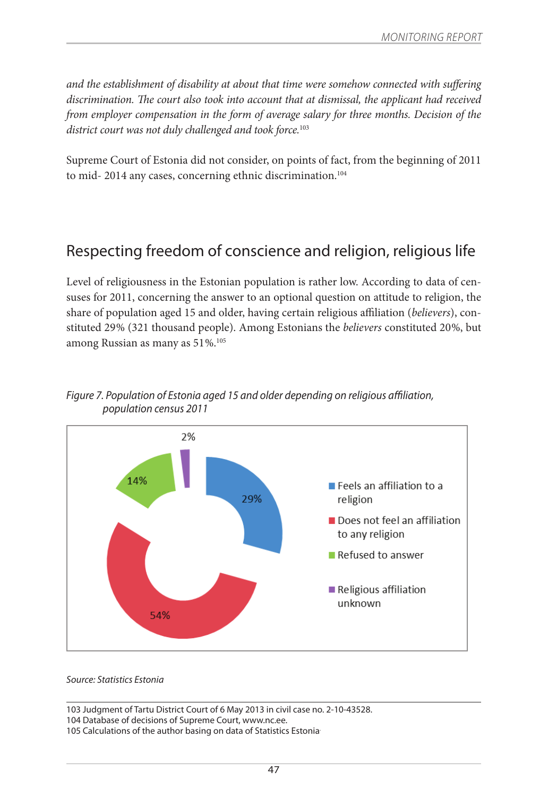and the establishment of disability at about that time were somehow connected with suffering discrimination. The court also took into account that at dismissal, the applicant had received *from employer compensation in the form of average salary for three months. Decision of the district court was not duly challenged and took force.*<sup>103</sup>

Supreme Court of Estonia did not consider, on points of fact, from the beginning of 2011 to mid- 2014 any cases, concerning ethnic discrimination.<sup>104</sup>

# Respecting freedom of conscience and religion, religious life

Level of religiousness in the Estonian population is rather low. According to data of censuses for 2011, concerning the answer to an optional question on attitude to religion, the share of population aged 15 and older, having certain religious affiliation (*believers*), constituted 29 % (321 thousand people). Among Estonians the *believers* constituted 20 %, but among Russian as many as 51 %.105



Figure 7. Population of Estonia aged 15 and older depending on religious affiliation, *population census 2011*

*Source: Statistics Estonia*

103 Judgment of Tartu District Court of 6 May 2013 in civil case no. 2-10-43528.

<sup>104</sup> Database of decisions of Supreme Court, www.nc.ee.

<sup>105</sup> Calculations of the author basing on data of Statistics Estonia.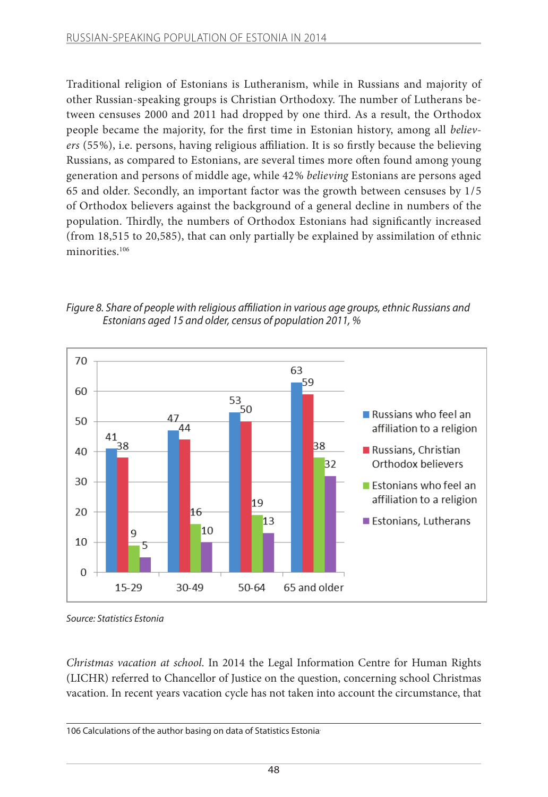Traditional religion of Estonians is Lutheranism, while in Russians and majority of other Russian-speaking groups is Christian Orthodoxy. The number of Lutherans between censuses 2000 and 2011 had dropped by one third. As a result, the Orthodox people became the majority, for the first time in Estonian history, among all *believ*ers (55%), i.e. persons, having religious affiliation. It is so firstly because the believing Russians, as compared to Estonians, are several times more often found among young generation and persons of middle age, while 42 % *believing* Estonians are persons aged 65 and older. Secondly, an important factor was the growth between censuses by 1 / 5 of Orthodox believers against the background of a general decline in numbers of the population. Thirdly, the numbers of Orthodox Estonians had significantly increased (from 18,515 to 20,585), that can only partially be explained by assimilation of ethnic minorities<sup>106</sup>





*Source: Statistics Estonia*

*Christmas vacation at school*. In 2014 the Legal Information Centre for Human Rights (LICHR) referred to Chancellor of Justice on the question, concerning school Christmas vacation. In recent years vacation cycle has not taken into account the circumstance, that

106 Calculations of the author basing on data of Statistics Estonia.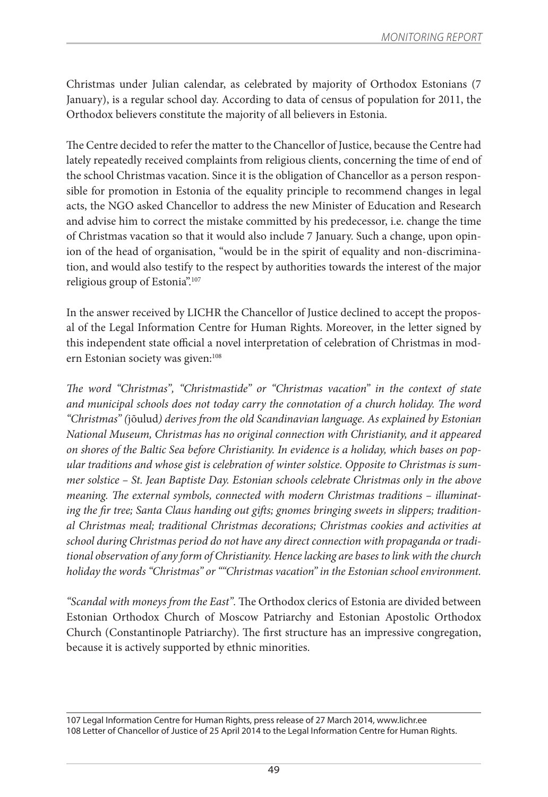Christmas under Julian calendar, as celebrated by majority of Orthodox Estonians (7 January), is a regular school day. According to data of census of population for 2011, the Orthodox believers constitute the majority of all believers in Estonia.

The Centre decided to refer the matter to the Chancellor of Justice, because the Centre had lately repeatedly received complaints from religious clients, concerning the time of end of the school Christmas vacation. Since it is the obligation of Chancellor as a person responsible for promotion in Estonia of the equality principle to recommend changes in legal acts, the NGO asked Chancellor to address the new Minister of Education and Research and advise him to correct the mistake committed by his predecessor, i.e. change the time of Christmas vacation so that it would also include 7 January. Such a change, upon opinion of the head of organisation, "would be in the spirit of equality and non-discrimination, and would also testify to the respect by authorities towards the interest of the major religious group of Estonia".107

In the answer received by LICHR the Chancellor of Justice declined to accept the proposal of the Legal Information Centre for Human Rights. Moreover, in the letter signed by this independent state official a novel interpretation of celebration of Christmas in modern Estonian society was given:<sup>108</sup>

*The word "Christmas", "Christmastide" or "Christmas vacation" in the context of state and municipal schools does not today carry the connotation of a church holiday. The word "Christmas" (*jõulud*) derives from the old Scandinavian language. As explained by Estonian National Museum, Christmas has no original connection with Christianity, and it appeared on shores of the Baltic Sea before Christianity. In evidence is a holiday, which bases on popular traditions and whose gist is celebration of winter solstice. Opposite to Christmas is summer solstice – St. Jean Baptiste Day. Estonian schools celebrate Christmas only in the above meaning. The external symbols, connected with modern Christmas traditions – illuminating the fir tree; Santa Claus handing out gifts; gnomes bringing sweets in slippers; traditional Christmas meal; traditional Christmas decorations; Christmas cookies and activities at school during Christmas period do not have any direct connection with propaganda or traditional observation of any form of Christianity. Hence lacking are bases to link with the church holiday the words "Christmas" or ""Christmas vacation" in the Estonian school environment.*

*"Scandal with moneys from the East".* The Orthodox clerics of Estonia are divided between Estonian Orthodox Church of Moscow Patriarchy and Estonian Apostolic Orthodox Church (Constantinople Patriarchy). The first structure has an impressive congregation, because it is actively supported by ethnic minorities.

<sup>107</sup> Legal Information Centre for Human Rights, press release of 27 March 2014, www.lichr.ee 108 Letter of Chancellor of Justice of 25 April 2014 to the Legal Information Centre for Human Rights.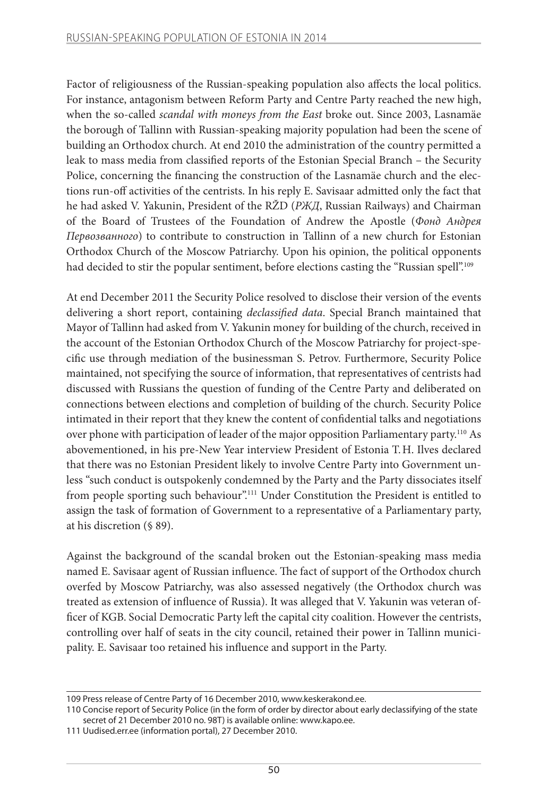Factor of religiousness of the Russian-speaking population also affects the local politics. For instance, antagonism between Reform Party and Centre Party reached the new high, when the so-called *scandal with moneys from the East* broke out. Since 2003, Lasnamäe the borough of Tallinn with Russian-speaking majority population had been the scene of building an Orthodox church. At end 2010 the administration of the country permitted a leak to mass media from classified reports of the Estonian Special Branch – the Security Police, concerning the financing the construction of the Lasnamäe church and the elections run-off activities of the centrists. In his reply E. Savisaar admitted only the fact that he had asked V. Yakunin, President of the RŽD (*РЖД*, Russian Railways) and Chairman of the Board of Trustees of the Foundation of Andrew the Apostle (*Фонд Андрея Первозванного*) to contribute to construction in Tallinn of a new church for Estonian Orthodox Church of the Moscow Patriarchy. Upon his opinion, the political opponents had decided to stir the popular sentiment, before elections casting the "Russian spell".<sup>109</sup>

At end December 2011 the Security Police resolved to disclose their version of the events delivering a short report, containing *declassified data*. Special Branch maintained that Mayor of Tallinn had asked from V. Yakunin money for building of the church, received in the account of the Estonian Orthodox Church of the Moscow Patriarchy for project-specific use through mediation of the businessman S. Petrov. Furthermore, Security Police maintained, not specifying the source of information, that representatives of centrists had discussed with Russians the question of funding of the Centre Party and deliberated on connections between elections and completion of building of the church. Security Police intimated in their report that they knew the content of confidential talks and negotiations over phone with participation of leader of the major opposition Parliamentary party.110 As abovementioned, in his pre-New Year interview President of Estonia T.H. Ilves declared that there was no Estonian President likely to involve Centre Party into Government unless "such conduct is outspokenly condemned by the Party and the Party dissociates itself from people sporting such behaviour".111 Under Constitution the President is entitled to assign the task of formation of Government to a representative of a Parliamentary party, at his discretion (§ 89).

Against the background of the scandal broken out the Estonian-speaking mass media named E. Savisaar agent of Russian influence. The fact of support of the Orthodox church overfed by Moscow Patriarchy, was also assessed negatively (the Orthodox church was treated as extension of influence of Russia). It was alleged that V. Yakunin was veteran officer of KGB. Social Democratic Party left the capital city coalition. However the centrists, controlling over half of seats in the city council, retained their power in Tallinn municipality. E. Savisaar too retained his influence and support in the Party.

109 Press release of Centre Party of 16 December 2010, www.keskerakond.ee.

<sup>110</sup> Concise report of Security Police (in the form of order by director about early declassifying of the state secret of 21 December 2010 no. 98Т) is available online: www.kapo.ee.

<sup>111</sup> Uudised.err.ee (information portal), 27 December 2010.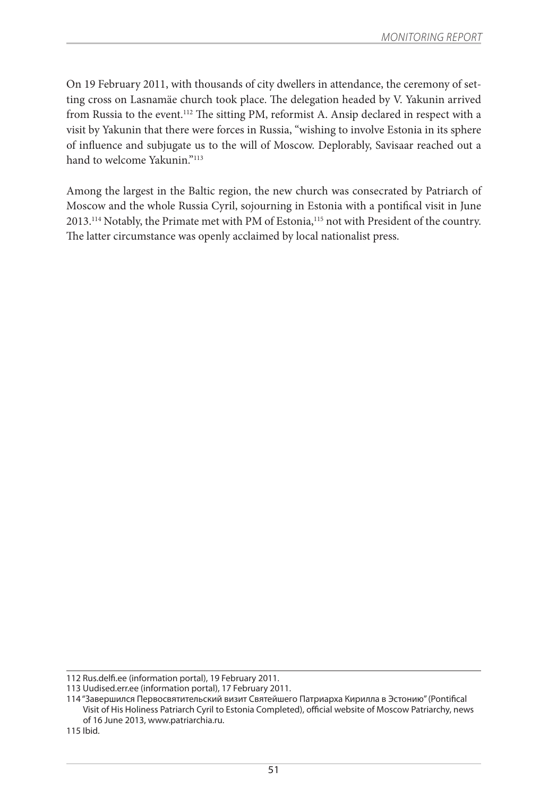On 19 February 2011, with thousands of city dwellers in attendance, the ceremony of setting cross on Lasnamäe church took place. The delegation headed by V. Yakunin arrived from Russia to the event.<sup>112</sup> The sitting PM, reformist A. Ansip declared in respect with a visit by Yakunin that there were forces in Russia, "wishing to involve Estonia in its sphere of influence and subjugate us to the will of Moscow. Deplorably, Savisaar reached out a hand to welcome Yakunin<sup>"113</sup>

Among the largest in the Baltic region, the new church was consecrated by Patriarch of Moscow and the whole Russia Cyril, sojourning in Estonia with a pontifical visit in June 2013.114 Notably, the Primate met with PM of Estonia,115 not with President of the country. The latter circumstance was openly acclaimed by local nationalist press.

<sup>112</sup> Rus.delfi.ee (information portal), 19 February 2011.

<sup>113</sup> Uudised.err.ee (information portal), 17 February 2011.

<sup>114 &</sup>quot;Завершился Первосвятительский визит Святейшего Патриарха Кирилла в Эстонию" (Pontifical Visit of His Holiness Patriarch Cyril to Estonia Completed), official website of Moscow Patriarchy, news of 16 June 2013, www.patriarchia.ru.

<sup>115</sup> Ibid.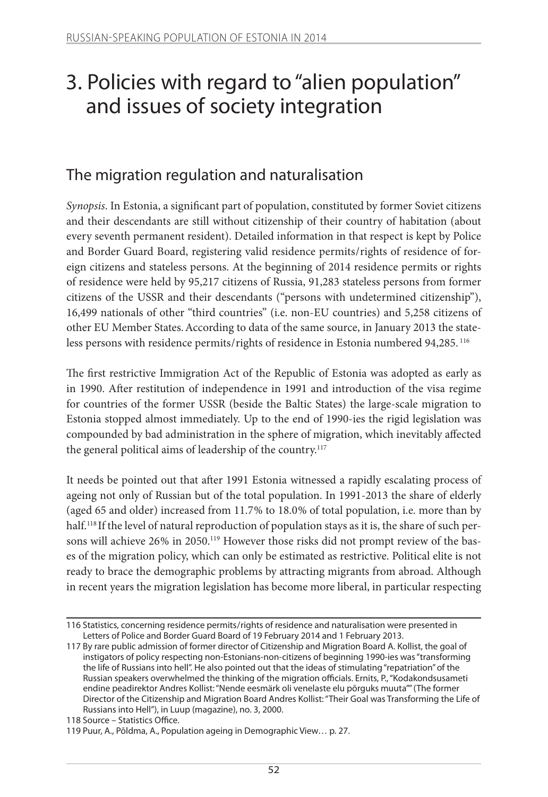# 3. Policies with regard to "alien population" and issues of society integration

# The migration regulation and naturalisation

*Synopsis*. In Estonia, a significant part of population, constituted by former Soviet citizens and their descendants are still without citizenship of their country of habitation (about every seventh permanent resident). Detailed information in that respect is kept by Police and Border Guard Board, registering valid residence permits/rights of residence of foreign citizens and stateless persons. At the beginning of 2014 residence permits or rights of residence were held by 95,217 citizens of Russia, 91,283 stateless persons from former citizens of the USSR and their descendants ("persons with undetermined citizenship"), 16,499 nationals of other "third countries" (i.e. non-EU countries) and 5,258 citizens of other EU Member States.According to data of the same source, in January 2013 the stateless persons with residence permits/rights of residence in Estonia numbered 94,285. 116

The first restrictive Immigration Act of the Republic of Estonia was adopted as early as in 1990. After restitution of independence in 1991 and introduction of the visa regime for countries of the former USSR (beside the Baltic States) the large-scale migration to Estonia stopped almost immediately. Up to the end of 1990-ies the rigid legislation was compounded by bad administration in the sphere of migration, which inevitably affected the general political aims of leadership of the country.<sup>117</sup>

It needs be pointed out that after 1991 Estonia witnessed a rapidly escalating process of ageing not only of Russian but of the total population. In 1991-2013 the share of elderly (aged 65 and older) increased from 11.7% to 18.0% of total population, i.e. more than by half.<sup>118</sup> If the level of natural reproduction of population stays as it is, the share of such persons will achieve 26% in 2050.<sup>119</sup> However those risks did not prompt review of the bases of the migration policy, which can only be estimated as restrictive. Political elite is not ready to brace the demographic problems by attracting migrants from abroad. Although in recent years the migration legislation has become more liberal, in particular respecting

<sup>116</sup> Statistics, concerning residence permits/rights of residence and naturalisation were presented in Letters of Police and Border Guard Board of 19 February 2014 and 1 February 2013.

<sup>117</sup> By rare public admission of former director of Citizenship and Migration Board A. Kollist, the goal of instigators of policy respecting non-Estonians-non-citizens of beginning 1990-ies was "transforming the life of Russians into hell". He also pointed out that the ideas of stimulating "repatriation" of the Russian speakers overwhelmed the thinking of the migration officials. Ernits, P., "Kodakondsusameti endine peadirektor Andres Kollist: "Nende eesmärk oli venelaste elu põrguks muuta"" (The former Director of the Citizenship and Migration Board Andres Kollist: "Their Goal was Transforming the Life of Russians into Hell"), in Luup (magazine), no. 3, 2000.

<sup>118</sup> Source – Statistics Office.

<sup>119</sup> Puur, A., Põldma, A., Population ageing in Demographic View… p. 27.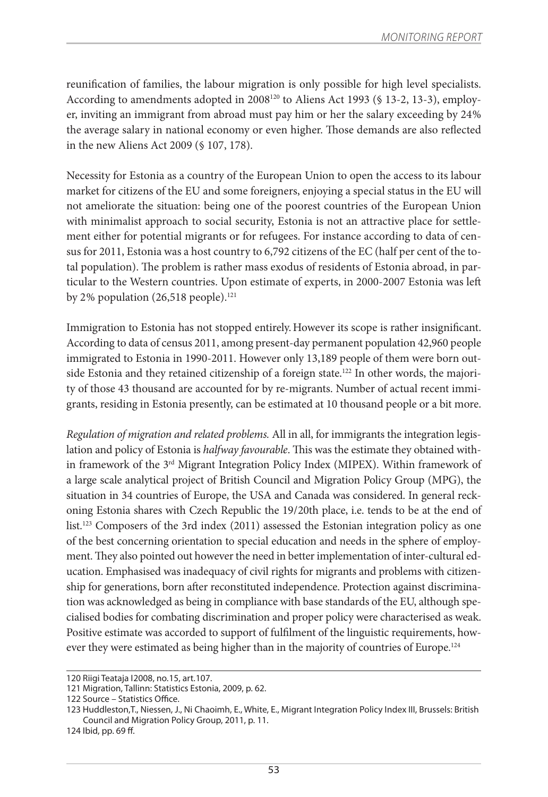reunification of families, the labour migration is only possible for high level specialists. According to amendments adopted in 2008120 to Aliens Act 1993 (§ 13-2, 13-3), employer, inviting an immigrant from abroad must pay him or her the salary exceeding by 24% the average salary in national economy or even higher. Those demands are also reflected in the new Aliens Act 2009 (§ 107, 178).

Necessity for Estonia as a country of the European Union to open the access to its labour market for citizens of the ЕU and some foreigners, enjoying a special status in the ЕU will not ameliorate the situation: being one of the poorest countries of the European Union with minimalist approach to social security, Estonia is not an attractive place for settlement either for potential migrants or for refugees. For instance according to data of census for 2011, Estonia was a host country to 6,792 citizens of the ЕС (half per cent of the total population). The problem is rather mass exodus of residents of Estonia abroad, in particular to the Western countries. Upon estimate of experts, in 2000-2007 Estonia was left by 2% population (26,518 people). $121$ 

Immigration to Estonia has not stopped entirely.However its scope is rather insignificant. According to data of census 2011, among present-day permanent population 42,960 people immigrated to Estonia in 1990-2011. However only 13,189 people of them were born outside Estonia and they retained citizenship of a foreign state.<sup>122</sup> In other words, the majority of those 43 thousand are accounted for by re-migrants. Number of actual recent immigrants, residing in Estonia presently, can be estimated at 10 thousand people or a bit more.

*Regulation of migration and related problems.* All in all, for immigrants the integration legislation and policy of Estonia is *halfway favourable*. This was the estimate they obtained within framework of the 3rd Migrant Integration Policy Index (MIPEX). Within framework of a large scale analytical project of British Council and Migration Policy Group (MPG), the situation in 34 countries of Europe, the USA and Canada was considered. In general reckoning Estonia shares with Czech Republic the 19/20th place, i.e. tends to be at the end of list.123 Composers of the 3rd index (2011) assessed the Estonian integration policy as one of the best concerning orientation to special education and needs in the sphere of employment. They also pointed out however the need in better implementation of inter-cultural education. Emphasised was inadequacy of civil rights for migrants and problems with citizenship for generations, born after reconstituted independence. Protection against discrimination was acknowledged as being in compliance with base standards of the EU, although specialised bodies for combating discrimination and proper policy were characterised as weak. Positive estimate was accorded to support of fulfilment of the linguistic requirements, however they were estimated as being higher than in the majority of countries of Europe.<sup>124</sup>

<sup>120</sup> Riigi Teataja I2008, no.15, art.107.

<sup>121</sup> Migration, Tallinn: Statistics Estonia, 2009, p. 62.

<sup>122</sup> Source – Statistics Office.

<sup>123</sup> Huddleston,T., Niessen, J., Ni Chaoimh, E., White, E., Migrant Integration Policy Index III, Brussels: British Council and Migration Policy Group, 2011, p. 11.

<sup>124</sup> Ibid, pp. 69 ff.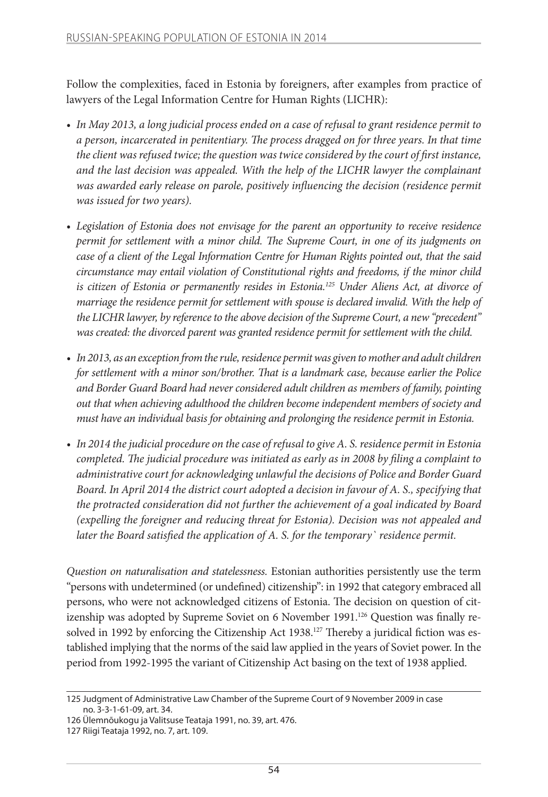Follow the complexities, faced in Estonia by foreigners, after examples from practice of lawyers of the Legal Information Centre for Human Rights (LICHR):

- *• In May 2013, a long judicial process ended on a case of refusal to grant residence permit to a person, incarcerated in penitentiary. The process dragged on for three years. In that time the client was refused twice; the question was twice considered by the court of first instance, and the last decision was appealed. With the help of the LICHR lawyer the complainant*  was awarded early release on parole, positively influencing the decision (residence permit *was issued for two years).*
- *• Legislation of Estonia does not envisage for the parent an opportunity to receive residence permit for settlement with a minor child. The Supreme Court, in one of its judgments on case of a client of the Legal Information Centre for Human Rights pointed out, that the said circumstance may entail violation of Constitutional rights and freedoms, if the minor child is citizen of Estonia or permanently resides in Estonia.125 Under Aliens Act, at divorce of marriage the residence permit for settlement with spouse is declared invalid. With the help of the LICHR lawyer, by reference to the above decision of the Supreme Court, a new "precedent" was created: the divorced parent was granted residence permit for settlement with the child.*
- *• In 2013, as an exception from the rule, residence permit was given to mother and adult children for settlement with a minor son/brother. That is a landmark case, because earlier the Police and Border Guard Board had never considered adult children as members of family, pointing out that when achieving adulthood the children become independent members of society and must have an individual basis for obtaining and prolonging the residence permit in Estonia.*
- *• In 2014 the judicial procedure on the case of refusal to give A. S. residence permit in Estonia completed. The judicial procedure was initiated as early as in 2008 by filing a complaint to administrative court for acknowledging unlawful the decisions of Police and Border Guard Board. In April 2014 the district court adopted a decision in favour of A. S., specifying that the protracted consideration did not further the achievement of a goal indicated by Board (expelling the foreigner and reducing threat for Estonia). Decision was not appealed and later the Board satisfied the application of A. S. for the temporary` residence permit.*

*Question on naturalisation and statelessness.* Estonian authorities persistently use the term "persons with undetermined (or undefined) citizenship": in 1992 that category embraced all persons, who were not acknowledged citizens of Estonia. The decision on question of citizenship was adopted by Supreme Soviet on 6 November 1991.<sup>126</sup> Question was finally resolved in 1992 by enforcing the Citizenship Act 1938.<sup>127</sup> Thereby a juridical fiction was established implying that the norms of the said law applied in the years of Soviet power. In the period from 1992-1995 the variant of Citizenship Act basing on the text of 1938 applied.

<sup>125</sup> Judgment of Administrative Law Chamber of the Supreme Court of 9 November 2009 in case no. 3-3-1-61-09, art. 34.

<sup>126</sup> Ülemnõukogu ja Valitsuse Teataja 1991, no. 39, art. 476.

<sup>127</sup> Riigi Teataja 1992, no. 7, art. 109.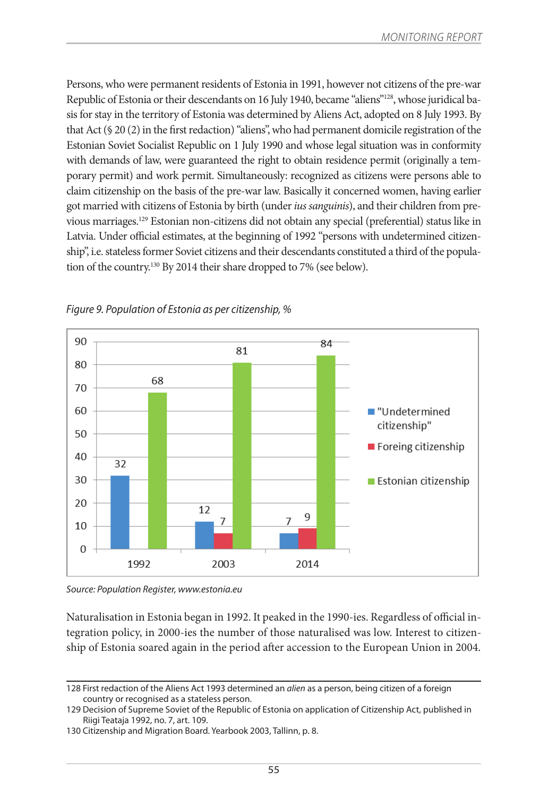Persons, who were permanent residents of Estonia in 1991, however not citizens of the pre-war Republic of Estonia or their descendants on 16 July 1940, became "aliens"128, whose juridical basis for stay in the territory of Estonia was determined by Aliens Act, adopted on 8 July 1993. By that Act ( $\S 20(2)$  in the first redaction) "aliens", who had permanent domicile registration of the Estonian Soviet Socialist Republic on 1 July 1990 and whose legal situation was in conformity with demands of law, were guaranteed the right to obtain residence permit (originally a temporary permit) and work permit. Simultaneously: recognized as citizens were persons able to claim citizenship on the basis of the pre-war law. Basically it concerned women, having earlier got married with citizens of Estonia by birth (under *ius sanguinis*), and their children from previous marriages.129 Estonian non-citizens did not obtain any special (preferential) status like in Latvia. Under official estimates, at the beginning of 1992 "persons with undetermined citizenship", i.e. stateless former Soviet citizens and their descendants constituted a third of the population of the country.<sup>130</sup> By 2014 their share dropped to 7% (see below).



*Figure 9. Population of Estonia as per citizenship, %*

*Source: Population Register, www.estonia.eu*

Naturalisation in Estonia began in 1992. It peaked in the 1990-ies. Regardless of official integration policy, in 2000-ies the number of those naturalised was low. Interest to citizenship of Estonia soared again in the period after accession to the European Union in 2004.

<sup>128</sup> First redaction of the Aliens Act 1993 determined an *alien* as a person, being citizen of a foreign country or recognised as a stateless person.

<sup>129</sup> Decision of Supreme Soviet of the Republic of Estonia on application of Citizenship Act, published in Riigi Teataja 1992, no. 7, art. 109.

<sup>130</sup> Citizenship and Migration Board. Yearbook 2003, Tallinn, р. 8.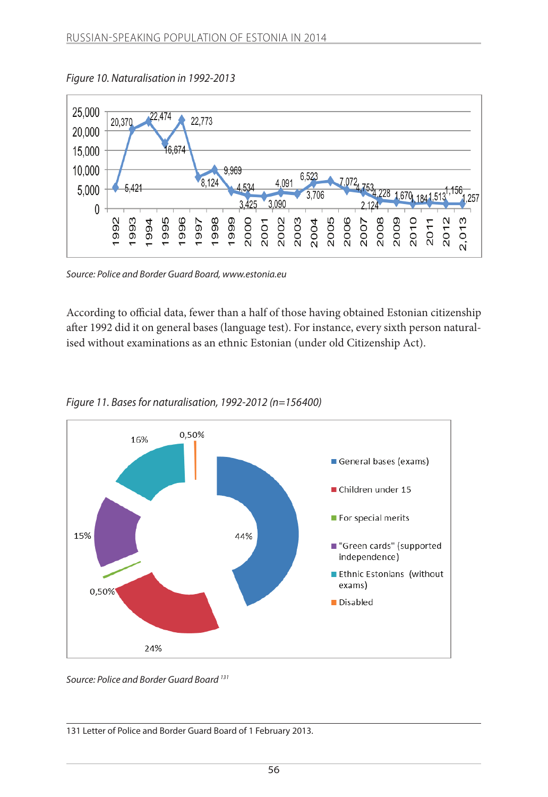



*Source: Police and Border Guard Board, www.estonia.eu*

According to official data, fewer than a half of those having obtained Estonian citizenship after 1992 did it on general bases (language test). For instance, every sixth person naturalised without examinations as an ethnic Estonian (under old Citizenship Act).



*Figure 11. Bases for naturalisation, 1992-2012 (n=156 400)*

*Source: Police and Border Guard Board 131*

131 Letter of Police and Border Guard Board of 1 February 2013.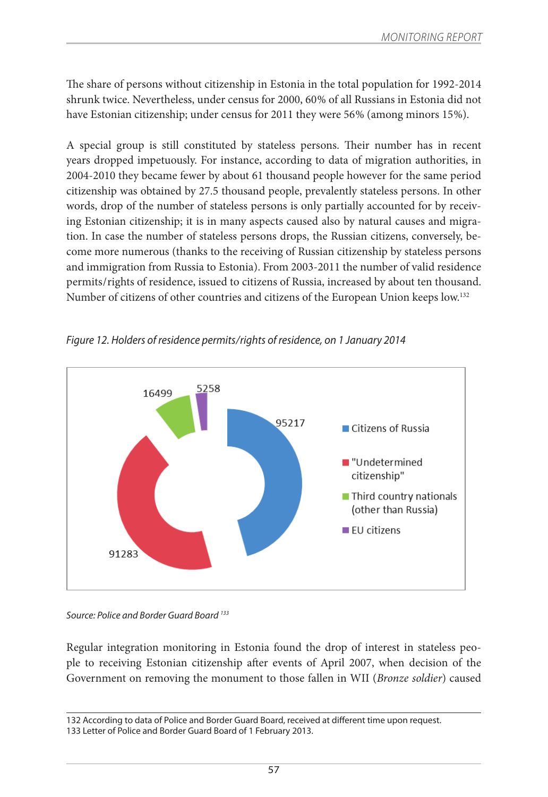The share of persons without citizenship in Estonia in the total population for 1992-2014 shrunk twice. Nevertheless, under census for 2000, 60 % of all Russians in Estonia did not have Estonian citizenship; under census for 2011 they were 56% (among minors 15%).

A special group is still constituted by stateless persons. Their number has in recent years dropped impetuously. For instance, according to data of migration authorities, in 2004-2010 they became fewer by about 61 thousand people however for the same period citizenship was obtained by 27.5 thousand people, prevalently stateless persons. In other words, drop of the number of stateless persons is only partially accounted for by receiving Estonian citizenship; it is in many aspects caused also by natural causes and migration. In case the number of stateless persons drops, the Russian citizens, conversely, become more numerous (thanks to the receiving of Russian citizenship by stateless persons and immigration from Russia to Estonia). From 2003-2011 the number of valid residence permits/rights of residence, issued to citizens of Russia, increased by about ten thousand. Number of citizens of other countries and citizens of the European Union keeps low.132



*Figure 12. Holders of residence permits / rights of residence, on 1 January 2014*

*Source: Police and Border Guard Board 133*

Regular integration monitoring in Estonia found the drop of interest in stateless people to receiving Estonian citizenship after events of April 2007, when decision of the Government on removing the monument to those fallen in WII (*Bronze soldier*) caused

132 According to data of Police and Border Guard Board, received at different time upon request. 133 Letter of Police and Border Guard Board of 1 February 2013.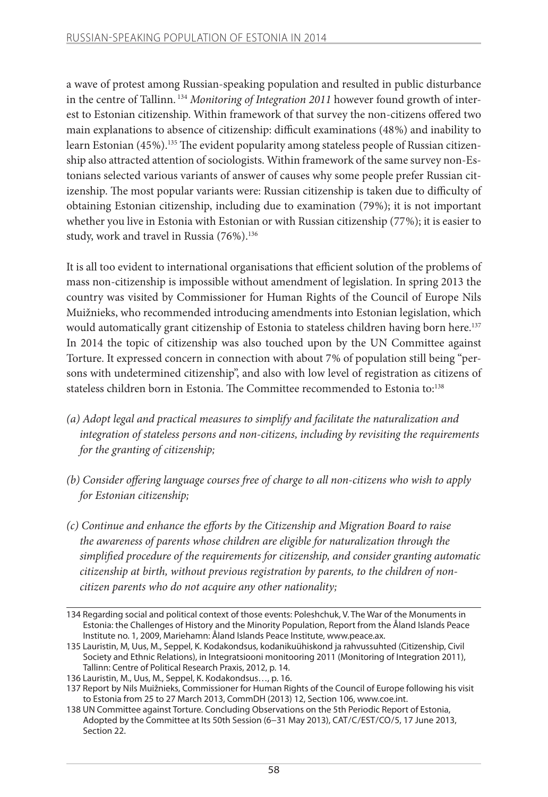a wave of protest among Russian-speaking population and resulted in public disturbance in the centre of Tallinn. 134 *Monitoring of Integration 2011* however found growth of interest to Estonian citizenship. Within framework of that survey the non-citizens offered two main explanations to absence of citizenship: difficult examinations (48%) and inability to learn Estonian (45%).<sup>135</sup> The evident popularity among stateless people of Russian citizenship also attracted attention of sociologists. Within framework of the same survey non-Estonians selected various variants of answer of causes why some people prefer Russian citizenship. The most popular variants were: Russian citizenship is taken due to difficulty of obtaining Estonian citizenship, including due to examination (79%); it is not important whether you live in Estonia with Estonian or with Russian citizenship (77%); it is easier to study, work and travel in Russia (76%).<sup>136</sup>

It is all too evident to international organisations that efficient solution of the problems of mass non-citizenship is impossible without amendment of legislation. In spring 2013 the country was visited by Commissioner for Human Rights of the Council of Europe Nils Muižnieks, who recommended introducing amendments into Estonian legislation, which would automatically grant citizenship of Estonia to stateless children having born here.<sup>137</sup> In 2014 the topic of citizenship was also touched upon by the UN Committee against Torture. It expressed concern in connection with about 7% of population still being "persons with undetermined citizenship", and also with low level of registration as citizens of stateless children born in Estonia. The Committee recommended to Estonia to:138

- *(a) Adopt legal and practical measures to simplify and facilitate the naturalization and integration of stateless persons and non-citizens, including by revisiting the requirements for the granting of citizenship;*
- *(b) Consider offering language courses free of charge to all non-citizens who wish to apply for Estonian citizenship;*
- *(c) Continue and enhance the efforts by the Citizenship and Migration Board to raise the awareness of parents whose children are eligible for naturalization through the simplified procedure of the requirements for citizenship, and consider granting automatic citizenship at birth, without previous registration by parents, to the children of noncitizen parents who do not acquire any other nationality;*

<sup>134</sup> Regarding social and political context of those events: Poleshchuk, V. The War of the Monuments in Estonia: the Challenges of History and the Minority Population, Report from the Åland Islands Peace Institute no. 1, 2009, Mariehamn: Åland Islands Peace Institute, www.peace.ax.

<sup>135</sup> Lauristin, M, Uus, M., Seppel, K. Kodakondsus, kodanikuühiskond ja rahvussuhted (Citizenship, Civil Society and Ethnic Relations), in Integratsiooni monitooring 2011 (Monitoring of Integration 2011), Tallinn: Centre of Political Research Praxis, 2012, p. 14.

<sup>136</sup> Lauristin, M., Uus, М., Seppel, К. Kodakondsus…, p. 16.

<sup>137</sup> Report by Nils Muižnieks, Commissioner for Human Rights of the Council of Europe following his visit to Estonia from 25 to 27 March 2013, CommDH (2013) 12, Section 106, www.coe.int.

<sup>138</sup> UN Committee against Torture. Concluding Observations on the 5th Periodic Report of Estonia, Adopted by the Committee at Its 50th Session (6−31 May 2013), CAT/C/EST/CO/5, 17 June 2013, Section 22.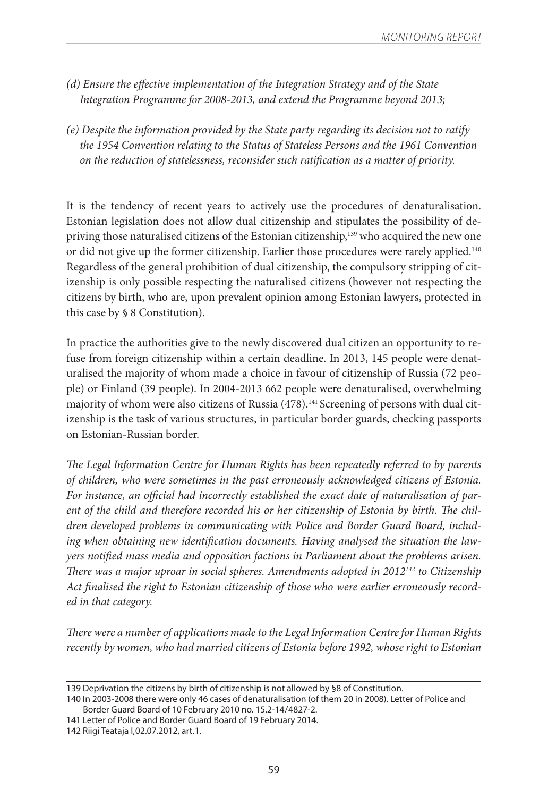- *(d) Ensure the effective implementation of the Integration Strategy and of the State Integration Programme for 2008-2013, and extend the Programme beyond 2013;*
- *(e) Despite the information provided by the State party regarding its decision not to ratify the 1954 Convention relating to the Status of Stateless Persons and the 1961 Convention on the reduction of statelessness, reconsider such ratification as a matter of priority.*

It is the tendency of recent years to actively use the procedures of denaturalisation. Estonian legislation does not allow dual citizenship and stipulates the possibility of depriving those naturalised citizens of the Estonian citizenship,<sup>139</sup> who acquired the new one or did not give up the former citizenship. Earlier those procedures were rarely applied.140 Regardless of the general prohibition of dual citizenship, the compulsory stripping of citizenship is only possible respecting the naturalised citizens (however not respecting the citizens by birth, who are, upon prevalent opinion among Estonian lawyers, protected in this case by § 8 Constitution).

In practice the authorities give to the newly discovered dual citizen an opportunity to refuse from foreign citizenship within a certain deadline. In 2013, 145 people were denaturalised the majority of whom made a choice in favour of citizenship of Russia (72 people) or Finland (39 people). In 2004-2013 662 people were denaturalised, overwhelming majority of whom were also citizens of Russia  $(478)^{141}$  Screening of persons with dual citizenship is the task of various structures, in particular border guards, checking passports on Estonian-Russian border.

*The Legal Information Centre for Human Rights has been repeatedly referred to by parents of children, who were sometimes in the past erroneously acknowledged citizens of Estonia. For instance, an official had incorrectly established the exact date of naturalisation of parent of the child and therefore recorded his or her citizenship of Estonia by birth. The children developed problems in communicating with Police and Border Guard Board, including when obtaining new identification documents. Having analysed the situation the lawyers notified mass media and opposition factions in Parliament about the problems arisen. There was a major uproar in social spheres. Amendments adopted in 2012142 to Citizenship Act finalised the right to Estonian citizenship of those who were earlier erroneously recorded in that category.*

*There were a number of applications made to the Legal Information Centre for Human Rights recently by women, who had married citizens of Estonia before 1992, whose right to Estonian* 

<sup>139</sup> Deprivation the citizens by birth of citizenship is not allowed by §8 of Constitution.

<sup>140</sup> In 2003-2008 there were only 46 cases of denaturalisation (of them 20 in 2008). Letter of Police and Border Guard Board of 10 February 2010 no. 15.2-14/4827-2.

<sup>141</sup> Letter of Police and Border Guard Board of 19 February 2014.

<sup>142</sup> Riigi Teataja I,02.07.2012, art.1.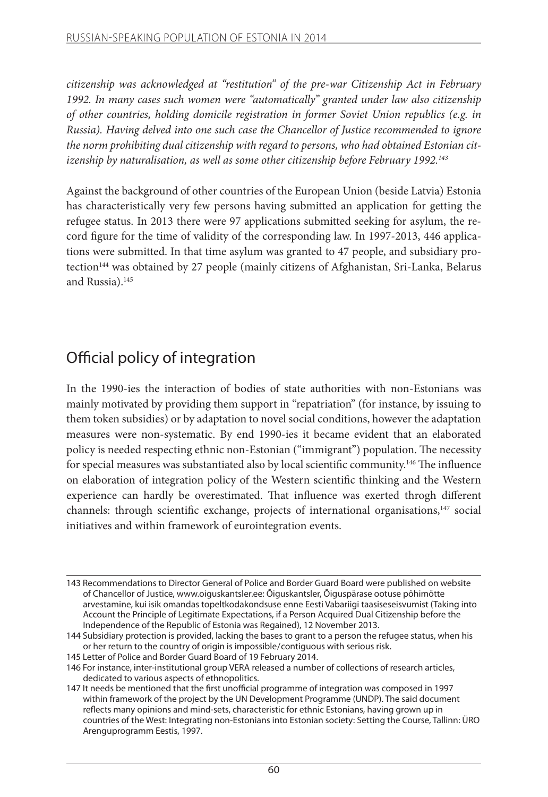*citizenship was acknowledged at "restitution" of the pre-war Citizenship Act in February 1992. In many cases such women were "automatically" granted under law also citizenship of other countries, holding domicile registration in former Soviet Union republics (e.g. in Russia). Having delved into one such case the Chancellor of Justice recommended to ignore the norm prohibiting dual citizenship with regard to persons, who had obtained Estonian citizenship by naturalisation, as well as some other citizenship before February 1992.143*

Against the background of other countries of the European Union (beside Latvia) Estonia has characteristically very few persons having submitted an application for getting the refugee status. In 2013 there were 97 applications submitted seeking for asylum, the record figure for the time of validity of the corresponding law. In 1997-2013, 446 applications were submitted. In that time asylum was granted to 47 people, and subsidiary protection144 was obtained by 27 people (mainly citizens of Afghanistan, Sri-Lanka, Belarus and Russia).<sup>145</sup>

# Official policy of integration

In the 1990-ies the interaction of bodies of state authorities with non-Estonians was mainly motivated by providing them support in "repatriation" (for instance, by issuing to them token subsidies) or by adaptation to novel social conditions, however the adaptation measures were non-systematic. By end 1990-ies it became evident that an elaborated policy is needed respecting ethnic non-Estonian ("immigrant") population. The necessity for special measures was substantiated also by local scientific community.146 The influence on elaboration of integration policy of the Western scientific thinking and the Western experience can hardly be overestimated. That influence was exerted throgh different channels: through scientific exchange, projects of international organisations,147 social initiatives and within framework of eurointegration events.

<sup>143</sup> Recommendations to Director General of Police and Border Guard Board were published on website of Chancellor of Justice, www.oiguskantsler.ee: Õiguskantsler, Õiguspärase ootuse põhimõtte arvestamine, kui isik omandas topeltkodakondsuse enne Eesti Vabariigi taasiseseisvumist (Taking into Account the Principle of Legitimate Expectations, if a Person Acquired Dual Citizenship before the Independence of the Republic of Estonia was Regained), 12 November 2013.

<sup>144</sup> Subsidiary protection is provided, lacking the bases to grant to a person the refugee status, when his or her return to the country of origin is impossible/contiguous with serious risk.

<sup>145</sup> Letter of Police and Border Guard Board of 19 February 2014.

<sup>146</sup> For instance, inter-institutional group VERA released a number of collections of research articles, dedicated to various aspects of ethnopolitics.

<sup>147</sup> It needs be mentioned that the first unofficial programme of integration was composed in 1997 within framework of the project by the UN Development Programme (UNDP). The said document reflects many opinions and mind-sets, characteristic for ethnic Estonians, having grown up in countries of the West: Integrating non-Estonians into Estonian society: Setting the Course, Tallinn: ÜRO Arenguprogramm Eestis, 1997.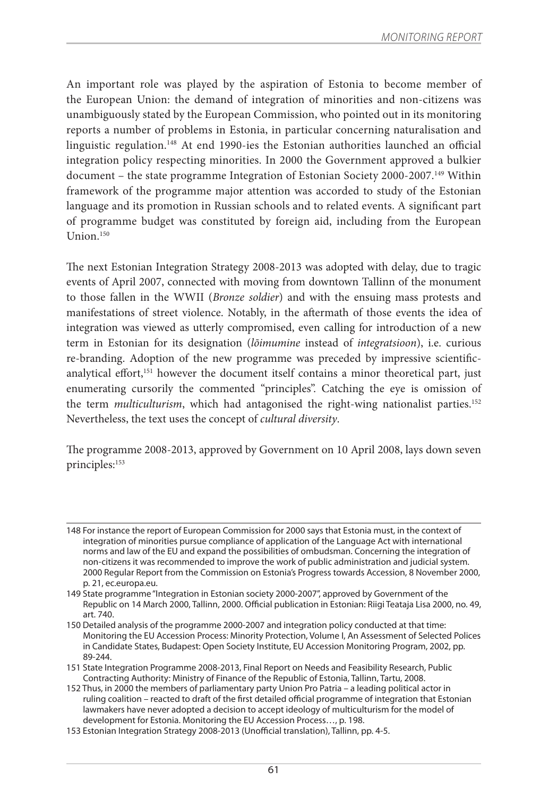An important role was played by the aspiration of Estonia to become member of the European Union: the demand of integration of minorities and non-citizens was unambiguously stated by the European Commission, who pointed out in its monitoring reports a number of problems in Estonia, in particular concerning naturalisation and linguistic regulation.148 At end 1990-ies the Estonian authorities launched an official integration policy respecting minorities. In 2000 the Government approved a bulkier document – the state programme Integration of Estonian Society 2000-2007.149 Within framework of the programme major attention was accorded to study of the Estonian language and its promotion in Russian schools and to related events. A significant part of programme budget was constituted by foreign aid, including from the European Union.150

The next Estonian Integration Strategy 2008-2013 was adopted with delay, due to tragic events of April 2007, connected with moving from downtown Tallinn of the monument to those fallen in the WWII (*Bronze soldier*) and with the ensuing mass protests and manifestations of street violence. Notably, in the aftermath of those events the idea of integration was viewed as utterly compromised, even calling for introduction of a new term in Estonian for its designation (*lõimumine* instead of *integratsioon*), i.e. curious re-branding. Adoption of the new programme was preceded by impressive scientificanalytical effort,<sup>151</sup> however the document itself contains a minor theoretical part, just enumerating cursorily the commented "principles". Catching the eye is omission of the term *multiculturism*, which had antagonised the right-wing nationalist parties.<sup>152</sup> Nevertheless, the text uses the concept of *cultural diversity*.

The programme 2008-2013, approved by Government on 10 April 2008, lays down seven principles:153

<sup>148</sup> For instance the report of European Commission for 2000 says that Estonia must, in the context of integration of minorities pursue compliance of application of the Language Act with international norms and law of the EU and expand the possibilities of ombudsman. Concerning the integration of non-citizens it was recommended to improve the work of public administration and judicial system. 2000 Regular Report from the Commission on Estonia's Progress towards Accession, 8 November 2000, p. 21, ec.europa.eu.

<sup>149</sup> State programme "Integration in Estonian society 2000-2007", approved by Government of the Republic on 14 March 2000, Tallinn, 2000. Official publication in Estonian: Riigi Teataja Lisa 2000, no. 49, art. 740.

<sup>150</sup> Detailed analysis of the programme 2000-2007 and integration policy conducted at that time: Monitoring the EU Accession Process: Minority Protection, Volume I, An Assessment of Selected Polices in Candidate States, Budapest: Open Society Institute, EU Accession Monitoring Program, 2002, pp. 89-244.

<sup>151</sup> State Integration Programme 2008-2013, Final Report on Needs and Feasibility Research, Public Contracting Authority: Ministry of Finance of the Republic of Estonia, Tallinn, Tartu, 2008.

<sup>152</sup> Thus, in 2000 the members of parliamentary party Union Pro Patria – a leading political actor in ruling coalition – reacted to draft of the first detailed official programme of integration that Estonian lawmakers have never adopted a decision to accept ideology of multiculturism for the model of development for Estonia. Monitoring the EU Accession Process…, p. 198.

<sup>153</sup> Estonian Integration Strategy 2008-2013 (Unofficial translation), Tallinn, pp. 4-5.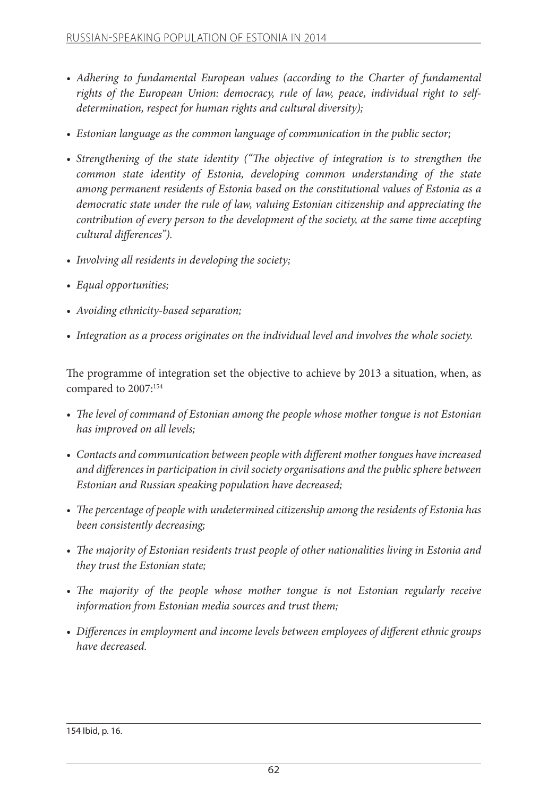- Adhering to fundamental European values (according to the Charter of fundamental *rights of the European Union: democracy, rule of law, peace, individual right to selfdetermination, respect for human rights and cultural diversity);*
- *• Estonian language as the common language of communication in the public sector;*
- *• Strengthening of the state identity ("The objective of integration is to strengthen the common state identity of Estonia, developing common understanding of the state among permanent residents of Estonia based on the constitutional values of Estonia as a democratic state under the rule of law, valuing Estonian citizenship and appreciating the contribution of every person to the development of the society, at the same time accepting cultural differences").*
- *• Involving all residents in developing the society;*
- *• Equal opportunities;*
- *• Avoiding ethnicity-based separation;*
- *• Integration as a process originates on the individual level and involves the whole society.*

The programme of integration set the objective to achieve by 2013 a situation, when, as compared to 2007:154

- *• The level of command of Estonian among the people whose mother tongue is not Estonian has improved on all levels;*
- *• Contacts and communication between people with different mother tongues have increased and differences in participation in civil society organisations and the public sphere between Estonian and Russian speaking population have decreased;*
- *• The percentage of people with undetermined citizenship among the residents of Estonia has been consistently decreasing;*
- *• The majority of Estonian residents trust people of other nationalities living in Estonia and they trust the Estonian state;*
- The majority of the people whose mother tongue is not Estonian regularly receive *information from Estonian media sources and trust them;*
- *• Differences in employment and income levels between employees of different ethnic groups have decreased.*

#### 154 Ibid, p. 16.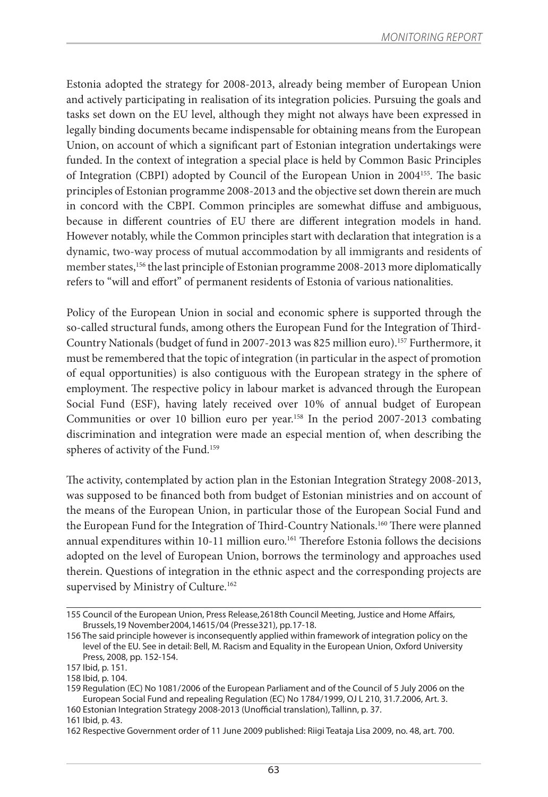Estonia adopted the strategy for 2008-2013, already being member of European Union and actively participating in realisation of its integration policies. Pursuing the goals and tasks set down on the EU level, although they might not always have been expressed in legally binding documents became indispensable for obtaining means from the European Union, on account of which a significant part of Estonian integration undertakings were funded. In the context of integration a special place is held by Common Basic Principles of Integration (CBPI) adopted by Council of the European Union in 2004155. The basic principles of Estonian programme 2008-2013 and the objective set down therein are much in concord with the CBPI. Common principles are somewhat diffuse and ambiguous, because in different countries of EU there are different integration models in hand. However notably, while the Common principles start with declaration that integration is a dynamic, two-way process of mutual accommodation by all immigrants and residents of member states, 156 the last principle of Estonian programme 2008-2013 more diplomatically refers to "will and effort" of permanent residents of Estonia of various nationalities.

Policy of the European Union in social and economic sphere is supported through the so-called structural funds, among others the European Fund for the Integration of Third-Country Nationals (budget of fund in 2007-2013 was 825 million euro).157 Furthermore, it must be remembered that the topic of integration (in particular in the aspect of promotion of equal opportunities) is also contiguous with the European strategy in the sphere of employment. The respective policy in labour market is advanced through the European Social Fund (ESF), having lately received over 10% of annual budget of European Communities or over 10 billion euro per year.158 In the period 2007-2013 combating discrimination and integration were made an especial mention of, when describing the spheres of activity of the Fund.159

The activity, contemplated by action plan in the Estonian Integration Strategy 2008-2013, was supposed to be financed both from budget of Estonian ministries and on account of the means of the European Union, in particular those of the European Social Fund and the European Fund for the Integration of Third-Country Nationals.<sup>160</sup> There were planned annual expenditures within 10-11 million euro.<sup>161</sup> Therefore Estonia follows the decisions adopted on the level of European Union, borrows the terminology and approaches used therein. Questions of integration in the ethnic aspect and the corresponding projects are supervised by Ministry of Culture.<sup>162</sup>

<sup>155</sup> Council of the European Union, Press Release,2618th Council Meeting, Justice and Home Affairs, Brussels,19 November2004,14615/04 (Presse321), pp.17-18.

<sup>156</sup> The said principle however is inconsequently applied within framework of integration policy on the level of the EU. See in detail: Bell, M. Racism and Equality in the European Union, Oxford University Press, 2008, pp. 152-154.

<sup>157</sup> Ibid, p. 151.

<sup>158</sup> Ibid, p. 104.

<sup>159</sup> Regulation (EC) No 1081/2006 of the European Parliament and of the Council of 5 July 2006 on the European Social Fund and repealing Regulation (EC) No 1784/1999, OJ L 210, 31.7.2006, Art. 3. 160 Estonian Integration Strategy 2008-2013 (Unofficial translation), Tallinn, p. 37.

<sup>161</sup> Ibid, p. 43.

<sup>162</sup> Respective Government order of 11 June 2009 published: Riigi Teataja Lisa 2009, no. 48, art. 700.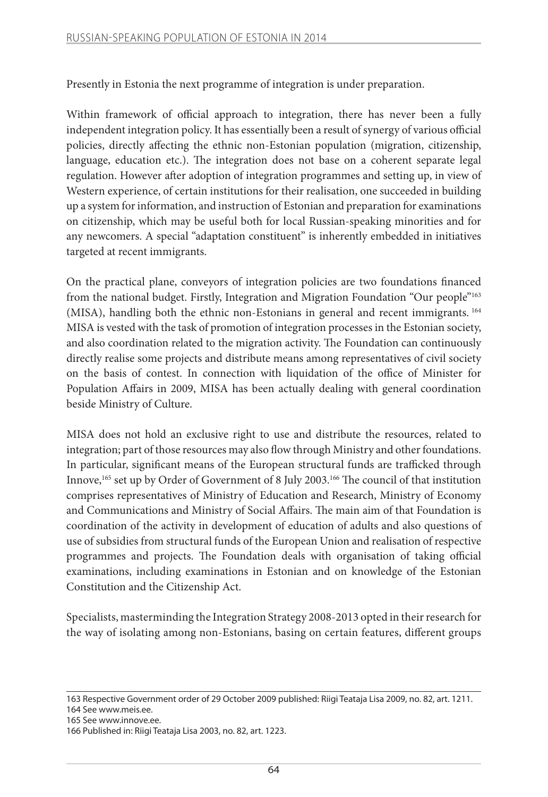Presently in Estonia the next programme of integration is under preparation.

Within framework of official approach to integration, there has never been a fully independent integration policy. It has essentially been a result of synergy of various official policies, directly affecting the ethnic non-Estonian population (migration, citizenship, language, education etc.). The integration does not base on a coherent separate legal regulation. However after adoption of integration programmes and setting up, in view of Western experience, of certain institutions for their realisation, one succeeded in building up a system for information, and instruction of Estonian and preparation for examinations on citizenship, which may be useful both for local Russian-speaking minorities and for any newcomers. A special "adaptation constituent" is inherently embedded in initiatives targeted at recent immigrants.

On the practical plane, conveyors of integration policies are two foundations financed from the national budget. Firstly, Integration and Migration Foundation "Our people"163 (MISA), handling both the ethnic non-Estonians in general and recent immigrants. 164 MISA is vested with the task of promotion of integration processes in the Estonian society, and also coordination related to the migration activity. The Foundation can continuously directly realise some projects and distribute means among representatives of civil society on the basis of contest. In connection with liquidation of the office of Minister for Population Affairs in 2009, MISA has been actually dealing with general coordination beside Ministry of Culture.

MISA does not hold an exclusive right to use and distribute the resources, related to integration; part of those resources may also flow through Ministry and other foundations. In particular, significant means of the European structural funds are trafficked through Innove,165 set up by Order of Government of 8 July 2003.166 The council of that institution comprises representatives of Ministry of Education and Research, Ministry of Economy and Communications and Ministry of Social Affairs. The main aim of that Foundation is coordination of the activity in development of education of adults and also questions of use of subsidies from structural funds of the European Union and realisation of respective programmes and projects. The Foundation deals with organisation of taking official examinations, including examinations in Estonian and on knowledge of the Estonian Constitution and the Citizenship Act.

Specialists, masterminding the Integration Strategy 2008-2013 opted in their research for the way of isolating among non-Estonians, basing on certain features, different groups

165 See www.innove.ee.

<sup>163</sup> Respective Government order of 29 October 2009 published: Riigi Teataja Lisa 2009, no. 82, art. 1211. 164 See www.meis.ee.

<sup>166</sup> Published in: Riigi Teataja Lisa 2003, no. 82, art. 1223.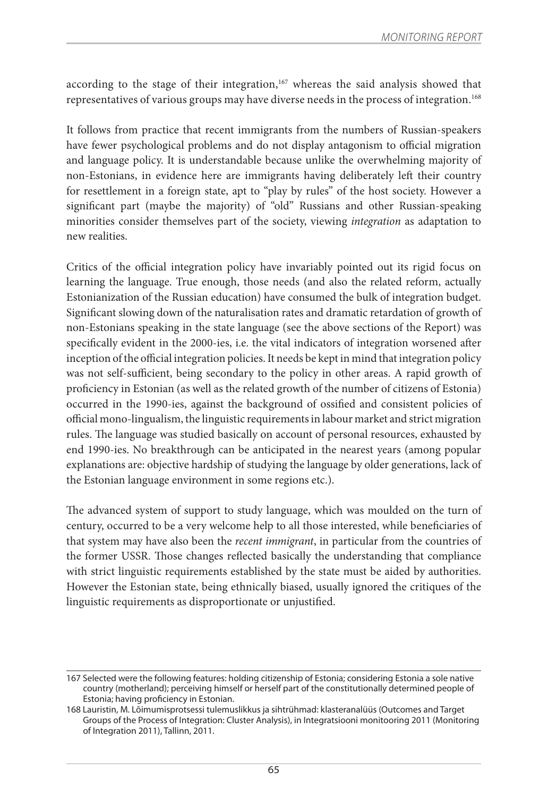according to the stage of their integration,<sup>167</sup> whereas the said analysis showed that representatives of various groups may have diverse needs in the process of integration.168

It follows from practice that recent immigrants from the numbers of Russian-speakers have fewer psychological problems and do not display antagonism to official migration and language policy. It is understandable because unlike the overwhelming majority of non-Estonians, in evidence here are immigrants having deliberately left their country for resettlement in a foreign state, apt to "play by rules" of the host society. However a significant part (maybe the majority) of "old" Russians and other Russian-speaking minorities consider themselves part of the society, viewing *integration* as adaptation to new realities.

Critics of the official integration policy have invariably pointed out its rigid focus on learning the language. True enough, those needs (and also the related reform, actually Estonianization of the Russian education) have consumed the bulk of integration budget. Significant slowing down of the naturalisation rates and dramatic retardation of growth of non-Estonians speaking in the state language (see the above sections of the Report) was specifically evident in the 2000-ies, i.e. the vital indicators of integration worsened after inception of the official integration policies. It needs be kept in mind that integration policy was not self-sufficient, being secondary to the policy in other areas. A rapid growth of proficiency in Estonian (as well as the related growth of the number of citizens of Estonia) occurred in the 1990-ies, against the background of ossified and consistent policies of official mono-lingualism, the linguistic requirements in labour market and strict migration rules. The language was studied basically on account of personal resources, exhausted by end 1990-ies. No breakthrough can be anticipated in the nearest years (among popular explanations are: objective hardship of studying the language by older generations, lack of the Estonian language environment in some regions etc.).

The advanced system of support to study language, which was moulded on the turn of century, occurred to be a very welcome help to all those interested, while beneficiaries of that system may have also been the *recent immigrant*, in particular from the countries of the former USSR. Those changes reflected basically the understanding that compliance with strict linguistic requirements established by the state must be aided by authorities. However the Estonian state, being ethnically biased, usually ignored the critiques of the linguistic requirements as disproportionate or unjustified.

<sup>167</sup> Selected were the following features: holding citizenship of Estonia; considering Estonia a sole native country (motherland); perceiving himself or herself part of the constitutionally determined people of Estonia; having proficiency in Estonian.

<sup>168</sup> Lauristin, M. Lõimumisprotsessi tulemuslikkus ja sihtrühmad: klasteranalüüs (Outcomes and Target Groups of the Process of Integration: Cluster Analysis), in Integratsiooni monitooring 2011 (Monitoring of Integration 2011), Tallinn, 2011.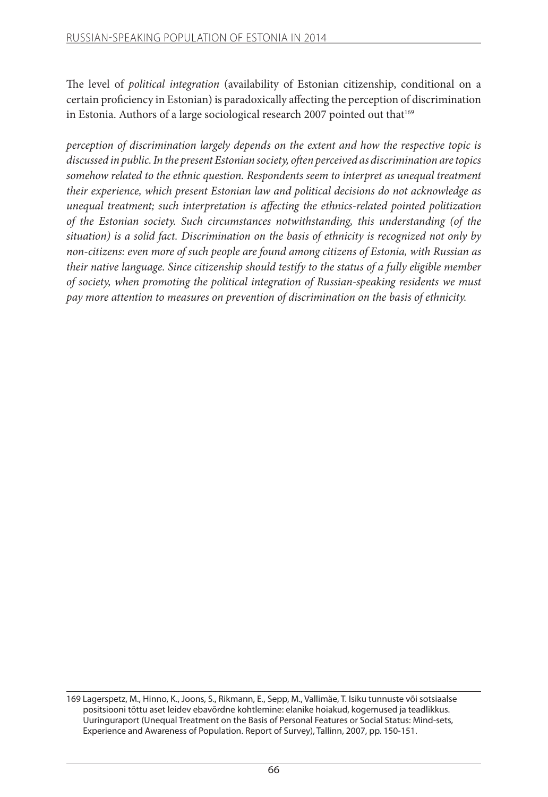The level of *political integration* (availability of Estonian citizenship, conditional on a certain proficiency in Estonian) is paradoxically affecting the perception of discrimination in Estonia. Authors of a large sociological research 2007 pointed out that $169$ 

*perception of discrimination largely depends on the extent and how the respective topic is discussed in public. In the present Estonian society, often perceived as discrimination are topics somehow related to the ethnic question. Respondents seem to interpret as unequal treatment their experience, which present Estonian law and political decisions do not acknowledge as unequal treatment; such interpretation is affecting the ethnics-related pointed politization of the Estonian society. Such circumstances notwithstanding, this understanding (of the situation) is a solid fact. Discrimination on the basis of ethnicity is recognized not only by non-citizens: even more of such people are found among citizens of Estonia, with Russian as their native language. Since citizenship should testify to the status of a fully eligible member of society, when promoting the political integration of Russian-speaking residents we must pay more attention to measures on prevention of discrimination on the basis of ethnicity.*

169 Lagerspetz, M., Hinno, K., Joons, S., Rikmann, E., Sepp, M., Vallimäe, T. Isiku tunnuste või sotsiaalse positsiooni tõttu aset leidev ebavõrdne kohtlemine: elanike hoiakud, kogemused ja teadlikkus. Uuringuraport (Unequal Treatment on the Basis of Personal Features or Social Status: Mind-sets, Experience and Awareness of Population. Report of Survey), Tallinn, 2007, pp. 150-151.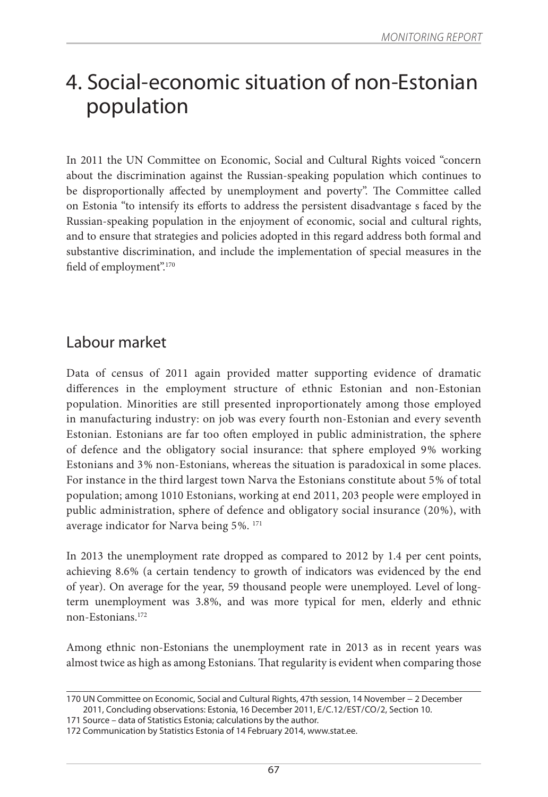# 4. Social-economic situation of non-Estonian population

In 2011 the UN Committee on Economic, Social and Cultural Rights voiced "concern about the discrimination against the Russian-speaking population which continues to be disproportionally affected by unemployment and poverty". The Committee called on Estonia "to intensify its efforts to address the persistent disadvantage s faced by the Russian-speaking population in the enjoyment of economic, social and cultural rights, and to ensure that strategies and policies adopted in this regard address both formal and substantive discrimination, and include the implementation of special measures in the field of employment".170

#### Labour market

Data of census of 2011 again provided matter supporting evidence of dramatic differences in the employment structure of ethnic Estonian and non-Estonian population. Minorities are still presented inproportionately among those employed in manufacturing industry: on job was every fourth non-Estonian and every seventh Estonian. Estonians are far too often employed in public administration, the sphere of defence and the obligatory social insurance: that sphere employed 9% working Estonians and 3% non-Estonians, whereas the situation is paradoxical in some places. For instance in the third largest town Narva the Estonians constitute about 5% of total population; among 1010 Estonians, working at end 2011, 203 people were employed in public administration, sphere of defence and obligatory social insurance (20%), with average indicator for Narva being 5%. 171

In 2013 the unemployment rate dropped as compared to 2012 by 1.4 per cent points, achieving 8.6% (a certain tendency to growth of indicators was evidenced by the end of year). On average for the year, 59 thousand people were unemployed. Level of longterm unemployment was 3.8%, and was more typical for men, elderly and ethnic non-Estonians.172

Among ethnic non-Estonians the unemployment rate in 2013 as in recent years was almost twice as high as among Estonians. That regularity is evident when comparing those

171 Source – data of Statistics Estonia; calculations by the author.

<sup>170</sup> UN Committee on Economic, Social and Cultural Rights, 47th session, 14 November − 2 December 2011, Concluding observations: Estonia, 16 December 2011, E/C.12/EST/CO/2, Section 10.

<sup>172</sup> Communication by Statistics Estonia of 14 February 2014, www.stat.ee.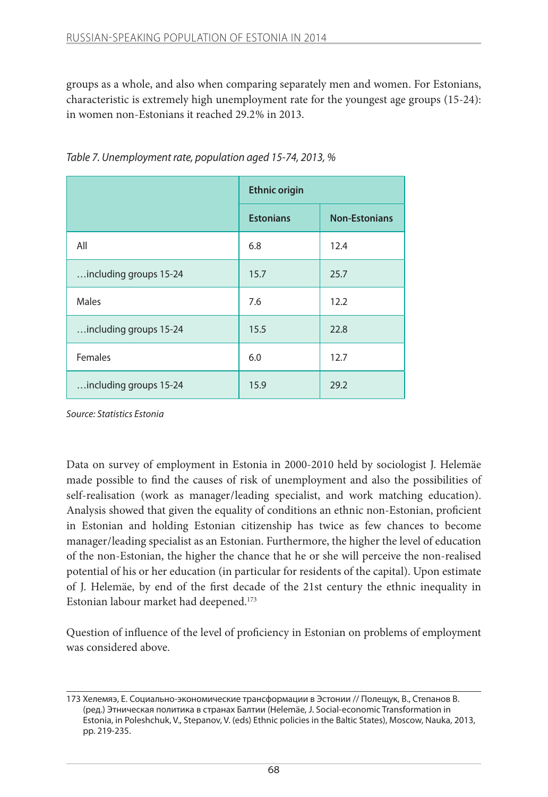groups as a whole, and also when comparing separately men and women. For Estonians, characteristic is extremely high unemployment rate for the youngest age groups (15-24): in women non-Estonians it reached 29.2% in 2013.

|                        | <b>Ethnic origin</b> |                      |  |
|------------------------|----------------------|----------------------|--|
|                        | <b>Estonians</b>     | <b>Non-Estonians</b> |  |
| All                    | 6.8                  | 12.4                 |  |
| including groups 15-24 | 15.7                 | 25.7                 |  |
| Males                  | 7.6                  | 12.2                 |  |
| including groups 15-24 | 15.5                 | 22.8                 |  |
| Females                | 6.0                  | 12.7                 |  |
| including groups 15-24 | 15.9                 | 29.2                 |  |

|  | Table 7. Unemployment rate, population aged 15-74, 2013, % |
|--|------------------------------------------------------------|
|  |                                                            |

*Source: Statistics Estonia*

Data on survey of employment in Estonia in 2000-2010 held by sociologist J. Helemäe made possible to find the causes of risk of unemployment and also the possibilities of self-realisation (work as manager/leading specialist, and work matching education). Analysis showed that given the equality of conditions an ethnic non-Estonian, proficient in Estonian and holding Estonian citizenship has twice as few chances to become manager/leading specialist as an Estonian. Furthermore, the higher the level of education of the non-Estonian, the higher the chance that he or she will perceive the non-realised potential of his or her education (in particular for residents of the capital). Upon estimate of J. Helemäe, by end of the first decade of the 21st century the ethnic inequality in Estonian labour market had deepened.173

Question of influence of the level of proficiency in Estonian on problems of employment was considered above.

<sup>173</sup> Хелемяэ, Е. Социально-экономические трансформации в Эстонии // Полещук, В., Степанов В. (ред.) Этническая политика в странах Балтии (Helemäe, J. Social-economic Transformation in Estonia, in Poleshchuk, V., Stepanov, V. (eds) Ethnic policies in the Baltic States), Moscow, Nauka, 2013, pp. 219-235.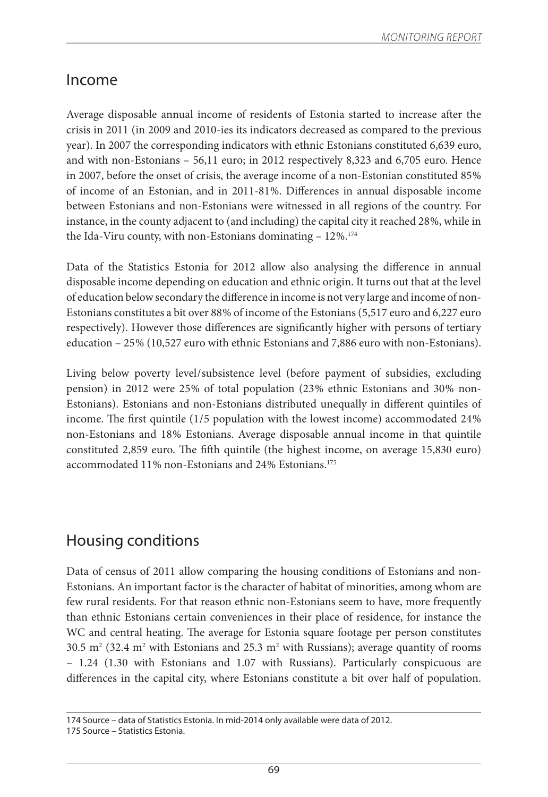### Income

Average disposable annual income of residents of Estonia started to increase after the crisis in 2011 (in 2009 and 2010-ies its indicators decreased as compared to the previous year). In 2007 the corresponding indicators with ethnic Estonians constituted 6,639 euro, and with non-Estonians – 56,11 euro; in 2012 respectively 8,323 and 6,705 euro. Hence in 2007, before the onset of crisis, the average income of a non-Estonian constituted 85% of income of an Estonian, and in 2011-81%. Differences in annual disposable income between Estonians and non-Estonians were witnessed in all regions of the country. For instance, in the county adjacent to (and including) the capital city it reached 28%, while in the Ida-Viru county, with non-Estonians dominating -  $12\%$ .<sup>174</sup>

Data of the Statistics Estonia for 2012 allow also analysing the difference in annual disposable income depending on education and ethnic origin. It turns out that at the level of education below secondary the difference in income is not very large and income of non-Estonians constitutes a bit over 88% of income of the Estonians (5,517 euro and 6,227 euro respectively). However those differences are significantly higher with persons of tertiary education – 25% (10,527 euro with ethnic Estonians and 7,886 euro with non-Estonians).

Living below poverty level/subsistence level (before payment of subsidies, excluding pension) in 2012 were 25% of total population (23% ethnic Estonians and 30% non-Estonians). Estonians and non-Estonians distributed unequally in different quintiles of income. The first quintile (1/5 population with the lowest income) accommodated 24% non-Estonians and 18% Estonians. Average disposable annual income in that quintile constituted 2,859 euro. The fifth quintile (the highest income, on average 15,830 euro) accommodated 11% non-Estonians and 24% Estonians.175

# Housing conditions

Data of census of 2011 allow comparing the housing conditions of Estonians and non-Estonians. An important factor is the character of habitat of minorities, among whom are few rural residents. For that reason ethnic non-Estonians seem to have, more frequently than ethnic Estonians certain conveniences in their place of residence, for instance the WC and central heating. The average for Estonia square footage per person constitutes  $30.5 \text{ m}^2$  (32.4 m<sup>2</sup> with Estonians and 25.3 m<sup>2</sup> with Russians); average quantity of rooms – 1.24 (1.30 with Estonians and 1.07 with Russians). Particularly conspicuous are differences in the capital city, where Estonians constitute a bit over half of population.

<sup>174</sup> Source – data of Statistics Estonia. In mid-2014 only available were data of 2012.

<sup>175</sup> Source – Statistics Estonia.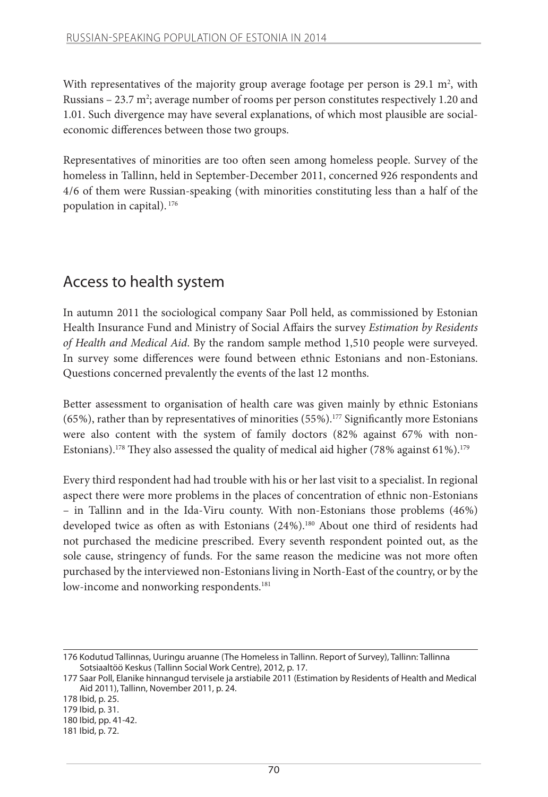With representatives of the majority group average footage per person is 29.1  $m^2$ , with Russians – 23.7  $m^2$ ; average number of rooms per person constitutes respectively 1.20 and 1.01. Such divergence may have several explanations, of which most plausible are socialeconomic differences between those two groups.

Representatives of minorities are too often seen among homeless people. Survey of the homeless in Tallinn, held in September-December 2011, concerned 926 respondents and 4/6 of them were Russian-speaking (with minorities constituting less than a half of the population in capital). 176

# Access to health system

In autumn 2011 the sociological company Saar Poll held, as commissioned by Estonian Health Insurance Fund and Ministry of Social Affairs the survey *Estimation by Residents of Health and Medical Aid*. By the random sample method 1,510 people were surveyed. In survey some differences were found between ethnic Estonians and non-Estonians. Questions concerned prevalently the events of the last 12 months.

Better assessment to organisation of health care was given mainly by ethnic Estonians (65%), rather than by representatives of minorities (55%).177 Significantly more Estonians were also content with the system of family doctors (82% against 67% with non-Estonians).<sup>178</sup> They also assessed the quality of medical aid higher (78% against 61%).<sup>179</sup>

Every third respondent had had trouble with his or her last visit to a specialist. In regional aspect there were more problems in the places of concentration of ethnic non-Estonians – in Tallinn and in the Ida-Viru county. With non-Estonians those problems (46%) developed twice as often as with Estonians (24%).180 About one third of residents had not purchased the medicine prescribed. Every seventh respondent pointed out, as the sole cause, stringency of funds. For the same reason the medicine was not more often purchased by the interviewed non-Estonians living in North-East of the country, or by the low-income and nonworking respondents.<sup>181</sup>

<sup>176</sup> Kodutud Tallinnas, Uuringu aruanne (The Homeless in Tallinn. Report of Survey), Tallinn: Tallinna Sotsiaaltöö Keskus (Tallinn Social Work Centre), 2012, p. 17.

<sup>177</sup> Saar Poll, Elanike hinnangud tervisele ja arstiabile 2011 (Estimation by Residents of Health and Medical Aid 2011), Tallinn, November 2011, p. 24.

<sup>178</sup> Ibid, p. 25.

<sup>179</sup> Ibid, p. 31.

<sup>180</sup> Ibid, pp. 41-42.

<sup>181</sup> Ibid, p. 72.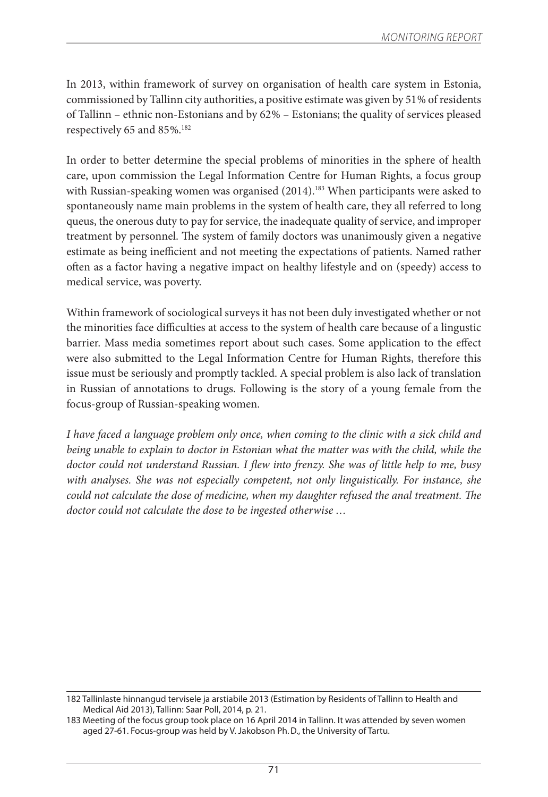In 2013, within framework of survey on organisation of health care system in Estonia, commissioned by Tallinn city authorities, a positive estimate was given by 51% of residents of Tallinn – ethnic non-Estonians and by 62% – Estonians; the quality of services pleased respectively 65 and 85%.<sup>182</sup>

In order to better determine the special problems of minorities in the sphere of health care, upon commission the Legal Information Centre for Human Rights, a focus group with Russian-speaking women was organised (2014).<sup>183</sup> When participants were asked to spontaneously name main problems in the system of health care, they all referred to long queus, the onerous duty to pay for service, the inadequate quality of service, and improper treatment by personnel. The system of family doctors was unanimously given a negative estimate as being inefficient and not meeting the expectations of patients. Named rather often as a factor having a negative impact on healthy lifestyle and on (speedy) access to medical service, was poverty.

Within framework of sociological surveys it has not been duly investigated whether or not the minorities face difficulties at access to the system of health care because of a lingustic barrier. Mass media sometimes report about such cases. Some application to the effect were also submitted to the Legal Information Centre for Human Rights, therefore this issue must be seriously and promptly tackled. A special problem is also lack of translation in Russian of annotations to drugs. Following is the story of a young female from the focus-group of Russian-speaking women.

*I have faced a language problem only once, when coming to the clinic with a sick child and being unable to explain to doctor in Estonian what the matter was with the child, while the doctor could not understand Russian. I flew into frenzy. She was of little help to me, busy with analyses. She was not especially competent, not only linguistically. For instance, she could not calculate the dose of medicine, when my daughter refused the anal treatment. The doctor could not calculate the dose to be ingested otherwise …*

<sup>182</sup> Tallinlaste hinnangud tervisele ja arstiabile 2013 (Estimation by Residents of Tallinn to Health and Medical Aid 2013), Tallinn: Saar Poll, 2014, p. 21.

<sup>183</sup> Meeting of the focus group took place on 16 April 2014 in Tallinn. It was attended by seven women aged 27-61. Focus-group was held by V. Jakobson Ph.D., the University of Tartu.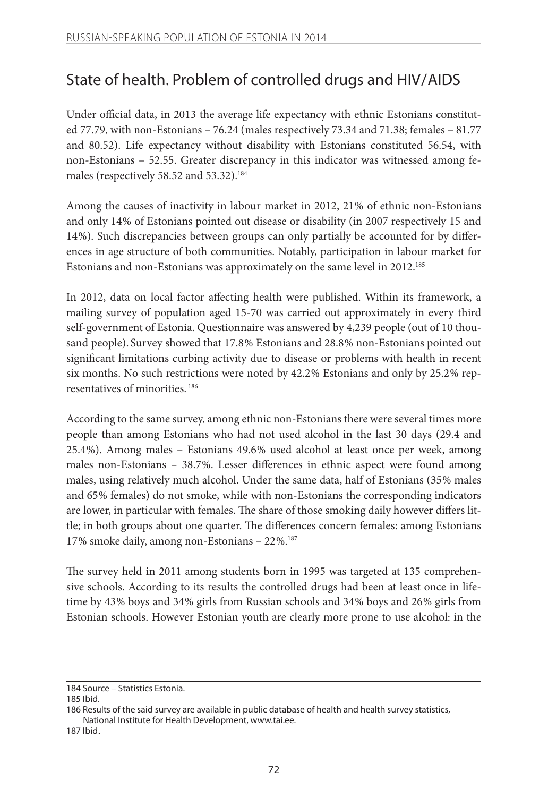# State of health. Problem of controlled drugs and HIV/AIDS

Under official data, in 2013 the average life expectancy with ethnic Estonians constituted 77.79, with non-Estonians – 76.24 (males respectively 73.34 and 71.38; females – 81.77 and 80.52). Life expectancy without disability with Estonians constituted 56.54, with non-Estonians – 52.55. Greater discrepancy in this indicator was witnessed among females (respectively 58.52 and 53.32).<sup>184</sup>

Among the causes of inactivity in labour market in 2012, 21% of ethnic non-Estonians and only 14% of Estonians pointed out disease or disability (in 2007 respectively 15 and 14%). Such discrepancies between groups can only partially be accounted for by differences in age structure of both communities. Notably, participation in labour market for Estonians and non-Estonians was approximately on the same level in 2012.185

In 2012, data on local factor affecting health were published. Within its framework, a mailing survey of population aged 15-70 was carried out approximately in every third self-government of Estonia. Questionnaire was answered by 4,239 people (out of 10 thousand people). Survey showed that 17.8% Estonians and 28.8% non-Estonians pointed out significant limitations curbing activity due to disease or problems with health in recent six months. No such restrictions were noted by 42.2% Estonians and only by 25.2% representatives of minorities. 186

According to the same survey, among ethnic non-Estonians there were several times more people than among Estonians who had not used alcohol in the last 30 days (29.4 and 25.4%). Among males – Estonians 49.6% used alcohol at least once per week, among males non-Estonians – 38.7%. Lesser differences in ethnic aspect were found among males, using relatively much alcohol. Under the same data, half of Estonians (35% males and 65% females) do not smoke, while with non-Estonians the corresponding indicators are lower, in particular with females. The share of those smoking daily however differs little; in both groups about one quarter. The differences concern females: among Estonians 17% smoke daily, among non-Estonians – 22%.187

The survey held in 2011 among students born in 1995 was targeted at 135 comprehensive schools. According to its results the controlled drugs had been at least once in lifetime by 43% boys and 34% girls from Russian schools and 34% boys and 26% girls from Estonian schools. However Estonian youth are clearly more prone to use alcohol: in the

<sup>184</sup> Source – Statistics Estonia.

<sup>185</sup> Ibid.

<sup>186</sup> Results of the said survey are available in public database of health and health survey statistics, National Institute for Health Development, www.tai.ee.

<sup>187</sup> Ibid.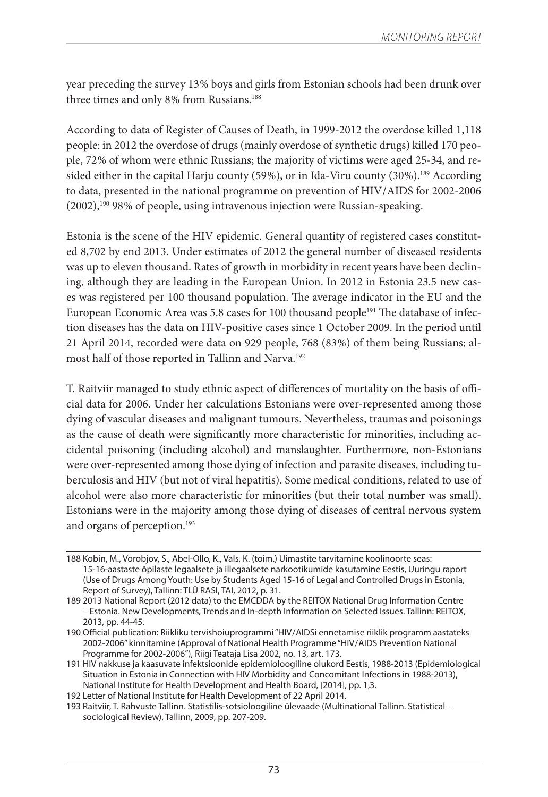year preceding the survey 13% boys and girls from Estonian schools had been drunk over three times and only 8% from Russians.<sup>188</sup>

According to data of Register of Causes of Death, in 1999-2012 the overdose killed 1,118 people: in 2012 the overdose of drugs (mainly overdose of synthetic drugs) killed 170 people, 72% of whom were ethnic Russians; the majority of victims were aged 25-34, and resided either in the capital Harju county (59%), or in Ida-Viru county (30%).<sup>189</sup> According to data, presented in the national programme on prevention of HIV/AIDS for 2002-2006  $(2002)$ ,<sup>190</sup> 98% of people, using intravenous injection were Russian-speaking.

Estonia is the scene of the HIV epidemic. General quantity of registered cases constituted 8,702 by end 2013. Under estimates of 2012 the general number of diseased residents was up to eleven thousand. Rates of growth in morbidity in recent years have been declining, although they are leading in the European Union. In 2012 in Estonia 23.5 new cases was registered per 100 thousand population. The average indicator in the EU and the European Economic Area was 5.8 cases for 100 thousand people191 The database of infection diseases has the data on HIV-positive cases since 1 October 2009. In the period until 21 April 2014, recorded were data on 929 people, 768 (83%) of them being Russians; almost half of those reported in Tallinn and Narva.192

T. Raitviir managed to study ethnic aspect of differences of mortality on the basis of official data for 2006. Under her calculations Estonians were over-represented among those dying of vascular diseases and malignant tumours. Nevertheless, traumas and poisonings as the cause of death were significantly more characteristic for minorities, including accidental poisoning (including alcohol) and manslaughter. Furthermore, non-Estonians were over-represented among those dying of infection and parasite diseases, including tuberculosis and HIV (but not of viral hepatitis). Some medical conditions, related to use of alcohol were also more characteristic for minorities (but their total number was small). Estonians were in the majority among those dying of diseases of central nervous system and organs of perception.<sup>193</sup>

<sup>188</sup> Kobin, M., Vorobjov, S., Abel-Ollo, K., Vals, K. (toim.) Uimastite tarvitamine koolinoorte seas: 15-16-aastaste õpilaste legaalsete ja illegaalsete narkootikumide kasutamine Eestis, Uuringu raport (Use of Drugs Among Youth: Use by Students Aged 15-16 of Legal and Controlled Drugs in Estonia, Report of Survey), Tallinn: TLÜ RASI, TAI, 2012, p. 31.

<sup>189 2013</sup> National Report (2012 data) to the EMCDDA by the REITOX National Drug Information Centre – Estonia. New Developments, Trends and In-depth Information on Selected Issues. Tallinn: REITOX, 2013, pp. 44-45.

<sup>190</sup> Official publication: Riikliku tervishoiuprogrammi "HIV/AIDSi ennetamise riiklik programm aastateks 2002-2006" kinnitamine (Approval of National Health Programme "HIV/AIDS Prevention National Programme for 2002-2006"), Riigi Teataja Lisa 2002, no. 13, art. 173.

<sup>191</sup> HIV nakkuse ja kaasuvate infektsioonide epidemioloogiline olukord Eestis, 1988-2013 (Epidemiological Situation in Estonia in Connection with HIV Morbidity and Concomitant Infections in 1988-2013), National Institute for Health Development and Health Board, [2014], pp. 1,3.

<sup>192</sup> Letter of National Institute for Health Development of 22 April 2014.

<sup>193</sup> Raitviir, T. Rahvuste Tallinn. Statistilis-sotsioloogiline ülevaade (Multinational Tallinn. Statistical – sociological Review), Tallinn, 2009, pp. 207-209.